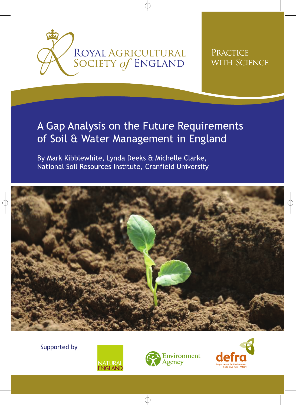

# PRACTICE WITH SCIENCE

# A Gap Analysis on the Future Requirements of Soil & Water Management in England

By Mark Kibblewhite, Lynda Deeks & Michelle Clarke, National Soil Resources Institute, Cranfield University



Supported by





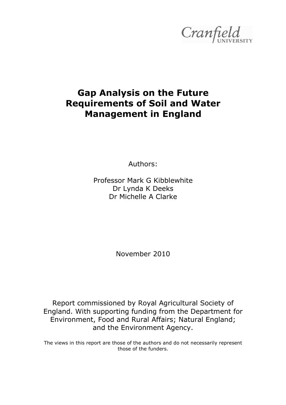

# **Gap Analysis on the Future Requirements of Soil and Water Management in England**

Authors:

Professor Mark G Kibblewhite Dr Lynda K Deeks Dr Michelle A Clarke

November 2010

Report commissioned by Royal Agricultural Society of England. With supporting funding from the Department for Environment, Food and Rural Affairs; Natural England; and the Environment Agency.

The views in this report are those of the authors and do not necessarily represent those of the funders.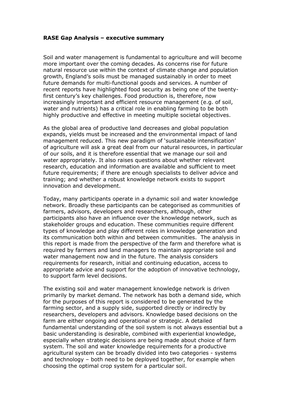#### **RASE Gap Analysis – executive summary**

Soil and water management is fundamental to agriculture and will become more important over the coming decades. As concerns rise for future natural resource use within the context of climate change and population growth, England's soils must be managed sustainably in order to meet future demands for multi-functional goods and services. A number of recent reports have highlighted food security as being one of the twentyfirst century's key challenges. Food production is, therefore, now increasingly important and efficient resource management (e.g. of soil, water and nutrients) has a critical role in enabling farming to be both highly productive and effective in meeting multiple societal objectives.

As the global area of productive land decreases and global population expands, yields must be increased and the environmental impact of land management reduced. This new paradigm of 'sustainable intensification' of agriculture will ask a great deal from our natural resources, in particular of our soils, and it is therefore essential that we manage our soil and water appropriately. It also raises questions about whether relevant research, education and information are available and sufficient to meet future requirements; if there are enough specialists to deliver advice and training; and whether a robust knowledge network exists to support innovation and development.

Today, many participants operate in a dynamic soil and water knowledge network. Broadly these participants can be categorised as communities of farmers, advisors, developers and researchers, although, other participants also have an influence over the knowledge network, such as stakeholder groups and education. These communities require different types of knowledge and play different roles in knowledge generation and its communication both within and between communities. The analysis in this report is made from the perspective of the farm and therefore what is required by farmers and land managers to maintain appropriate soil and water management now and in the future. The analysis considers requirements for research, initial and continuing education, access to appropriate advice and support for the adoption of innovative technology, to support farm level decisions.

The existing soil and water management knowledge network is driven primarily by market demand. The network has both a demand side, which for the purposes of this report is considered to be generated by the farming sector, and a supply side, supported directly or indirectly by researchers, developers and advisors. Knowledge based decisions on the farm are either ongoing and operational or strategic. A detailed fundamental understanding of the soil system is not always essential but a basic understanding is desirable, combined with experiential knowledge, especially when strategic decisions are being made about choice of farm system. The soil and water knowledge requirements for a productive agricultural system can be broadly divided into two categories - systems and technology – both need to be deployed together, for example when choosing the optimal crop system for a particular soil.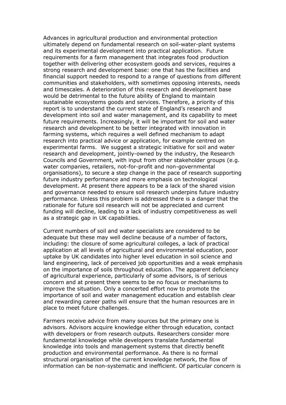Advances in agricultural production and environmental protection ultimately depend on fundamental research on soil-water-plant systems and its experimental development into practical application. Future requirements for a farm management that integrates food production together with delivering other ecosystem goods and services, requires a strong research and development base: one that has the facilities and financial support needed to respond to a range of questions from different communities and stakeholders, with sometimes opposing interests, needs and timescales. A deterioration of this research and development base would be detrimental to the future ability of England to maintain sustainable ecosystems goods and services. Therefore, a priority of this report is to understand the current state of England's research and development into soil and water management, and its capability to meet future requirements. Increasingly, it will be important for soil and water research and development to be better integrated with innovation in farming systems, which requires a well defined mechanism to adapt research into practical advice or application, for example centred on experimental farms. We suggest a strategic initiative for soil and water research and development, jointly-owned by the industry, the Research Councils and Government, with input from other stakeholder groups (e.g. water companies, retailers, not-for-profit and non-governmental organisations), to secure a step change in the pace of research supporting future industry performance and more emphasis on technological development. At present there appears to be a lack of the shared vision and governance needed to ensure soil research underpins future industry performance. Unless this problem is addressed there is a danger that the rationale for future soil research will not be appreciated and current funding will decline, leading to a lack of industry competitiveness as well as a strategic gap in UK capabilities.

Current numbers of soil and water specialists are considered to be adequate but these may well decline because of a number of factors, including: the closure of some agricultural colleges, a lack of practical application at all levels of agricultural and environmental education, poor uptake by UK candidates into higher level education in soil science and land engineering, lack of perceived job opportunities and a weak emphasis on the importance of soils throughout education. The apparent deficiency of agricultural experience, particularly of some advisors, is of serious concern and at present there seems to be no focus or mechanisms to improve the situation. Only a concerted effort now to promote the importance of soil and water management education and establish clear and rewarding career paths will ensure that the human resources are in place to meet future challenges.

Farmers receive advice from many sources but the primary one is advisors. Advisors acquire knowledge either through education, contact with developers or from research outputs. Researchers consider more fundamental knowledge while developers translate fundamental knowledge into tools and management systems that directly benefit production and environmental performance. As there is no formal structural organisation of the current knowledge network, the flow of information can be non-systematic and inefficient. Of particular concern is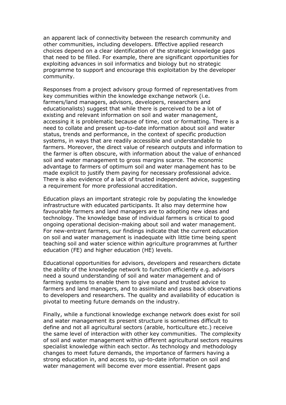an apparent lack of connectivity between the research community and other communities, including developers. Effective applied research choices depend on a clear identification of the strategic knowledge gaps that need to be filled. For example, there are significant opportunities for exploiting advances in soil informatics and biology but no strategic programme to support and encourage this exploitation by the developer community.

Responses from a project advisory group formed of representatives from key communities within the knowledge exchange network (i.e. farmers/land managers, advisors, developers, researchers and educationalists) suggest that while there is perceived to be a lot of existing and relevant information on soil and water management, accessing it is problematic because of time, cost or formatting. There is a need to collate and present up-to-date information about soil and water status, trends and performance, in the context of specific production systems, in ways that are readily accessible and understandable to farmers. Moreover, the direct value of research outputs and information to the farmer is often obscure, with information about the value of enhanced soil and water management to gross margins scarce. The economic advantage to farmers of optimum soil and water management has to be made explicit to justify them paying for necessary professional advice. There is also evidence of a lack of trusted independent advice, suggesting a requirement for more professional accreditation.

Education plays an important strategic role by populating the knowledge infrastructure with educated participants. It also may determine how favourable farmers and land managers are to adopting new ideas and technology. The knowledge base of individual farmers is critical to good ongoing operational decision-making about soil and water management. For new-entrant farmers, our findings indicate that the current education on soil and water management is inadequate with little time being spent teaching soil and water science within agriculture programmes at further education (FE) and higher education (HE) levels.

Educational opportunities for advisors, developers and researchers dictate the ability of the knowledge network to function efficiently e.g. advisors need a sound understanding of soil and water management and of farming systems to enable them to give sound and trusted advice to farmers and land managers, and to assimilate and pass back observations to developers and researchers. The quality and availability of education is pivotal to meeting future demands on the industry.

Finally, while a functional knowledge exchange network does exist for soil and water management its present structure is sometimes difficult to define and not all agricultural sectors (arable, horticulture etc.) receive the same level of interaction with other key communities. The complexity of soil and water management within different agricultural sectors requires specialist knowledge within each sector. As technology and methodology changes to meet future demands, the importance of farmers having a strong education in, and access to, up-to-date information on soil and water management will become ever more essential. Present gaps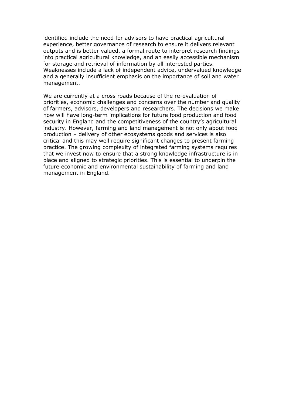identified include the need for advisors to have practical agricultural experience, better governance of research to ensure it delivers relevant outputs and is better valued, a formal route to interpret research findings into practical agricultural knowledge, and an easily accessible mechanism for storage and retrieval of information by all interested parties. Weaknesses include a lack of independent advice, undervalued knowledge and a generally insufficient emphasis on the importance of soil and water management.

We are currently at a cross roads because of the re-evaluation of priorities, economic challenges and concerns over the number and quality of farmers, advisors, developers and researchers. The decisions we make now will have long-term implications for future food production and food security in England and the competitiveness of the country's agricultural industry. However, farming and land management is not only about food production – delivery of other ecosystems goods and services is also critical and this may well require significant changes to present farming practice. The growing complexity of integrated farming systems requires that we invest now to ensure that a strong knowledge infrastructure is in place and aligned to strategic priorities. This is essential to underpin the future economic and environmental sustainability of farming and land management in England.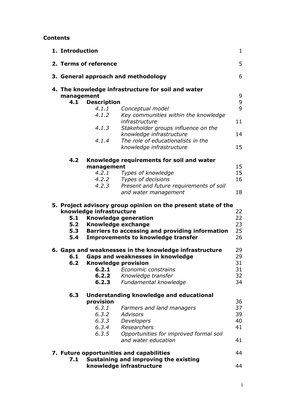## **Contents**

| 1. Introduction<br>$\mathbf{1}$                               |                                         |                                                                                                                                                                                                                        |                            |  |
|---------------------------------------------------------------|-----------------------------------------|------------------------------------------------------------------------------------------------------------------------------------------------------------------------------------------------------------------------|----------------------------|--|
| 2. Terms of reference                                         |                                         |                                                                                                                                                                                                                        | 5                          |  |
|                                                               |                                         | 3. General approach and methodology                                                                                                                                                                                    | 6                          |  |
| management<br>4.1                                             | <b>Description</b>                      | 4. The knowledge infrastructure for soil and water                                                                                                                                                                     | 9<br>9                     |  |
|                                                               | 4.1.1                                   | Conceptual model                                                                                                                                                                                                       | 9                          |  |
|                                                               | 4.1.2                                   | Key communities within the knowledge<br>infrastructure                                                                                                                                                                 | 11                         |  |
|                                                               | 4.1.3                                   | Stakeholder groups influence on the<br>knowledge infrastructure                                                                                                                                                        | 14                         |  |
|                                                               | 4.1.4                                   | The role of educationalists in the                                                                                                                                                                                     |                            |  |
|                                                               |                                         | knowledge infrastructure                                                                                                                                                                                               | 15                         |  |
| 4.2 <sub>1</sub><br>Knowledge requirements for soil and water |                                         |                                                                                                                                                                                                                        |                            |  |
|                                                               | management<br>4.2.1                     | <b>Types of knowledge</b>                                                                                                                                                                                              | 15<br>15                   |  |
|                                                               | 4.2.2                                   | Types of decisions                                                                                                                                                                                                     | 16                         |  |
|                                                               | 4.2.3                                   | Present and future requirements of soil<br>and water management                                                                                                                                                        | 18                         |  |
| 5.1<br>5.2<br>5.4                                             | knowledge infrastructure                | 5. Project advisory group opinion on the present state of the<br><b>Knowledge generation</b><br>Knowledge exchange<br>5.3 Barriers to accessing and providing information<br><b>Improvements to knowledge transfer</b> | 22<br>22<br>23<br>25<br>26 |  |
|                                                               |                                         | 6. Gaps and weaknesses in the knowledge infrastructure                                                                                                                                                                 | 29                         |  |
| 6.1                                                           |                                         | Gaps and weaknesses in knowledge                                                                                                                                                                                       | 29                         |  |
|                                                               | <b>6.2 Knowledge provision</b><br>6.2.1 | Economic constrains                                                                                                                                                                                                    | 31<br>31                   |  |
|                                                               | 6.2.2                                   | Knowledge transfer                                                                                                                                                                                                     | 32                         |  |
|                                                               | 6.2.3                                   | Fundamental knowledge                                                                                                                                                                                                  | 34                         |  |
| 6.3                                                           | provision                               | <b>Understanding knowledge and educational</b>                                                                                                                                                                         | 36                         |  |
|                                                               | 6.3.1                                   | Farmers and land managers                                                                                                                                                                                              | 37                         |  |
|                                                               | 6.3.2                                   | <b>Advisors</b>                                                                                                                                                                                                        | 39                         |  |
|                                                               | 6.3.3                                   | Developers                                                                                                                                                                                                             | 40                         |  |
|                                                               | 6.3.4<br>6.3.5                          | Researchers<br>Opportunities for improved formal soil<br>and water education                                                                                                                                           | 41<br>41                   |  |
|                                                               |                                         | 7. Future opportunities and capabilities                                                                                                                                                                               | 44                         |  |
| 7.1                                                           |                                         | Sustaining and improving the existing<br>knowledge infrastructure                                                                                                                                                      | 44                         |  |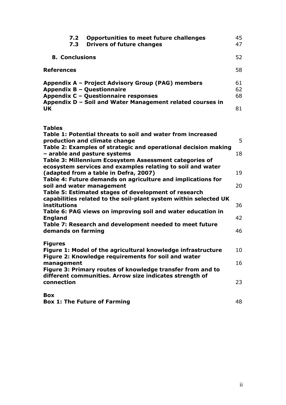| 7.2<br>7.3            | <b>Opportunities to meet future challenges</b><br><b>Drivers of future changes</b>                                      | 45<br>47       |
|-----------------------|-------------------------------------------------------------------------------------------------------------------------|----------------|
| <b>8. Conclusions</b> |                                                                                                                         | 52             |
| <b>References</b>     |                                                                                                                         | 58             |
|                       | Appendix A - Project Advisory Group (PAG) members<br>Appendix B - Questionnaire<br>Appendix C - Questionnaire responses | 61<br>62<br>68 |
| <b>UK</b>             | Appendix D - Soil and Water Management related courses in                                                               | 81             |

|  | <b>STATE</b><br>۰, | . .<br>۰.<br>v |
|--|--------------------|----------------|
|--|--------------------|----------------|

| Table 1: Potential threats to soil and water from increased<br>production and climate change                                        | 5        |
|-------------------------------------------------------------------------------------------------------------------------------------|----------|
| Table 2: Examples of strategic and operational decision making                                                                      | 18       |
| - arable and pasture systems<br>Table 3: Millennium Ecosystem Assessment categories of                                              |          |
| ecosystem services and examples relating to soil and water<br>(adapted from a table in Defra, 2007)                                 | 19       |
| Table 4: Future demands on agriculture and implications for<br>soil and water management                                            | 20       |
| Table 5: Estimated stages of development of research<br>capabilities related to the soil-plant system within selected UK            |          |
| institutions<br>Table 6: PAG views on improving soil and water education in<br><b>England</b>                                       | 36<br>42 |
| Table 7: Research and development needed to meet future<br>demands on farming                                                       | 46       |
| <b>Figures</b>                                                                                                                      |          |
| Figure 1: Model of the agricultural knowledge infrastructure<br>Figure 2: Knowledge requirements for soil and water                 | 10       |
| management                                                                                                                          | 16       |
| Figure 3: Primary routes of knowledge transfer from and to<br>different communities. Arrow size indicates strength of<br>connection | 23       |
| <b>Box</b>                                                                                                                          |          |
| <b>Box 1: The Future of Farming</b>                                                                                                 | 48       |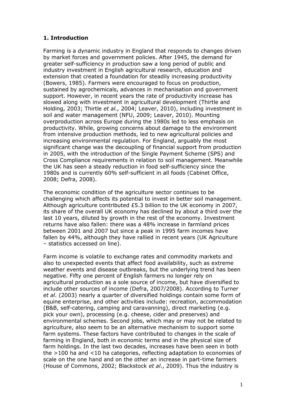# **1. Introduction**

Farming is a dynamic industry in England that responds to changes driven by market forces and government policies. After 1945, the demand for greater self-sufficiency in production saw a long period of public and industry investment in English agricultural research, education and extension that created a foundation for steadily increasing productivity (Bowers, 1985). Farmers were encouraged to focus on production, sustained by agrochemicals, advances in mechanisation and government support. However, in recent years the rate of productivity increase has slowed along with investment in agricultural development (Thirtle and Holding, 2003; Thirtle *et al.,* 2004; Leaver, 2010), including investment in soil and water management (NFU, 2009; Leaver, 2010). Mounting overproduction across Europe during the 1980s led to less emphasis on productivity. While, growing concerns about damage to the environment from intensive production methods, led to new agricultural policies and increasing environmental regulation. For England, arguably the most significant change was the decoupling of financial support from production in 2005, with the introduction of the Single Payment Scheme (SPS) and Cross Compliance requirements in relation to soil management. Meanwhile the UK has seen a steady reduction in food self-sufficiency since the 1980s and is currently 60% self-sufficient in all foods (Cabinet Office, 2008; Defra, 2008).

The economic condition of the agriculture sector continues to be challenging which affects its potential to invest in better soil management. Although agriculture contributed £5.3 billion to the UK economy in 2007, its share of the overall UK economy has declined by about a third over the last 10 years, diluted by growth in the rest of the economy. Investment returns have also fallen: there was a 48% increase in farmland prices between 2001 and 2007 but since a peak in 1995 farm incomes have fallen by 44%, although they have rallied in recent years (UK Agriculture – statistics accessed on line).

Farm income is volatile to exchange rates and commodity markets and also to unexpected events that affect food availability, such as extreme weather events and disease outbreaks, but the underlying trend has been negative. Fifty one percent of English farmers no longer rely on agricultural production as a sole source of income, but have diversified to include other sources of income (Defra, 2007/2008). According to Turner *et al*. (2003) nearly a quarter of diversified holdings contain some form of equine enterprise, and other activities include: recreation, accommodation (B&B, self-catering, camping and caravanning), direct marketing (e.g. pick your own), processing (e.g. cheese, cider and preserves) and environmental schemes. Second jobs, which may or may not be related to agriculture, also seem to be an alternative mechanism to support some farm systems. These factors have contributed to changes in the scale of farming in England, both in economic terms and in the physical size of farm holdings. In the last two decades, increases have been seen in both the >100 ha and <10 ha categories, reflecting adaptation to economies of scale on the one hand and on the other an increase in part-time farmers (House of Commons, 2002; Blackstock *et al*., 2009). Thus the industry is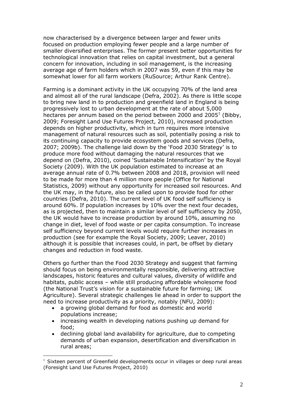now characterised by a divergence between larger and fewer units focused on production employing fewer people and a large number of smaller diversified enterprises. The former present better opportunities for technological innovation that relies on capital investment, but a general concern for innovation, including in soil management, is the increasing average age of farm holders which in 2007 was 59, even if this may be somewhat lower for all farm workers (RuSource; Arthur Rank Centre).

Farming is a dominant activity in the UK occupying 70% of the land area and almost all of the rural landscape (Defra, 2002). As there is little scope to bring new land in to production and greenfield land in England is being progressively lost to urban development at the rate of about 5,000 hectares per annum based on the period between 2000 and 2005<sup>[1](#page-10-0)</sup> (Bibby, 2009; Foresight Land Use Futures Project, 2010), increased production depends on higher productivity, which in turn requires more intensive management of natural resources such as soil, potentially posing a risk to its continuing capacity to provide ecosystem goods and services (Defra, 2007; 2009b). The challenge laid down by the 'Food 2030 Strategy' is to produce more food without damaging the natural resources that we depend on (Defra, 2010), coined 'Sustainable Intensification' by the Royal Society (2009). With the UK population estimated to increase at an average annual rate of 0.7% between 2008 and 2018, provision will need to be made for more than 4 million more people (Office for National Statistics, 2009) without any opportunity for increased soil resources. And the UK may, in the future, also be called upon to provide food for other countries (Defra, 2010). The current level of UK food self sufficiency is around 60%. If population increases by 10% over the next four decades, as is projected, then to maintain a similar level of self sufficiency by 2050, the UK would have to increase production by around 10%, assuming no change in diet, level of food waste or per capita consumption. To increase self sufficiency beyond current levels would require further increases in production (see for example the Royal Society, 2009; Leaver, 2010) although it is possible that increases could, in part, be offset by dietary changes and reduction in food waste.

Others go further than the Food 2030 Strategy and suggest that farming should focus on being environmentally responsible, delivering attractive landscapes, historic features and cultural values, diversity of wildlife and habitats, public access – while still producing affordable wholesome food (the National Trust's vision for a sustainable future for farming; UK Agriculture). Several strategic challenges lie ahead in order to support the need to increase productivity as a priority, notably (NFU, 2009):

- a growing global demand for food as domestic and world populations increase;
- increasing wealth in developing nations pushing up demand for food;
- declining global land availability for agriculture, due to competing demands of urban expansion, desertification and diversification in rural areas;

<span id="page-10-0"></span>Sixteen percent of Greenfield developments occur in villages or deep rural areas (Foresight Land Use Futures Project, 2010)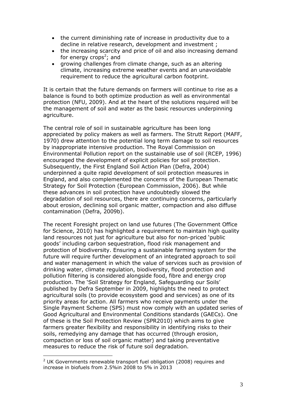- the current diminishing rate of increase in productivity due to a decline in relative research, development and investment ;
- the increasing scarcity and price of oil and also increasing demand for energy crops<sup>2</sup>[;](#page-11-0) and
- growing challenges from climate change, such as an altering climate, increasing extreme weather events and an unavoidable requirement to reduce the agricultural carbon footprint.

It is certain that the future demands on farmers will continue to rise as a balance is found to both optimize production as well as environmental protection (NFU, 2009). And at the heart of the solutions required will be the management of soil and water as the basic resources underpinning agriculture.

The central role of soil in sustainable agriculture has been long appreciated by policy makers as well as farmers. The Strutt Report (MAFF, 1970) drew attention to the potential long term damage to soil resources by inappropriate intensive production. The Royal Commission on Environmental Pollution report on the sustainable use of soil (RCEP, 1996) encouraged the development of explicit policies for soil protection. Subsequently, the First England Soil Action Plan (Defra, 2004) underpinned a quite rapid development of soil protection measures in England, and also complemented the concerns of the European Thematic Strategy for Soil Protection (European Commission, 2006). But while these advances in soil protection have undoubtedly slowed the degradation of soil resources, there are continuing concerns, particularly about erosion, declining soil organic matter, compaction and also diffuse contamination (Defra, 2009b).

The recent Foresight project on land use futures (The Government Office for Science, 2010) has highlighted a requirement to maintain high quality land resources not just for agriculture but also for non-priced 'public goods' including carbon sequestration, flood risk management and protection of biodiversity. Ensuring a sustainable farming system for the future will require further development of an integrated approach to soil and water management in which the value of services such as provision of drinking water, climate regulation, biodiversity, flood protection and pollution filtering is considered alongside food, fibre and energy crop production. The 'Soil Strategy for England, Safeguarding our Soils' published by Defra September in 2009, highlights the need to protect agricultural soils (to provide ecosystem good and services) as one of its priority areas for action. All farmers who receive payments under the Single Payment Scheme (SPS) must now comply with an updated series of Good Agricultural and Environmental Conditions standards (GAECs). One of these is the Soil Protection Review (SPR2010) which aims to give farmers greater flexibility and responsibility in identifying risks to their soils, remedying any damage that has occurred (through erosion, compaction or loss of soil organic matter) and taking preventative measures to reduce the risk of future soil degradation.

<span id="page-11-0"></span> $2$  UK Governments renewable transport fuel obligation (2008) requires and increase in biofuels from 2.5%in 2008 to 5% in 2013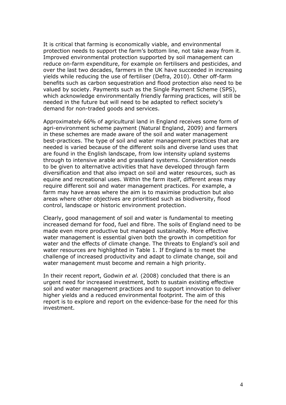It is critical that farming is economically viable, and environmental protection needs to support the farm's bottom line, not take away from it. Improved environmental protection supported by soil management can reduce on-farm expenditure, for example on fertilisers and pesticides, and over the last two decades, farmers in the UK have succeeded in increasing yields while reducing the use of fertiliser (Defra, 2010). Other off-farm benefits such as carbon sequestration and flood protection also need to be valued by society. Payments such as the Single Payment Scheme (SPS), which acknowledge environmentally friendly farming practices, will still be needed in the future but will need to be adapted to reflect society's demand for non-traded goods and services.

Approximately 66% of agricultural land in England receives some form of agri-environment scheme payment (Natural England, 2009) and farmers in these schemes are made aware of the soil and water management best-practices. The type of soil and water management practices that are needed is varied because of the different soils and diverse land uses that are found in the English landscape, from low intensity upland systems through to intensive arable and grassland systems. Consideration needs to be given to alternative activities that have developed through farm diversification and that also impact on soil and water resources, such as equine and recreational uses. Within the farm itself, different areas may require different soil and water management practices. For example, a farm may have areas where the aim is to maximise production but also areas where other objectives are prioritised such as biodiversity, flood control, landscape or historic environment protection.

Clearly, good management of soil and water is fundamental to meeting increased demand for food, fuel and fibre. The soils of England need to be made even more productive but managed sustainably. More effective water management is essential given both the growth in competition for water and the effects of climate change. The threats to England's soil and water resources are highlighted in Table 1. If England is to meet the challenge of increased productivity and adapt to climate change, soil and water management must become and remain a high priority.

In their recent report, Godwin *et al.* (2008) concluded that there is an urgent need for increased investment, both to sustain existing effective soil and water management practices and to support innovation to deliver higher yields and a reduced environmental footprint. The aim of this report is to explore and report on the evidence-base for the need for this investment.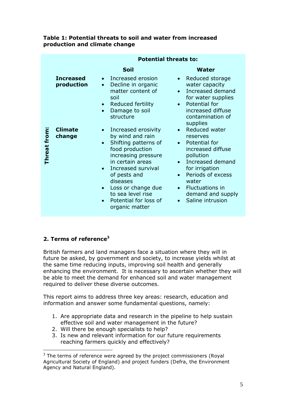|              |                                | <b>Potential threats to:</b>                                                                                                                                                                                                                                                       |                                                                                                                                                                                                                                       |  |
|--------------|--------------------------------|------------------------------------------------------------------------------------------------------------------------------------------------------------------------------------------------------------------------------------------------------------------------------------|---------------------------------------------------------------------------------------------------------------------------------------------------------------------------------------------------------------------------------------|--|
|              |                                | Soil                                                                                                                                                                                                                                                                               | Water                                                                                                                                                                                                                                 |  |
|              | <b>Increased</b><br>production | Increased erosion<br>$\bullet$<br>Decline in organic<br>$\bullet$<br>matter content of<br>soil<br>Reduced fertility<br>$\bullet$<br>Damage to soil<br>$\bullet$<br>structure                                                                                                       | Reduced storage<br>water capacity<br>Increased demand<br>for water supplies<br>Potential for<br>$\bullet$<br>increased diffuse<br>contamination of                                                                                    |  |
| Threat from: | <b>Climate</b><br>change       | Increased erosivity<br>by wind and rain<br>Shifting patterns of<br>food production<br>increasing pressure<br>in certain areas<br>Increased survival<br>of pests and<br>diseases<br>Loss or change due<br>$\bullet$<br>to sea level rise<br>Potential for loss of<br>organic matter | supplies<br>Reduced water<br>reserves<br>Potential for<br>increased diffuse<br>pollution<br>Increased demand<br>for irrigation<br>Periods of excess<br>water<br>Fluctuations in<br>$\bullet$<br>demand and supply<br>Saline intrusion |  |

#### **Table 1: Potential threats to soil and water from increased production and climate change**

# **2. Terms of reference[3](#page-13-0)**

British farmers and land managers face a situation where they will in future be asked, by government and society, to increase yields whilst at the same time reducing inputs, improving soil health and generally enhancing the environment. It is necessary to ascertain whether they will be able to meet the demand for enhanced soil and water management required to deliver these diverse outcomes.

This report aims to address three key areas: research, education and information and answer some fundamental questions, namely:

- 1. Are appropriate data and research in the pipeline to help sustain effective soil and water management in the future?
- 2. Will there be enough specialists to help?
- 3. Is new and relevant information for our future requirements reaching farmers quickly and effectively?

<span id="page-13-0"></span> $3$  The terms of reference were agreed by the project commissioners (Royal Agricultural Society of England) and project funders (Defra, the Environment Agency and Natural England).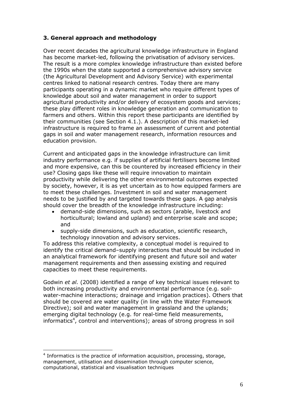# **3. General approach and methodology**

Over recent decades the agricultural knowledge infrastructure in England has become market-led, following the privatisation of advisory services. The result is a more complex knowledge infrastructure than existed before the 1990s when the state supported a comprehensive advisory service (the Agricultural Development and Advisory Service) with experimental centres linked to national research centres. Today there are many participants operating in a dynamic market who require different types of knowledge about soil and water management in order to support agricultural productivity and/or delivery of ecosystem goods and services; these play different roles in knowledge generation and communication to farmers and others. Within this report these participants are identified by their communities (see Section 4.1.). A description of this market-led infrastructure is required to frame an assessment of current and potential gaps in soil and water management research, information resources and education provision.

Current and anticipated gaps in the knowledge infrastructure can limit industry performance e.g. if supplies of artificial fertilisers become limited and more expensive, can this be countered by increased efficiency in their use? Closing gaps like these will require innovation to maintain productivity while delivering the other environmental outcomes expected by society, however, it is as yet uncertain as to how equipped farmers are to meet these challenges. Investment in soil and water management needs to be justified by and targeted towards these gaps. A gap analysis should cover the breadth of the knowledge infrastructure including:

- demand-side dimensions, such as sectors (arable, livestock and horticultural; lowland and upland) and enterprise scale and scope; and
- supply-side dimensions, such as education, scientific research, technology innovation and advisory services.

To address this relative complexity, a conceptual model is required to identify the critical demand–supply interactions that should be included in an analytical framework for identifying present and future soil and water management requirements and then assessing existing and required capacities to meet these requirements.

Godwin *et al.* (2008) identified a range of key technical issues relevant to both increasing productivity and environmental performance (e.g. soilwater-machine interactions; drainage and irrigation practices). Others that should be covered are water quality (in line with the Water Framework Directive); soil and water management in grassland and the uplands; emerging digital technology (e.g. for real-time field measurements, informatics<sup>4</sup>[,](#page-14-0) control and interventions); areas of strong progress in soil

<span id="page-14-0"></span><sup>&</sup>lt;sup>4</sup> Informatics is the practice of information acquisition, processing, storage, management, utilisation and dissemination through computer science, computational, statistical and visualisation techniques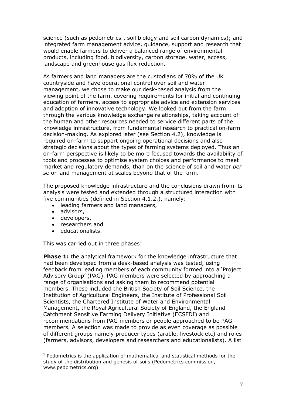science (such as pedometrics<sup>5</sup>[,](#page-15-0) soil biology and soil carbon dynamics); and integrated farm management advice, guidance, support and research that would enable farmers to deliver a balanced range of environmental products, including food, biodiversity, carbon storage, water, access, landscape and greenhouse gas flux reduction.

As farmers and land managers are the custodians of 70% of the UK countryside and have operational control over soil and water management, we chose to make our desk-based analysis from the viewing point of the farm, covering requirements for initial and continuing education of farmers, access to appropriate advice and extension services and adoption of innovative technology. We looked out from the farm through the various knowledge exchange relationships, taking account of the human and other resources needed to service different parts of the knowledge infrastructure, from fundamental research to practical on-farm decision-making. As explored later (see Section 4.2), knowledge is required on-farm to support ongoing operational decisions and also strategic decisions about the types of farming systems deployed. Thus an on-farm perspective is likely to be more focused towards the availability of tools and processes to optimise system choices and performance to meet market and regulatory demands, than on the science of soil and water *per se* or land management at scales beyond that of the farm.

The proposed knowledge infrastructure and the conclusions drawn from its analysis were tested and extended through a structured interaction with five communities (defined in Section 4.1.2.), namely:

- leading farmers and land managers,
- advisors,
- developers,
- researchers and
- educationalists.

This was carried out in three phases:

**Phase 1:** the analytical framework for the knowledge infrastructure that had been developed from a desk-based analysis was tested, using feedback from leading members of each community formed into a 'Project Advisory Group' (PAG). PAG members were selected by approaching a range of organisations and asking them to recommend potential members. These included the British Society of Soil Science, the Institution of Agricultural Engineers, the Institute of Professional Soil Scientists, the Chartered Institute of Water and Environmental Management, the Royal Agricultural Society of England, the England Catchment Sensitive Farming Delivery Initiative (ECSFDI) and recommendations from PAG members or people approached to be PAG members*.* A selection was made to provide as even coverage as possible of different groups namely producer types (arable, livestock etc) and roles (farmers, advisors, developers and researchers and educationalists). A list

<span id="page-15-0"></span><sup>&</sup>lt;sup>5</sup> Pedometrics is the application of mathematical and statistical methods for the study of the distribution and genesis of soils (Pedometrics commission, www.pedometrics.org)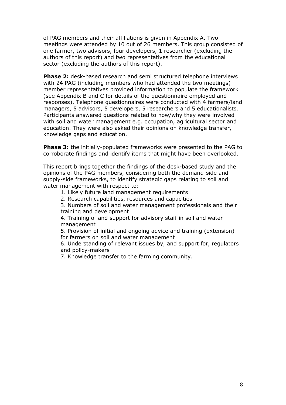of PAG members and their affiliations is given in Appendix A. Two meetings were attended by 10 out of 26 members. This group consisted of one farmer, two advisors, four developers, 1 researcher (excluding the authors of this report) and two representatives from the educational sector (excluding the authors of this report).

**Phase 2:** desk-based research and semi structured telephone interviews with 24 PAG (including members who had attended the two meetings) member representatives provided information to populate the framework (see Appendix B and C for details of the questionnaire employed and responses). Telephone questionnaires were conducted with 4 farmers/land managers, 5 advisors, 5 developers, 5 researchers and 5 educationalists. Participants answered questions related to how/why they were involved with soil and water management e.g. occupation, agricultural sector and education. They were also asked their opinions on knowledge transfer, knowledge gaps and education.

**Phase 3:** the initially-populated frameworks were presented to the PAG to corroborate findings and identify items that might have been overlooked.

This report brings together the findings of the desk-based study and the opinions of the PAG members, considering both the demand-side and supply-side frameworks, to identify strategic gaps relating to soil and water management with respect to:

1. Likely future land management requirements

2. Research capabilities, resources and capacities

3. Numbers of soil and water management professionals and their training and development

4. Training of and support for advisory staff in soil and water management

5. Provision of initial and ongoing advice and training (extension) for farmers on soil and water management

6. Understanding of relevant issues by, and support for, regulators and policy-makers

7. Knowledge transfer to the farming community.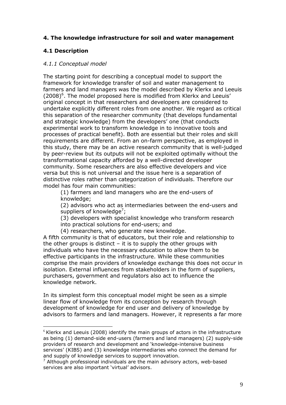## **4. The knowledge infrastructure for soil and water management**

# **4.1 Description**

## *4.1.1 Conceptual model*

The starting point for describing a conceptual model to support the framework for knowledge transfer of soil and water management to farmers and land managers was the model described by Klerkx and Leeuis  $(2008)^6$ [.](#page-17-0) The model proposed here is modified from Klerkx and Leeuis' original concept in that researchers and developers are considered to undertake explicitly different roles from one another. We regard as critical this separation of the researcher community (that develops fundamental and strategic knowledge) from the developers' one (that conducts experimental work to transform knowledge in to innovative tools and processes of practical benefit). Both are essential but their roles and skill requirements are different. From an on-farm perspective, as employed in this study, there may be an active research community that is well-judged by peer-review but its outputs will not be exploited optimally without the transformational capacity afforded by a well-directed developer community. Some researchers are also effective developers and vice versa but this is not universal and the issue here is a separation of distinctive roles rather than categorization of individuals. Therefore our model has four main communities:

(1) farmers and land managers who are the end-users of knowledge;

(2) advisors who act as intermediaries between the end-users and suppliers of knowledge<sup>7</sup>[;](#page-17-1)

(3) developers with specialist knowledge who transform research into practical solutions for end-users; and

(4) researchers, who generate new knowledge.

A fifth community is that of educators, but their role and relationship to the other groups is distinct  $-$  it is to supply the other groups with individuals who have the necessary education to allow them to be effective participants in the infrastructure. While these communities comprise the main providers of knowledge exchange this does not occur in isolation. External influences from stakeholders in the form of suppliers, purchasers, government and regulators also act to influence the knowledge network.

In its simplest form this conceptual model might be seen as a simple linear flow of knowledge from its conception by research through development of knowledge for end user and delivery of knowledge by advisors to farmers and land managers. However, it represents a far more

<span id="page-17-0"></span> $6$  Klerkx and Leeuis (2008) identify the main groups of actors in the infrastructure as being (1) demand-side end-users (farmers and land managers) (2) supply-side providers of research and development and 'knowledge-intensive business services' (KIBS) and (3) knowledge intermediaries who connect the demand for and supply of knowledge services to support innovation.

<span id="page-17-1"></span> $<sup>7</sup>$  Although professional individuals are the main advisory actors, web-based</sup> services are also important 'virtual' advisors.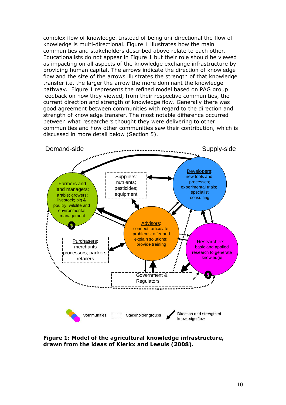complex flow of knowledge. Instead of being uni-directional the flow of knowledge is multi-directional. Figure 1 illustrates how the main communities and stakeholders described above relate to each other. Educationalists do not appear in Figure 1 but their role should be viewed as impacting on all aspects of the knowledge exchange infrastructure by providing human capital. The arrows indicate the direction of knowledge flow and the size of the arrows illustrates the strength of that knowledge transfer i.e. the larger the arrow the more dominant the knowledge pathway. Figure 1 represents the refined model based on PAG group feedback on how they viewed, from their respective communities, the current direction and strength of knowledge flow. Generally there was good agreement between communities with regard to the direction and strength of knowledge transfer. The most notable difference occurred between what researchers thought they were delivering to other communities and how other communities saw their contribution, which is discussed in more detail below (Section 5).



**Figure 1: Model of the agricultural knowledge infrastructure, drawn from the ideas of Klerkx and Leeuis (2008).**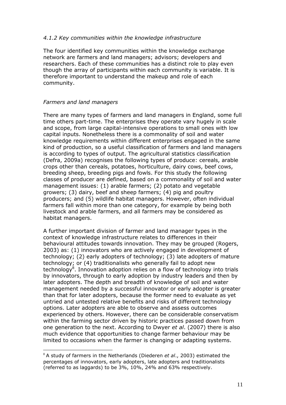#### *4.1.2 Key communities within the knowledge infrastructure*

The four identified key communities within the knowledge exchange network are farmers and land managers; advisors; developers and researchers. Each of these communities has a distinct role to play even though the array of participants within each community is variable. It is therefore important to understand the makeup and role of each community.

#### *Farmers and land managers*

There are many types of farmers and land managers in England, some full time others part-time. The enterprises they operate vary hugely in scale and scope, from large capital-intensive operations to small ones with low capital inputs. Nonetheless there is a commonality of soil and water knowledge requirements within different enterprises engaged in the same kind of production, so a useful classification of farmers and land managers is according to types of output. The agricultural statistics classification (Defra, 2009a) recognises the following types of produce: cereals, arable crops other than cereals, potatoes, horticulture, dairy cows, beef cows, breeding sheep, breeding pigs and fowls. For this study the following classes of producer are defined, based on a commonality of soil and water management issues: (1) arable farmers; (2) potato and vegetable growers; (3) dairy, beef and sheep farmers; (4) pig and poultry producers; and (5) wildlife habitat managers. However, often individual farmers fall within more than one category, for example by being both livestock and arable farmers, and all farmers may be considered as habitat managers.

A further important division of farmer and land manager types in the context of knowledge infrastructure relates to differences in their behavioural attitudes towards innovation. They may be grouped (Rogers, 2003) as: (1) innovators who are actively engaged in development of technology; (2) early adopters of technology; (3) late adopters of mature technology; or (4) traditionalists who generally fail to adopt new technology<sup>8</sup>[.](#page-19-0) Innovation adoption relies on a flow of technology into trials by innovators, through to early adoption by industry leaders and then by later adopters. The depth and breadth of knowledge of soil and water management needed by a successful innovator or early adopter is greater than that for later adopters, because the former need to evaluate as yet untried and untested relative benefits and risks of different technology options. Later adopters are able to observe and assess outcomes experienced by others. However, there can be considerable conservatism within the farming sector driven by historic practices passed down from one generation to the next. According to Dwyer *et al*. (2007) there is also much evidence that opportunities to change farmer behaviour may be limited to occasions when the farmer is changing or adapting systems.

<span id="page-19-0"></span><sup>8</sup> A study of farmers in the Netherlands (Diederen *et al*., 2003) estimated the percentages of innovators, early adopters, late adopters and traditionalists (referred to as laggards) to be 3%, 10%, 24% and 63% respectively.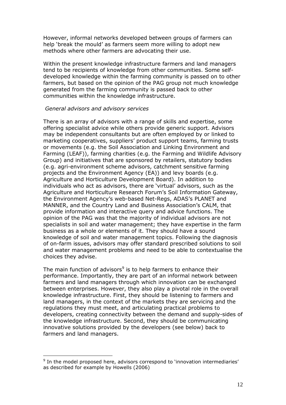However, informal networks developed between groups of farmers can help 'break the mould' as farmers seem more willing to adopt new methods where other farmers are advocating their use.

Within the present knowledge infrastructure farmers and land managers tend to be recipients of knowledge from other communities. Some selfdeveloped knowledge within the farming community is passed on to other farmers, but based on the opinion of the PAG group not much knowledge generated from the farming community is passed back to other communities within the knowledge infrastructure.

#### *General advisors and advisory services*

There is an array of advisors with a range of skills and expertise, some offering specialist advice while others provide generic support. Advisors may be independent consultants but are often employed by or linked to marketing cooperatives, suppliers' product support teams, farming trusts or movements (e.g. the Soil Association and Linking Environment and Farming (LEAF)), farming charities (e.g. the Farming and Wildlife Advisory Group) and initiatives that are sponsored by retailers, statutory bodies (e.g. agri-environment scheme advisors, catchment sensitive farming projects and the Environment Agency (EA)) and levy boards (e.g. Agriculture and Horticulture Development Board). In addition to individuals who act as advisors, there are 'virtual' advisors, such as the Agriculture and Horticulture Research Forum's Soil Information Gateway, the Environment Agency's web-based Net-Regs, ADAS's PLANET and MANNER, and the Country Land and Business Association's CALM, that provide information and interactive query and advice functions. The opinion of the PAG was that the majority of individual advisors are not specialists in soil and water management; they have expertise in the farm business as a whole or elements of it. They should have a sound knowledge of soil and water management topics. Following the diagnosis of on-farm issues, advisors may offer standard prescribed solutions to soil and water management problems and need to be able to contextualise the choices they advise.

The main function of advisors<sup>[9](#page-20-0)</sup> is to help farmers to enhance their performance. Importantly, they are part of an informal network between farmers and land managers through which innovation can be exchanged between enterprises. However, they also play a pivotal role in the overall knowledge infrastructure. First, they should be listening to farmers and land managers, in the context of the markets they are servicing and the regulations they must meet, and articulating practical problems to developers, creating connectivity between the demand and supply-sides of the knowledge infrastructure. Second, they should be communicating innovative solutions provided by the developers (see below) back to farmers and land managers.

<span id="page-20-0"></span><sup>&</sup>lt;sup>9</sup> In the model proposed here, advisors correspond to 'innovation intermediaries' as described for example by Howells (2006)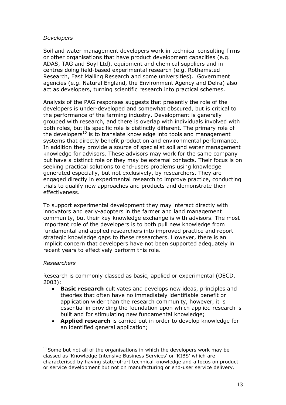#### *Developers*

Soil and water management developers work in technical consulting firms or other organisations that have product development capacities (e.g. ADAS, TAG and Soyl Ltd), equipment and chemical suppliers and in centres doing field-based experimental research (e.g. Rothamsted Research, East Malling Research and some universities). Government agencies (e.g. Natural England, the Environment Agency and Defra) also act as developers, turning scientific research into practical schemes.

Analysis of the PAG responses suggests that presently the role of the developers is under-developed and somewhat obscured, but is critical to the performance of the farming industry. Development is generally grouped with research, and there is overlap with individuals involved with both roles, but its specific role is distinctly different. The primary role of the developers<sup>[10](#page-21-0)</sup> is to translate knowledge into tools and management systems that directly benefit production and environmental performance. In addition they provide a source of specialist soil and water management knowledge for advisors. These advisors may work for the same company but have a distinct role or they may be external contacts. Their focus is on seeking practical solutions to end-users problems using knowledge generated especially, but not exclusively, by researchers. They are engaged directly in experimental research to improve practice, conducting trials to qualify new approaches and products and demonstrate their effectiveness.

To support experimental development they may interact directly with innovators and early-adopters in the farmer and land management community, but their key knowledge exchange is with advisors. The most important role of the developers is to both pull new knowledge from fundamental and applied researchers into improved practice and report strategic knowledge gaps to these researchers. However, there is an implicit concern that developers have not been supported adequately in recent years to effectively perform this role.

#### *Researchers*

Research is commonly classed as basic, applied or experimental (OECD, 2003):

- **Basic research** cultivates and develops new ideas, principles and theories that often have no immediately identifiable benefit or application wider than the research community, however, it is essential in providing the foundation upon which applied research is built and for stimulating new fundamental knowledge;
- **Applied research** is carried out in order to develop knowledge for an identified general application;

<span id="page-21-0"></span> $10$  Some but not all of the organisations in which the developers work may be classed as 'Knowledge Intensive Business Services' or 'KIBS' which are characterised by having state-of-art technical knowledge and a focus on product or service development but not on manufacturing or end-user service delivery.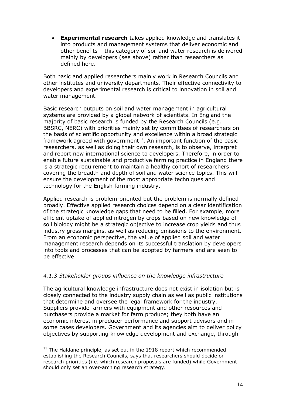**Experimental research** takes applied knowledge and translates it into products and management systems that deliver economic and other benefits – this category of soil and water research is delivered mainly by developers (see above) rather than researchers as defined here.

Both basic and applied researchers mainly work in Research Councils and other institutes and university departments. Their effective connectivity to developers and experimental research is critical to innovation in soil and water management.

Basic research outputs on soil and water management in agricultural systems are provided by a global network of scientists. In England the majority of basic research is funded by the Research Councils (e.g. BBSRC, NERC) with priorities mainly set by committees of researchers on the basis of scientific opportunity and excellence within a broad strategic framework agreed with government<sup>[11](#page-22-0)</sup>. An important function of the basic researchers, as well as doing their own research, is to observe, interpret and report new international science to developers. Therefore, in order to enable future sustainable and productive farming practice in England there is a strategic requirement to maintain a healthy cohort of researchers covering the breadth and depth of soil and water science topics. This will ensure the development of the most appropriate techniques and technology for the English farming industry.

Applied research is problem-oriented but the problem is normally defined broadly. Effective applied research choices depend on a clear identification of the strategic knowledge gaps that need to be filled. For example, more efficient uptake of applied nitrogen by crops based on new knowledge of soil biology might be a strategic objective to increase crop yields and thus industry gross margins, as well as reducing emissions to the environment. From an economic perspective, the value of applied soil and water management research depends on its successful translation by developers into tools and processes that can be adopted by farmers and are seen to be effective.

# *4.1.3 Stakeholder groups influence on the knowledge infrastructure*

The agricultural knowledge infrastructure does not exist in isolation but is closely connected to the industry supply chain as well as public institutions that determine and oversee the legal framework for the industry. Suppliers provide farmers with equipment and other resources and purchasers provide a market for farm produce; they both have an economic interest in producer performance and support advisors and in some cases developers. Government and its agencies aim to deliver policy objectives by supporting knowledge development and exchange, through

<span id="page-22-0"></span> $11$  The Haldane principle, as set out in the 1918 report which recommended establishing the Research Councils, says that researchers should decide on research priorities (i.e. which research proposals are funded) while Government should only set an over-arching research strategy.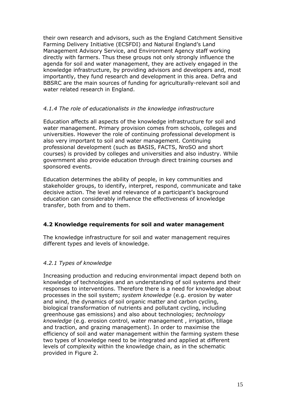their own research and advisors, such as the England Catchment Sensitive Farming Delivery Initiative (ECSFDI) and Natural England's Land Management Advisory Service, and Environment Agency staff working directly with farmers. Thus these groups not only strongly influence the agenda for soil and water management, they are actively engaged in the knowledge infrastructure, by providing advisors and developers and, most importantly, they fund research and development in this area. Defra and BBSRC are the main sources of funding for agriculturally-relevant soil and water related research in England.

## *4.1.4 The role of educationalists in the knowledge infrastructure*

Education affects all aspects of the knowledge infrastructure for soil and water management. Primary provision comes from schools, colleges and universities. However the role of continuing professional development is also very important to soil and water management. Continuing professional development (such as BASIS, FACTS, NroSO and short courses) is provided by colleges and universities and also industry. While government also provide education through direct training courses and sponsored events.

Education determines the ability of people, in key communities and stakeholder groups, to identify, interpret, respond, communicate and take decisive action. The level and relevance of a participant's background education can considerably influence the effectiveness of knowledge transfer, both from and to them.

# **4.2 Knowledge requirements for soil and water management**

The knowledge infrastructure for soil and water management requires different types and levels of knowledge.

# *4.2.1 Types of knowledge*

Increasing production and reducing environmental impact depend both on knowledge of technologies and an understanding of soil systems and their responses to interventions. Therefore there is a need for knowledge about processes in the soil system; *system knowledge* (e.g. erosion by water and wind, the dynamics of soil organic matter and carbon cycling, biological transformation of nutrients and pollutant cycling, including greenhouse gas emissions) and also about technologies; *technology knowledge* (e.g. erosion control, water management , irrigation, tillage and traction, and grazing management). In order to maximise the efficiency of soil and water management within the farming system these two types of knowledge need to be integrated and applied at different levels of complexity within the knowledge chain, as in the schematic provided in Figure 2.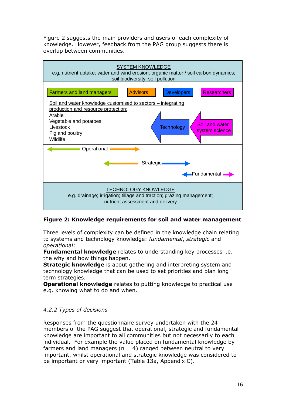Figure 2 suggests the main providers and users of each complexity of knowledge. However, feedback from the PAG group suggests there is overlap between communities.



# **Figure 2: Knowledge requirements for soil and water management**

Three levels of complexity can be defined in the knowledge chain relating to systems and technology knowledge: *fundamental*, *strategic* and *operational*:

**Fundamental knowledge** relates to understanding key processes i.e. the why and how things happen.

**Strategic knowledge** is about gathering and interpreting system and technology knowledge that can be used to set priorities and plan long term strategies.

**Operational knowledge** relates to putting knowledge to practical use e.g. knowing what to do and when.

# *4.2.2 Types of decisions*

Responses from the questionnaire survey undertaken with the 24 members of the PAG suggest that operational, strategic and fundamental knowledge are important to all communities but not necessarily to each individual. For example the value placed on fundamental knowledge by farmers and land managers ( $n = 4$ ) ranged between neutral to very important, whilst operational and strategic knowledge was considered to be important or very important (Table 13a, Appendix C).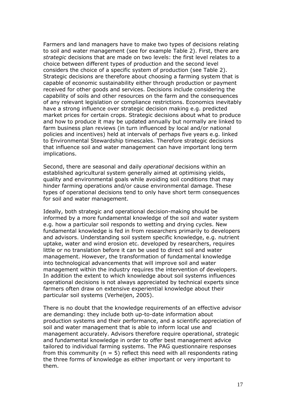Farmers and land managers have to make two types of decisions relating to soil and water management (see for example Table 2). First, there are *strategic* decisions that are made on two levels: the first level relates to a choice between different types of production and the second level considers the choice of a specific system of production (see Table 2). Strategic decisions are therefore about choosing a farming system that is capable of economic sustainability either through production or payment received for other goods and services. Decisions include considering the capability of soils and other resources on the farm and the consequences of any relevant legislation or compliance restrictions. Economics inevitably have a strong influence over strategic decision making e.g. predicted market prices for certain crops. Strategic decisions about what to produce and how to produce it may be updated annually but normally are linked to farm business plan reviews (in turn influenced by local and/or national policies and incentives) held at intervals of perhaps five years e.g. linked to Environmental Stewardship timescales. Therefore strategic decisions that influence soil and water management can have important long term implications.

Second, there are seasonal and daily *operational* decisions within an established agricultural system generally aimed at optimising yields, quality and environmental goals while avoiding soil conditions that may hinder farming operations and/or cause environmental damage. These types of operational decisions tend to only have short term consequences for soil and water management.

Ideally, both strategic and operational decision-making should be informed by a more fundamental knowledge of the soil and water system e.g. how a particular soil responds to wetting and drying cycles. New fundamental knowledge is fed in from researchers primarily to developers and advisors. Understanding soil system specific knowledge, e.g. nutrient uptake, water and wind erosion etc. developed by researchers, requires little or no translation before it can be used to direct soil and water management. However, the transformation of fundamental knowledge into technological advancements that will improve soil and water management within the industry requires the intervention of developers. In addition the extent to which knowledge about soil systems influences operational decisions is not always appreciated by technical experts since farmers often draw on extensive experiential knowledge about their particular soil systems (Verheijen, 2005).

There is no doubt that the knowledge requirements of an effective advisor are demanding: they include both up-to-date information about production systems and their performance, and a scientific appreciation of soil and water management that is able to inform local use and management accurately. Advisors therefore require operational, strategic and fundamental knowledge in order to offer best management advice tailored to individual farming systems. The PAG questionnaire responses from this community ( $n = 5$ ) reflect this need with all respondents rating the three forms of knowledge as either important or very important to them.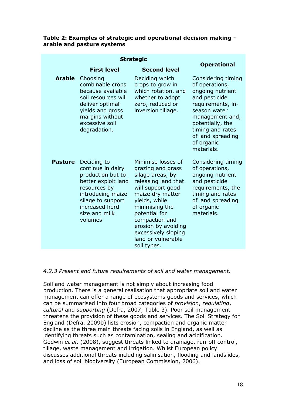#### **Table 2: Examples of strategic and operational decision making arable and pasture systems**

| <b>Strategic</b><br><b>Operational</b> |                                                                                                                                                                                      |                                                                                                                                                                                                                                                                                      |                                                                                                                                                                                                                            |
|----------------------------------------|--------------------------------------------------------------------------------------------------------------------------------------------------------------------------------------|--------------------------------------------------------------------------------------------------------------------------------------------------------------------------------------------------------------------------------------------------------------------------------------|----------------------------------------------------------------------------------------------------------------------------------------------------------------------------------------------------------------------------|
|                                        | <b>First level</b>                                                                                                                                                                   | <b>Second level</b>                                                                                                                                                                                                                                                                  |                                                                                                                                                                                                                            |
| <b>Arable</b>                          | Choosing<br>combinable crops<br>because available<br>soil resources will<br>deliver optimal<br>yields and gross<br>margins without<br>excessive soil<br>degradation.                 | Deciding which<br>crops to grow in<br>which rotation, and<br>whether to adopt<br>zero, reduced or<br>inversion tillage.                                                                                                                                                              | Considering timing<br>of operations,<br>ongoing nutrient<br>and pesticide<br>requirements, in-<br>season water<br>management and,<br>potentially, the<br>timing and rates<br>of land spreading<br>of organic<br>materials. |
| <b>Pasture</b>                         | Deciding to<br>continue in dairy<br>production but to<br>better exploit land<br>resources by<br>introducing maize<br>silage to support<br>increased herd<br>size and milk<br>volumes | Minimise losses of<br>grazing and grass<br>silage areas, by<br>releasing land that<br>will support good<br>maize dry matter<br>yields, while<br>minimising the<br>potential for<br>compaction and<br>erosion by avoiding<br>excessively sloping<br>land or vulnerable<br>soil types. | Considering timing<br>of operations,<br>ongoing nutrient<br>and pesticide<br>requirements, the<br>timing and rates<br>of land spreading<br>of organic<br>materials.                                                        |

#### *4.2.3 Present and future requirements of soil and water management.*

Soil and water management is not simply about increasing food production. There is a general realisation that appropriate soil and water management can offer a range of ecosystems goods and services, which can be summarised into four broad categories of *provision*, *regulating*, *cultural* and *supporting* (Defra, 2007; Table 3). Poor soil management threatens the provision of these goods and services. The Soil Strategy for England (Defra, 2009b) lists erosion, compaction and organic matter decline as the three main threats facing soils in England, as well as identifying threats such as contamination, sealing and acidification. Godwin *et al*. (2008), suggest threats linked to drainage, run-off control, tillage, waste management and irrigation. Whilst European policy discusses additional threats including salinisation, flooding and landslides, and loss of soil biodiversity (European Commission, 2006).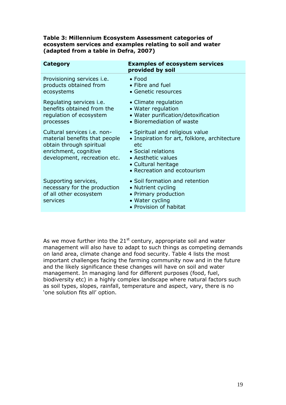#### **Table 3: Millennium Ecosystem Assessment categories of ecosystem services and examples relating to soil and water (adapted from a table in Defra, 2007)**

| Category                                                                                                                                          | <b>Examples of ecosystem services</b><br>provided by soil                                                                                                                                 |
|---------------------------------------------------------------------------------------------------------------------------------------------------|-------------------------------------------------------------------------------------------------------------------------------------------------------------------------------------------|
| Provisioning services <i>i.e.</i><br>products obtained from<br>ecosystems                                                                         | $\bullet$ Food<br>• Fibre and fuel<br>• Genetic resources                                                                                                                                 |
| Regulating services <i>i.e.</i><br>benefits obtained from the<br>regulation of ecosystem<br>processes                                             | • Climate regulation<br>• Water regulation<br>• Water purification/detoxification<br>• Bioremediation of waste                                                                            |
| Cultural services i.e. non-<br>material benefits that people<br>obtain through spiritual<br>enrichment, cognitive<br>development, recreation etc. | • Spiritual and religious value<br>• Inspiration for art, folklore, architecture<br>etc<br>• Social relations<br>• Aesthetic values<br>• Cultural heritage<br>• Recreation and ecotourism |
| Supporting services,<br>necessary for the production<br>of all other ecosystem<br>services                                                        | • Soil formation and retention<br>• Nutrient cycling<br>• Primary production<br>• Water cycling<br>• Provision of habitat                                                                 |
|                                                                                                                                                   |                                                                                                                                                                                           |

As we move further into the  $21<sup>st</sup>$  century, appropriate soil and water management will also have to adapt to such things as competing demands on land area, climate change and food security. Table 4 lists the most important challenges facing the farming community now and in the future and the likely significance these changes will have on soil and water management. In managing land for different purposes (food, fuel, biodiversity etc) in a highly complex landscape where natural factors such as soil types, slopes, rainfall, temperature and aspect, vary, there is no 'one solution fits all' option.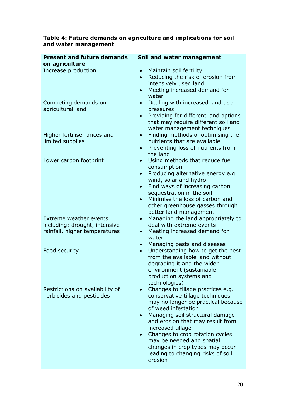| <b>Present and future demands</b><br>on agriculture                                      | Soil and water management                                                                                                                                                                                                                                                                                                                                                                                  |  |
|------------------------------------------------------------------------------------------|------------------------------------------------------------------------------------------------------------------------------------------------------------------------------------------------------------------------------------------------------------------------------------------------------------------------------------------------------------------------------------------------------------|--|
| Increase production                                                                      | Maintain soil fertility<br>$\bullet$<br>Reducing the risk of erosion from<br>$\bullet$<br>intensively used land<br>Meeting increased demand for<br>$\bullet$<br>water                                                                                                                                                                                                                                      |  |
| Competing demands on<br>agricultural land                                                | Dealing with increased land use<br>$\bullet$<br>pressures<br>Providing for different land options<br>$\bullet$<br>that may require different soil and<br>water management techniques                                                                                                                                                                                                                       |  |
| Higher fertiliser prices and<br>limited supplies                                         | Finding methods of optimising the<br>$\bullet$<br>nutrients that are available<br>Preventing loss of nutrients from<br>$\bullet$<br>the land                                                                                                                                                                                                                                                               |  |
| Lower carbon footprint                                                                   | Using methods that reduce fuel<br>$\bullet$<br>consumption<br>Producing alternative energy e.g.<br>$\bullet$<br>wind, solar and hydro<br>Find ways of increasing carbon<br>$\bullet$<br>sequestration in the soil<br>Minimise the loss of carbon and<br>$\bullet$<br>other greenhouse gasses through<br>better land management                                                                             |  |
| Extreme weather events<br>including: drought, intensive<br>rainfall, higher temperatures | Managing the land appropriately to<br>$\bullet$<br>deal with extreme events<br>Meeting increased demand for<br>$\bullet$<br>water                                                                                                                                                                                                                                                                          |  |
| Food security                                                                            | Managing pests and diseases<br>Understanding how to get the best<br>$\bullet$<br>from the available land without<br>degrading it and the wider<br>environment (sustainable<br>production systems and<br>technologies)                                                                                                                                                                                      |  |
| Restrictions on availability of<br>herbicides and pesticides                             | Changes to tillage practices e.g.<br>conservative tillage techniques<br>may no longer be practical because<br>of weed infestation<br>Managing soil structural damage<br>$\bullet$<br>and erosion that may result from<br>increased tillage<br>Changes to crop rotation cycles<br>$\bullet$<br>may be needed and spatial<br>changes in crop types may occur<br>leading to changing risks of soil<br>erosion |  |

## **Table 4: Future demands on agriculture and implications for soil and water management**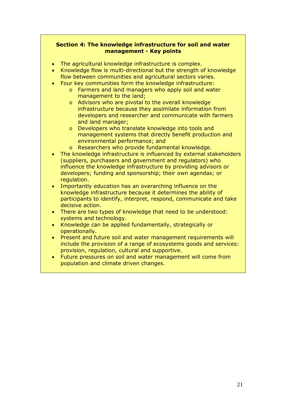#### **Section 4: The knowledge infrastructure for soil and water management - Key points**

- The agricultural knowledge infrastructure is complex.
- Knowledge flow is multi-directional but the strength of knowledge flow between communities and agricultural sectors varies.
- Four key communities form the knowledge infrastructure:
	- o Farmers and land managers who apply soil and water management to the land;
	- o Advisors who are pivotal to the overall knowledge infrastructure because they assimilate information from developers and researcher and communicate with farmers and land manager;
	- o Developers who translate knowledge into tools and management systems that directly benefit production and environmental performance; and
	- o Researchers who provide fundamental knowledge.
- The knowledge infrastructure is influenced by external stakeholders (suppliers, purchasers and government and regulators) who influence the knowledge infrastructure by providing advisors or developers; funding and sponsorship; their own agendas; or regulation.
- Importantly education has an overarching influence on the knowledge infrastructure because it determines the ability of participants to identify, interpret, respond, communicate and take decisive action.
- There are two types of knowledge that need to be understood: systems and technology.
- Knowledge can be applied fundamentally, strategically or operationally.
- Present and future soil and water management requirements will include the provision of a range of ecosystems goods and services: provision, regulation, cultural and supportive.
- Future pressures on soil and water management will come from population and climate driven changes.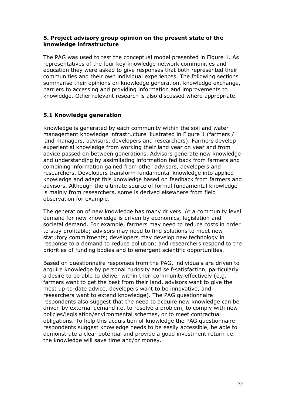#### **5. Project advisory group opinion on the present state of the knowledge infrastructure**

The PAG was used to test the conceptual model presented in Figure 1. As representatives of the four key knowledge network communities and education they were asked to give responses that both represented their communities and their own individual experiences. The following sections summarise their opinions on knowledge generation, knowledge exchange, barriers to accessing and providing information and improvements to knowledge. Other relevant research is also discussed where appropriate.

## **5.1 Knowledge generation**

Knowledge is generated by each community within the soil and water management knowledge infrastructure illustrated in Figure 1 (farmers / land managers, advisors, developers and researchers). Farmers develop experiential knowledge from working their land year on year and from advice passed on between generations. Advisors generate new knowledge and understanding by assimilating information fed back from farmers and combining information gained from other advisors, developers and researchers. Developers transform fundamental knowledge into applied knowledge and adapt this knowledge based on feedback from farmers and advisors. Although the ultimate source of formal fundamental knowledge is mainly from researchers, some is derived elsewhere from field observation for example.

The generation of new knowledge has many drivers. At a community level demand for new knowledge is driven by economics, legislation and societal demand. For example, farmers may need to reduce costs in order to stay profitable; advisors may need to find solutions to meet new statutory commitments; developers may develop new technology in response to a demand to reduce pollution; and researchers respond to the priorities of funding bodies and to emergent scientific opportunities.

Based on questionnaire responses from the PAG, individuals are driven to acquire knowledge by personal curiosity and self-satisfaction, particularly a desire to be able to deliver within their community effectively (e.g. farmers want to get the best from their land, advisors want to give the most up-to-date advice, developers want to be innovative, and researchers want to extend knowledge). The PAG questionnaire respondents also suggest that the need to acquire new knowledge can be driven by external demand i.e. to resolve a problem, to comply with new policies/legislation/environmental schemes, or to meet contractual obligations. To help this acquisition of knowledge the PAG questionnaire respondents suggest knowledge needs to be easily accessible, be able to demonstrate a clear potential and provide a good investment return i.e. the knowledge will save time and/or money.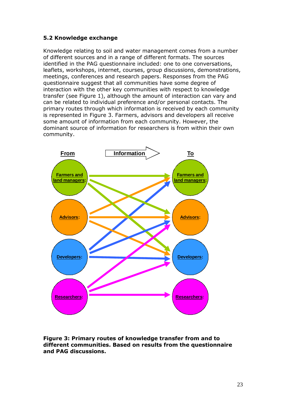# **5.2 Knowledge exchange**

Knowledge relating to soil and water management comes from a number of different sources and in a range of different formats. The sources identified in the PAG questionnaire included: one to one conversations, leaflets, workshops, internet, courses, group discussions, demonstrations, meetings, conferences and research papers. Responses from the PAG questionnaire suggest that all communities have some degree of interaction with the other key communities with respect to knowledge transfer (see Figure 1), although the amount of interaction can vary and can be related to individual preference and/or personal contacts. The primary routes through which information is received by each community is represented in Figure 3. Farmers, advisors and developers all receive some amount of information from each community. However, the dominant source of information for researchers is from within their own community.



**Figure 3: Primary routes of knowledge transfer from and to different communities. Based on results from the questionnaire and PAG discussions.**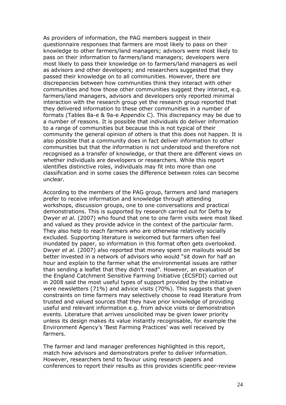As providers of information, the PAG members suggest in their questionnaire responses that farmers are most likely to pass on their knowledge to other farmers/land managers; advisors were most likely to pass on their information to farmers/land managers; developers were most likely to pass their knowledge on to farmers/land managers as well as advisors and other developers; and researchers suggested that they passed their knowledge on to all communities. However, there are discrepancies between how communities think they interact with other communities and how those other communities suggest they interact, e.g. farmers/land managers, advisors and developers only reported minimal interaction with the research group yet the research group reported that they delivered information to these other communities in a number of formats (Tables 8a-e & 9a-e Appendix C). This discrepancy may be due to a number of reasons. It is possible that individuals do deliver information to a range of communities but because this is not typical of their community the general opinion of others is that this does not happen. It is also possible that a community does in fact deliver information to other communities but that the information is not understood and therefore not recognised as a transfer of knowledge, or that there are different views on whether individuals are developers or researchers. While this report identifies distinctive roles, individuals may fit into more than one classification and in some cases the difference between roles can become unclear.

According to the members of the PAG group, farmers and land managers prefer to receive information and knowledge through attending workshops, discussion groups, one to one conversations and practical demonstrations. This is supported by research carried out for Defra by Dwyer *et al*. (2007) who found that one to one farm visits were most liked and valued as they provide advice in the context of the particular farm. They also help to reach farmers who are otherwise relatively socially excluded. Supporting literature is welcomed but farmers often feel inundated by paper, so information in this format often gets overlooked. Dwyer *et al.* (2007) also reported that money spent on mailouts would be better invested in a network of advisors who would "sit down for half an hour and explain to the farmer what the environmental issues are rather than sending a leaflet that they didn't read". However, an evaluation of the England Catchment Sensitive Farming Initiative (ECSFDI) carried out in 2008 said the most useful types of support provided by the initiative were newsletters (71%) and advice visits (70%). This suggests that given constraints on time farmers may selectively choose to read literature from trusted and valued sources that they have prior knowledge of providing useful and relevant information e.g. from advice visits or demonstration events. Literature that arrives unsolicited may be given lower priority unless its design makes its value instantly recognisable, for example the Environment Agency's 'Best Farming Practices' was well received by farmers.

The farmer and land manager preferences highlighted in this report, match how advisors and demonstrators prefer to deliver information. However, researchers tend to favour using research papers and conferences to report their results as this provides scientific peer-review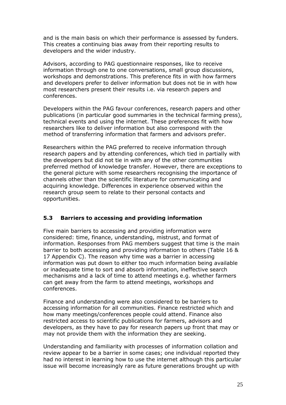and is the main basis on which their performance is assessed by funders. This creates a continuing bias away from their reporting results to developers and the wider industry.

Advisors, according to PAG questionnaire responses, like to receive information through one to one conversations, small group discussions, workshops and demonstrations. This preference fits in with how farmers and developers prefer to deliver information but does not tie in with how most researchers present their results i.e. via research papers and conferences.

Developers within the PAG favour conferences, research papers and other publications (in particular good summaries in the technical farming press), technical events and using the internet. These preferences fit with how researchers like to deliver information but also correspond with the method of transferring information that farmers and advisors prefer.

Researchers within the PAG preferred to receive information through research papers and by attending conferences, which tied in partially with the developers but did not tie in with any of the other communities preferred method of knowledge transfer. However, there are exceptions to the general picture with some researchers recognising the importance of channels other than the scientific literature for communicating and acquiring knowledge. Differences in experience observed within the research group seem to relate to their personal contacts and opportunities.

# **5.3 Barriers to accessing and providing information**

Five main barriers to accessing and providing information were considered: time, finance, understanding, mistrust, and format of information. Responses from PAG members suggest that time is the main barrier to both accessing and providing information to others (Table 16 & 17 Appendix C). The reason why time was a barrier in accessing information was put down to either too much information being available or inadequate time to sort and absorb information, ineffective search mechanisms and a lack of time to attend meetings e.g. whether farmers can get away from the farm to attend meetings, workshops and conferences.

Finance and understanding were also considered to be barriers to accessing information for all communities. Finance restricted which and how many meetings/conferences people could attend. Finance also restricted access to scientific publications for farmers, advisors and developers, as they have to pay for research papers up front that may or may not provide them with the information they are seeking.

Understanding and familiarity with processes of information collation and review appear to be a barrier in some cases; one individual reported they had no interest in learning how to use the internet although this particular issue will become increasingly rare as future generations brought up with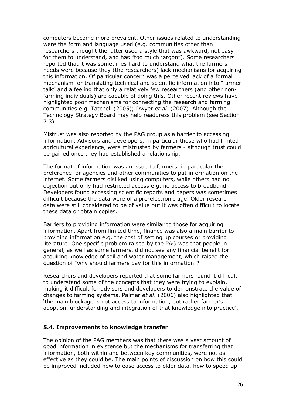computers become more prevalent. Other issues related to understanding were the form and language used (e.g. communities other than researchers thought the latter used a style that was awkward, not easy for them to understand, and has "too much jargon"). Some researchers reported that it was sometimes hard to understand what the farmers needs were because they (the researchers) lack mechanisms for acquiring this information. Of particular concern was a perceived lack of a formal mechanism for translating technical and scientific information into "farmer talk" and a feeling that only a relatively few researchers (and other nonfarming individuals) are capable of doing this. Other recent reviews have highlighted poor mechanisms for connecting the research and farming communities e.g. Tatchell (2005); Dwyer *et al*. (2007). Although the Technology Strategy Board may help readdress this problem (see Section 7.3)

Mistrust was also reported by the PAG group as a barrier to accessing information. Advisors and developers, in particular those who had limited agricultural experience, were mistrusted by farmers - although trust could be gained once they had established a relationship.

The format of information was an issue to farmers, in particular the preference for agencies and other communities to put information on the internet. Some farmers disliked using computers, while others had no objection but only had restricted access e.g. no access to broadband. Developers found accessing scientific reports and papers was sometimes difficult because the data were of a pre-electronic age. Older research data were still considered to be of value but it was often difficult to locate these data or obtain copies.

Barriers to providing information were similar to those for acquiring information. Apart from limited time, finance was also a main barrier to providing information e.g. the cost of setting up courses or providing literature. One specific problem raised by the PAG was that people in general, as well as some farmers, did not see any financial benefit for acquiring knowledge of soil and water management, which raised the question of "why should farmers pay for this information"?

Researchers and developers reported that some farmers found it difficult to understand some of the concepts that they were trying to explain, making it difficult for advisors and developers to demonstrate the value of changes to farming systems. Palmer *et al*. (2006) also highlighted that 'the main blockage is not access to information, but rather farmer's adoption, understanding and integration of that knowledge into practice'.

#### **5.4. Improvements to knowledge transfer**

The opinion of the PAG members was that there was a vast amount of good information in existence but the mechanisms for transferring that information, both within and between key communities, were not as effective as they could be. The main points of discussion on how this could be improved included how to ease access to older data, how to speed up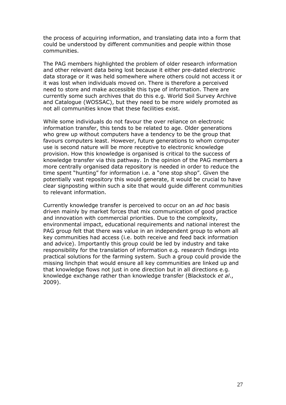the process of acquiring information, and translating data into a form that could be understood by different communities and people within those communities.

The PAG members highlighted the problem of older research information and other relevant data being lost because it either pre-dated electronic data storage or it was held somewhere where others could not access it or it was lost when individuals moved on. There is therefore a perceived need to store and make accessible this type of information. There are currently some such archives that do this e.g. World Soil Survey Archive and Catalogue (WOSSAC), but they need to be more widely promoted as not all communities know that these facilities exist.

While some individuals do not favour the over reliance on electronic information transfer, this tends to be related to age. Older generations who grew up without computers have a tendency to be the group that favours computers least. However, future generations to whom computer use is second nature will be more receptive to electronic knowledge provision. How this knowledge is organised is critical to the success of knowledge transfer via this pathway. In the opinion of the PAG members a more centrally organised data repository is needed in order to reduce the time spent "hunting" for information i.e. a "one stop shop". Given the potentially vast repository this would generate, it would be crucial to have clear signposting within such a site that would guide different communities to relevant information.

Currently knowledge transfer is perceived to occur on an *ad hoc* basis driven mainly by market forces that mix communication of good practice and innovation with commercial priorities. Due to the complexity, environmental impact, educational requirements and national interest the PAG group felt that there was value in an independent group to whom all key communities had access (i.e. both receive and feed back information and advice). Importantly this group could be led by industry and take responsibility for the translation of information e.g. research findings into practical solutions for the farming system. Such a group could provide the missing linchpin that would ensure all key communities are linked up and that knowledge flows not just in one direction but in all directions e.g. knowledge exchange rather than knowledge transfer (Blackstock *et al*., 2009).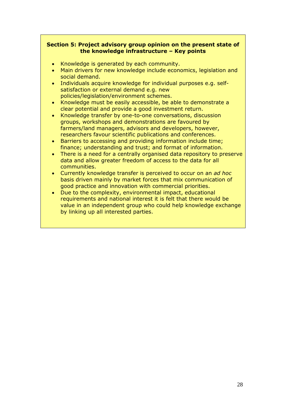## **Section 5: Project advisory group opinion on the present state of the knowledge infrastructure – Key points**

- Knowledge is generated by each community.
- Main drivers for new knowledge include economics, legislation and social demand.
- Individuals acquire knowledge for individual purposes e.g. selfsatisfaction or external demand e.g. new policies/legislation/environment schemes.
- Knowledge must be easily accessible, be able to demonstrate a clear potential and provide a good investment return.
- Knowledge transfer by one-to-one conversations, discussion groups, workshops and demonstrations are favoured by farmers/land managers, advisors and developers, however, researchers favour scientific publications and conferences.
- Barriers to accessing and providing information include time; finance; understanding and trust; and format of information.
- There is a need for a centrally organised data repository to preserve data and allow greater freedom of access to the data for all communities.
- Currently knowledge transfer is perceived to occur on an *ad hoc* basis driven mainly by market forces that mix communication of good practice and innovation with commercial priorities.
- Due to the complexity, environmental impact, educational requirements and national interest it is felt that there would be value in an independent group who could help knowledge exchange by linking up all interested parties.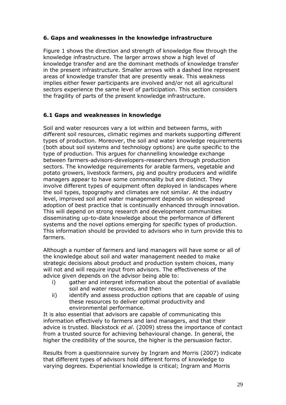# **6. Gaps and weaknesses in the knowledge infrastructure**

Figure 1 shows the direction and strength of knowledge flow through the knowledge infrastructure. The larger arrows show a high level of knowledge transfer and are the dominant methods of knowledge transfer in the present infrastructure. Smaller arrows with a dashed line represent areas of knowledge transfer that are presently weak. This weakness implies either fewer participants are involved and/or not all agricultural sectors experience the same level of participation. This section considers the fragility of parts of the present knowledge infrastructure.

# **6.1 Gaps and weaknesses in knowledge**

Soil and water resources vary a lot within and between farms, with different soil resources, climatic regimes and markets supporting different types of production. Moreover, the soil and water knowledge requirements (both about soil systems and technology options) are quite specific to the type of production. This argues for channelling knowledge exchange between farmers-advisors-developers-researchers through production sectors. The knowledge requirements for arable farmers, vegetable and potato growers, livestock farmers, pig and poultry producers and wildlife managers appear to have some commonality but are distinct. They involve different types of equipment often deployed in landscapes where the soil types, topography and climates are not similar. At the industry level, improved soil and water management depends on widespread adoption of best practice that is continually enhanced through innovation. This will depend on strong research and development communities disseminating up-to-date knowledge about the performance of different systems and the novel options emerging for specific types of production. This information should be provided to advisors who in turn provide this to farmers.

Although a number of farmers and land managers will have some or all of the knowledge about soil and water management needed to make strategic decisions about product and production system choices, many will not and will require input from advisors. The effectiveness of the advice given depends on the advisor being able to:

- i) gather and interpret information about the potential of available soil and water resources, and then
- ii) identify and assess production options that are capable of using these resources to deliver optimal productivity and environmental performance.

It is also essential that advisors are capable of communicating this information effectively to farmers and land managers, and that their advice is trusted. Blackstock *et al*. (2009) stress the importance of contact from a trusted source for achieving behavioural change. In general, the higher the credibility of the source, the higher is the persuasion factor.

Results from a questionnaire survey by Ingram and Morris (2007) indicate that different types of advisors hold different forms of knowledge to varying degrees. Experiential knowledge is critical; Ingram and Morris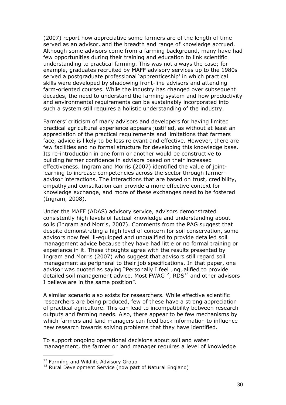(2007) report how appreciative some farmers are of the length of time served as an advisor, and the breadth and range of knowledge accrued. Although some advisors come from a farming background, many have had few opportunities during their training and education to link scientific understanding to practical farming. This was not always the case; for example, graduates recruited by MAFF advisory services up to the 1980s served a postgraduate professional 'apprenticeship' in which practical skills were developed by shadowing front-line advisors and attending farm-oriented courses. While the industry has changed over subsequent decades, the need to understand the farming system and how productivity and environmental requirements can be sustainably incorporated into such a system still requires a holistic understanding of the industry.

Farmers' criticism of many advisors and developers for having limited practical agricultural experience appears justified, as without at least an appreciation of the practical requirements and limitations that farmers face, advice is likely to be less relevant and effective. However, there are few facilities and no formal structure for developing this knowledge base. Its re-introduction in one form or another would be constructive to building farmer confidence in advisors based on their increased effectiveness. Ingram and Morris (2007) identified the value of jointlearning to increase competencies across the sector through farmeradvisor interactions. The interactions that are based on trust, credibility, empathy and consultation can provide a more effective context for knowledge exchange, and more of these exchanges need to be fostered (Ingram, 2008).

Under the MAFF (ADAS) advisory service, advisors demonstrated consistently high levels of factual knowledge and understanding about soils (Ingram and Morris, 2007). Comments from the PAG suggest that despite demonstrating a high level of concern for soil conservation, some advisors now feel ill-equipped and unqualified to provide detailed soil management advice because they have had little or no formal training or experience in it. These thoughts agree with the results presented by Ingram and Morris (2007) who suggest that advisors still regard soil management as peripheral to their job specifications. In that paper, one advisor was quoted as saying "Personally I feel unqualified to provide detailed soil management advice. Most  $FWAG^{12}$  $FWAG^{12}$  $FWAG^{12}$ , RDS<sup>[13](#page-38-1)</sup> and other advisors I believe are in the same position".

A similar scenario also exists for researchers. While effective scientific researchers are being produced, few of these have a strong appreciation of practical agriculture. This can lead to incompatibility between research outputs and farming needs. Also, there appear to be few mechanisms by which farmers and land managers can feed back information to influence new research towards solving problems that they have identified.

To support ongoing operational decisions about soil and water management, the farmer or land manager requires a level of knowledge

<span id="page-38-1"></span><span id="page-38-0"></span><sup>&</sup>lt;sup>12</sup> Farming and Wildlife Advisory Group

<sup>&</sup>lt;sup>13</sup> Rural Development Service (now part of Natural England)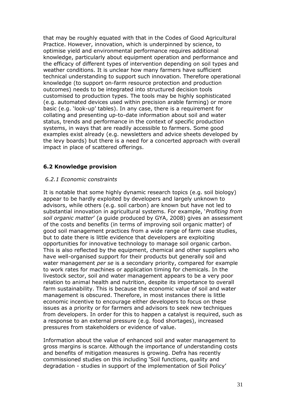that may be roughly equated with that in the Codes of Good Agricultural Practice. However, innovation, which is underpinned by science, to optimise yield and environmental performance requires additional knowledge, particularly about equipment operation and performance and the efficacy of different types of intervention depending on soil types and weather conditions. It is unclear how many farmers have sufficient technical understanding to support such innovation. Therefore operational knowledge (to support on-farm resource protection and production outcomes) needs to be integrated into structured decision tools customised to production types. The tools may be highly sophisticated (e.g. automated devices used within precision arable farming) or more basic (e.g. 'look-up' tables). In any case, there is a requirement for collating and presenting up-to-date information about soil and water status, trends and performance in the context of specific production systems, in ways that are readily accessible to farmers. Some good examples exist already (e.g. newsletters and advice sheets developed by the levy boards) but there is a need for a concerted approach with overall impact in place of scattered offerings.

# **6.2 Knowledge provision**

### *6.2.1 Economic constraints*

It is notable that some highly dynamic research topics (e.g. soil biology) appear to be hardly exploited by developers and largely unknown to advisors, while others (e.g. soil carbon) are known but have not led to substantial innovation in agricultural systems. For example, '*Profiting from soil organic matter*' (a guide produced by GYA, 2008) gives an assessment of the costs and benefits (in terms of improving soil organic matter) of good soil management practices from a wide range of farm case studies, but to date there is little evidence that developers are exploiting opportunities for innovative technology to manage soil organic carbon. This is also reflected by the equipment, chemical and other suppliers who have well-organised support for their products but generally soil and water management *per se* is a secondary priority, compared for example to work rates for machines or application timing for chemicals. In the livestock sector, soil and water management appears to be a very poor relation to animal health and nutrition, despite its importance to overall farm sustainability. This is because the economic value of soil and water management is obscured. Therefore, in most instances there is little economic incentive to encourage either developers to focus on these issues as a priority or for farmers and advisors to seek new techniques from developers. In order for this to happen a catalyst is required, such as a response to an external pressure (e.g. food shortages), increased pressures from stakeholders or evidence of value.

Information about the value of enhanced soil and water management to gross margins is scarce. Although the importance of understanding costs and benefits of mitigation measures is growing. Defra has recently commissioned studies on this including 'Soil functions, quality and degradation - studies in support of the implementation of Soil Policy'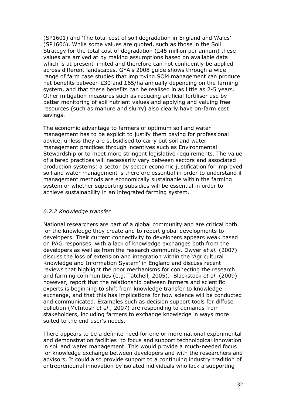(SP1601) and 'The total cost of soil degradation in England and Wales' (SP1606). While some values are quoted, such as those in the Soil Strategy for the total cost of degradation (£45 million per annum) these values are arrived at by making assumptions based on available data which is at present limited and therefore can not confidently be applied across different landscapes. GYA's 2008 guide shows through a wide range of farm case studies that improving SOM management can produce net benefits between £30 and £65/ha annually depending on the farming system, and that these benefits can be realised in as little as 2-5 years. Other mitigation measures such as reducing artificial fertiliser use by better monitoring of soil nutrient values and applying and valuing free resources (such as manure and slurry) also clearly have on-farm cost savings.

The economic advantage to farmers of optimum soil and water management has to be explicit to justify them paying for professional advice, unless they are subsidised to carry out soil and water management practices through incentives such as Environmental Stewardship or to meet more stringent legislative requirements. The value of altered practices will necessarily vary between sectors and associated production systems; a sector by sector economic justification for improved soil and water management is therefore essential in order to understand if management methods are economically sustainable within the farming system or whether supporting subsidies will be essential in order to achieve sustainability in an integrated farming system.

# *6.2.2 Knowledge transfer*

National researchers are part of a global community and are critical both for the knowledge they create and to report global developments to developers. Their current connectivity to developers appears weak based on PAG responses, with a lack of knowledge exchanges both from the developers as well as from the research community. Dwyer *et al.* (2007) discuss the loss of extension and integration within the 'Agricultural Knowledge and Information System' in England and discuss recent reviews that highlight the poor mechanisms for connecting the research and farming communities (e.g. Tatchell, 2005). Blackstock *et al*. (2009) however, report that the relationship between farmers and scientific experts is beginning to shift from knowledge transfer to knowledge exchange, and that this has implications for how science will be conducted and communicated. Examples such as decision support tools for diffuse pollution (McIntosh *et al*., 2007) are responding to demands from stakeholders, including farmers to exchange knowledge in ways more suited to the end user's needs.

There appears to be a definite need for one or more national experimental and demonstration facilities to focus and support technological innovation in soil and water management. This would provide a much-needed focus for knowledge exchange between developers and with the researchers and advisors. It could also provide support to a continuing industry tradition of entrepreneurial innovation by isolated individuals who lack a supporting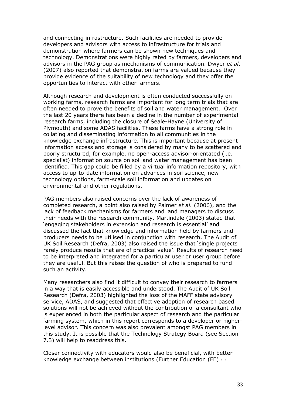and connecting infrastructure. Such facilities are needed to provide developers and advisors with access to infrastructure for trials and demonstration where farmers can be shown new techniques and technology. Demonstrations were highly rated by farmers, developers and advisors in the PAG group as mechanisms of communication. Dwyer *et al*. (2007) also reported that demonstration farms are valued because they provide evidence of the suitability of new technology and they offer the opportunities to interact with other farmers.

Although research and development is often conducted successfully on working farms, research farms are important for long term trials that are often needed to prove the benefits of soil and water management. Over the last 20 years there has been a decline in the number of experimental research farms, including the closure of Seale-Hayne (University of Plymouth) and some ADAS facilities. These farms have a strong role in collating and disseminating information to all communities in the knowledge exchange infrastructure. This is important because at present information access and storage is considered by many to be scattered and poorly structured, for example, no open-access advisor-orientated (i.e. specialist) information source on soil and water management has been identified. This gap could be filled by a virtual information repository, with access to up-to-date information on advances in soil science, new technology options, farm-scale soil information and updates on environmental and other regulations.

PAG members also raised concerns over the lack of awareness of completed research, a point also raised by Palmer *et al.* (2006), and the lack of feedback mechanisms for farmers and land managers to discuss their needs with the research community. Martindale (2003) stated that 'engaging stakeholders in extension and research is essential' and discussed the fact that knowledge and information held by farmers and producers needs to be utilised in conjunction with research. The Audit of UK Soil Research (Defra, 2003) also raised the issue that 'single projects rarely produce results that are of practical value'. Results of research need to be interpreted and integrated for a particular user or user group before they are useful. But this raises the question of who is prepared to fund such an activity.

Many researchers also find it difficult to convey their research to farmers in a way that is easily accessible and understood. The Audit of UK Soil Research (Defra, 2003) highlighted the loss of the MAFF state advisory service, ADAS, and suggested that effective adoption of research based solutions will not be achieved without the contribution of a consultant who is experienced in both the particular aspect of research and the particular farming system, which in this report corresponds to a developer or higherlevel advisor. This concern was also prevalent amongst PAG members in this study. It is possible that the Technology Strategy Board (see Section 7.3) will help to readdress this.

Closer connectivity with educators would also be beneficial, with better knowledge exchange between institutions (Further Education (FE)  $\leftrightarrow$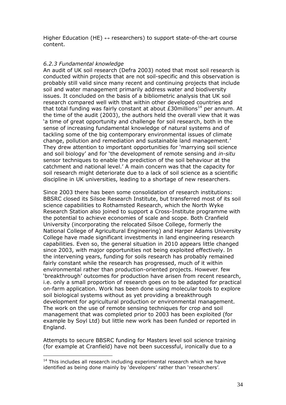Higher Education (HE)  $\leftrightarrow$  researchers) to support state-of-the-art course content.

# *6.2.3 Fundamental knowledge*

An audit of UK soil research (Defra 2003) noted that most soil research is conducted within projects that are not soil-specific and this observation is probably still valid since many recent and continuing projects that include soil and water management primarily address water and biodiversity issues. It concluded on the basis of a bibliometric analysis that UK soil research compared well with that within other developed countries and that total funding was fairly constant at about  $£30$ millions<sup>[14](#page-42-0)</sup> per annum. At the time of the audit (2003), the authors held the overall view that it was 'a time of great opportunity and challenge for soil research, both in the sense of increasing fundamental knowledge of natural systems and of tackling some of the big contemporary environmental issues of climate change, pollution and remediation and sustainable land management.' They drew attention to important opportunities for 'marrying soil science and soil biology' and for 'the development of remote sensing and *in-situ* sensor techniques to enable the prediction of the soil behaviour at the catchment and national level.' A main concern was that the capacity for soil research might deteriorate due to a lack of soil science as a scientific discipline in UK universities, leading to a shortage of new researchers.

Since 2003 there has been some consolidation of research institutions: BBSRC closed its Silsoe Research Institute, but transferred most of its soil science capabilities to Rothamsted Research, which the North Wyke Research Station also joined to support a Cross-Institute programme with the potential to achieve economies of scale and scope. Both Cranfield University (incorporating the relocated Silsoe College, formerly the National College of Agricultural Engineering) and Harper Adams University College have made significant investments in land engineering research capabilities. Even so, the general situation in 2010 appears little changed since 2003, with major opportunities not being exploited effectively. In the intervening years, funding for soils research has probably remained fairly constant while the research has progressed, much of it within environmental rather than production-oriented projects. However, few 'breakthrough' outcomes for production have arisen from recent research, i.e. only a small proportion of research goes on to be adapted for practical on-farm application. Work has been done using molecular tools to explore soil biological systems without as yet providing a breakthrough development for agricultural production or environmental management. The work on the use of remote sensing techniques for crop and soil management that was completed prior to 2003 has been exploited (for example by Soyl Ltd) but little new work has been funded or reported in England.

Attempts to secure BBSRC funding for Masters level soil science training (for example at Cranfield) have not been successful, ironically due to a

<span id="page-42-0"></span> $14$  This includes all research including experimental research which we have identified as being done mainly by 'developers' rather than 'researchers'.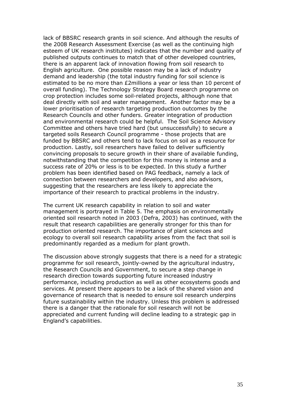lack of BBSRC research grants in soil science. And although the results of the 2008 Research Assessment Exercise (as well as the continuing high esteem of UK research institutes) indicates that the number and quality of published outputs continues to match that of other developed countries, there is an apparent lack of innovation flowing from soil research to English agriculture. One possible reason may be a lack of industry demand and leadership (the total industry funding for soil science is estimated to be no more than £2millions a year or less than 10 percent of overall funding). The Technology Strategy Board research programme on crop protection includes some soil-related projects, although none that deal directly with soil and water management. Another factor may be a lower prioritisation of research targeting production outcomes by the Research Councils and other funders. Greater integration of production and environmental research could be helpful. The Soil Science Advisory Committee and others have tried hard (but unsuccessfully) to secure a targeted soils Research Council programme - those projects that are funded by BBSRC and others tend to lack focus on soil as a resource for production. Lastly, soil researchers have failed to deliver sufficiently convincing proposals to secure growth in their share of available funding, notwithstanding that the competition for this money is intense and a success rate of 20% or less is to be expected. In this study a further problem has been identified based on PAG feedback, namely a lack of connection between researchers and developers, and also advisors, suggesting that the researchers are less likely to appreciate the importance of their research to practical problems in the industry.

The current UK research capability in relation to soil and water management is portrayed in Table 5. The emphasis on environmentally oriented soil research noted in 2003 (Defra, 2003) has continued, with the result that research capabilities are generally stronger for this than for production oriented research. The importance of plant sciences and ecology to overall soil research capability arises from the fact that soil is predominantly regarded as a medium for plant growth.

The discussion above strongly suggests that there is a need for a strategic programme for soil research, jointly-owned by the agricultural industry, the Research Councils and Government, to secure a step change in research direction towards supporting future increased industry performance, including production as well as other ecosystems goods and services. At present there appears to be a lack of the shared vision and governance of research that is needed to ensure soil research underpins future sustainability within the industry. Unless this problem is addressed there is a danger that the rationale for soil research will not be appreciated and current funding will decline leading to a strategic gap in England's capabilities.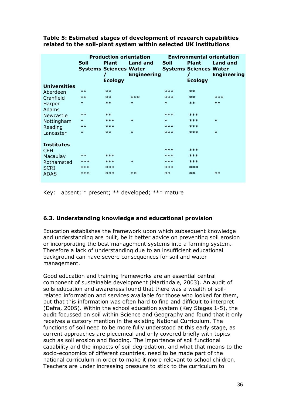|                     | Soil   | <b>Plant</b><br><b>Systems Sciences Water</b><br><b>Ecology</b> | <b>Production orientation</b><br><b>Land and</b><br><b>Engineering</b> | Soil   | <b>Plant</b><br><b>Systems Sciences Water</b><br><b>Ecology</b> | <b>Environmental orientation</b><br>Land and<br><b>Engineering</b> |
|---------------------|--------|-----------------------------------------------------------------|------------------------------------------------------------------------|--------|-----------------------------------------------------------------|--------------------------------------------------------------------|
| <b>Universities</b> |        |                                                                 |                                                                        |        |                                                                 |                                                                    |
| Aberdeen            | $***$  | $***$                                                           |                                                                        | ***    | $**$                                                            |                                                                    |
| Cranfield           | $***$  | $***$                                                           | $***$                                                                  | $***$  | $**$                                                            | $***$                                                              |
| Harper              | $\ast$ | $**$                                                            | $\ast$                                                                 | $\ast$ | $**$                                                            | $**$                                                               |
| <b>Adams</b>        |        |                                                                 |                                                                        |        |                                                                 |                                                                    |
| Newcastle           | $***$  | $**$                                                            |                                                                        | $***$  | $***$                                                           |                                                                    |
| Nottingham          | $\ast$ | $***$                                                           | $\ast$                                                                 | $\ast$ | $***$                                                           | $\ast$                                                             |
| Reading             | $***$  | $***$                                                           |                                                                        | $***$  | $***$                                                           |                                                                    |
| Lancaster           | $\ast$ | $**$                                                            | $\ast$                                                                 | $***$  | $***$                                                           | $\ast$                                                             |
| <b>Institutes</b>   |        |                                                                 |                                                                        |        |                                                                 |                                                                    |
| <b>CEH</b>          |        |                                                                 |                                                                        | ***    | ***                                                             |                                                                    |
| Macaulay            | $***$  | $***$                                                           |                                                                        | $***$  | $***$                                                           |                                                                    |
| Rothamsted          | $***$  | $***$                                                           | $\ast$                                                                 | ***    | $***$                                                           |                                                                    |
| <b>SCRI</b>         | $***$  | ***                                                             |                                                                        | $***$  | $***$                                                           |                                                                    |
| <b>ADAS</b>         | $***$  | $***$                                                           | $***$                                                                  | $***$  | $**$                                                            | $***$                                                              |

**Table 5: Estimated stages of development of research capabilities related to the soil-plant system within selected UK institutions**

Key: absent;  $*$  present;  $**$  developed;  $***$  mature

# **6.3. Understanding knowledge and educational provision**

Education establishes the framework upon which subsequent knowledge and understanding are built, be it better advice on preventing soil erosion or incorporating the best management systems into a farming system. Therefore a lack of understanding due to an insufficient educational background can have severe consequences for soil and water management.

Good education and training frameworks are an essential central component of sustainable development (Martindale, 2003). An audit of soils education and awareness found that there was a wealth of soilrelated information and services available for those who looked for them, but that this information was often hard to find and difficult to interpret (Defra, 2005). Within the school education system (Key Stages 1-5), the audit focussed on soil within Science and Geography and found that it only receives a cursory mention in the existing National Curriculum. The functions of soil need to be more fully understood at this early stage, as current approaches are piecemeal and only covered briefly with topics such as soil erosion and flooding. The importance of soil functional capability and the impacts of soil degradation, and what that means to the socio-economics of different countries, need to be made part of the national curriculum in order to make it more relevant to school children. Teachers are under increasing pressure to stick to the curriculum to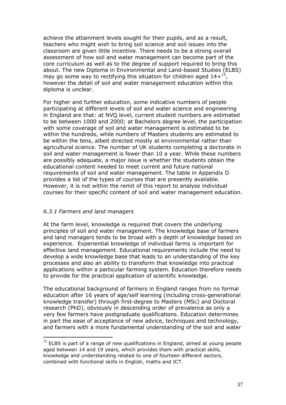achieve the attainment levels sought for their pupils, and as a result, teachers who might wish to bring soil science and soil issues into the classroom are given little incentive. There needs to be a strong overall assessment of how soil and water management can become part of the core curriculum as well as to the degree of support required to bring this about. The new Diploma in Environmental and Land-based Studies (ELBS) may go some way to rectifying this situation for children aged  $14+^{15}$  $14+^{15}$  $14+^{15}$ , however the detail of soil and water management education within this diploma is unclear.

For higher and further education, some indicative numbers of people participating at different levels of soil and water science and engineering in England are that: at NVQ level, current student numbers are estimated to be between 1000 and 2000; at Bachelors degree level, the participation with some coverage of soil and water management is estimated to be within the hundreds, while numbers of Masters students are estimated to be within the tens, albeit directed mostly at environmental rather than agricultural science. The number of UK students completing a doctorate in soil and water management is fewer than 10 a year. While these numbers are possibly adequate, a major issue is whether the students obtain the educational content needed to meet current and future national requirements of soil and water management. The table in Appendix D provides a list of the types of courses that are presently available. However, it is not within the remit of this report to analyse individual courses for their specific content of soil and water management education.

# *6.3.1 Farmers and land managers*

At the farm level, knowledge is required that covers the underlying principles of soil and water management. The knowledge base of farmers and land managers tends to be broad with a depth of knowledge based on experience. Experiential knowledge of individual farms is important for effective land management. Educational requirements include the need to develop a wide knowledge base that leads to an understanding of the key processes and also an ability to transform that knowledge into practical applications within a particular farming system. Education therefore needs to provide for the practical application of scientific knowledge.

The educational background of farmers in England ranges from no formal education after 16 years of age/self learning (including cross-generational knowledge transfer) through first-degree to Masters (MSc) and Doctoral research (PhD), obviously in descending order of prevalence as only a very few farmers have postgraduate qualifications. Education determines in part the ease of acceptance of new advice, techniques and technology, and farmers with a more fundamental understanding of the soil and water

<span id="page-45-0"></span> $15$  ELBS is part of a range of new qualifications in England, aimed at young people aged between 14 and 19 years, which provides them with practical skills, knowledge and understanding related to one of fourteen different sectors, combined with functional skills in English, maths and ICT.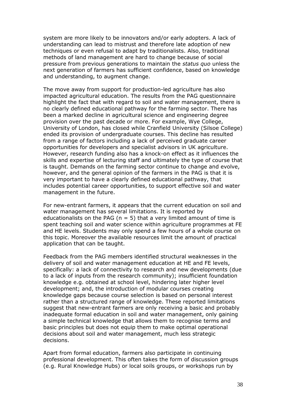system are more likely to be innovators and/or early adopters. A lack of understanding can lead to mistrust and therefore late adoption of new techniques or even refusal to adapt by traditionalists. Also, traditional methods of land management are hard to change because of social pressure from previous generations to maintain the *status quo* unless the next generation of farmers has sufficient confidence, based on knowledge and understanding, to augment change.

The move away from support for production-led agriculture has also impacted agricultural education. The results from the PAG questionnaire highlight the fact that with regard to soil and water management, there is no clearly defined educational pathway for the farming sector. There has been a marked decline in agricultural science and engineering degree provision over the past decade or more. For example, Wye College, University of London, has closed while Cranfield University (Silsoe College) ended its provision of undergraduate courses. This decline has resulted from a range of factors including a lack of perceived graduate career opportunities for developers and specialist advisors in UK agriculture. However, research funding also has a knock-on effect as it influences the skills and expertise of lecturing staff and ultimately the type of course that is taught. Demands on the farming sector continue to change and evolve, however, and the general opinion of the farmers in the PAG is that it is very important to have a clearly defined educational pathway, that includes potential career opportunities, to support effective soil and water management in the future.

For new-entrant farmers, it appears that the current education on soil and water management has several limitations. It is reported by educationalists on the PAG ( $n = 5$ ) that a very limited amount of time is spent teaching soil and water science within agriculture programmes at FE and HE levels. Students may only spend a few hours of a whole course on this topic. Moreover the available resources limit the amount of practical application that can be taught.

Feedback from the PAG members identified structural weaknesses in the delivery of soil and water management education at HE and FE levels, specifically: a lack of connectivity to research and new developments (due to a lack of inputs from the research community); insufficient foundation knowledge e.g. obtained at school level, hindering later higher level development; and, the introduction of modular courses creating knowledge gaps because course selection is based on personal interest rather than a structured range of knowledge. These reported limitations suggest that new-entrant farmers are only receiving a basic and probably inadequate formal education in soil and water management, only gaining a simple technical knowledge that allows them to recognise terms and basic principles but does not equip them to make optimal operational decisions about soil and water management, much less strategic decisions.

Apart from formal education, farmers also participate in continuing professional development. This often takes the form of discussion groups (e.g. Rural Knowledge Hubs) or local soils groups, or workshops run by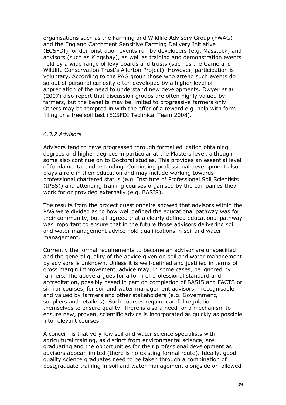organisations such as the Farming and Wildlife Advisory Group (FWAG) and the England Catchment Sensitive Farming Delivery Initiative (ECSFDI), or demonstration events run by developers (e.g. Masstock) and advisors (such as Kingshay), as well as training and demonstration events held by a wide range of levy boards and trusts (such as the Game and Wildlife Conservation Trust's Allerton Project). However, participation is voluntary. According to the PAG group those who attend such events do so out of personal curiosity often developed by a higher level of appreciation of the need to understand new developments. Dwyer *et al*. (2007) also report that discussion groups are often highly valued by farmers, but the benefits may be limited to progressive farmers only. Others may be tempted in with the offer of a reward e.g. help with form filling or a free soil test (ECSFDI Technical Team 2008).

#### *6.3.2 Advisors*

Advisors tend to have progressed through formal education obtaining degrees and higher degrees in particular at the Masters level, although some also continue on to Doctoral studies. This provides an essential level of fundamental understanding. Continuing professional development also plays a role in their education and may include working towards professional chartered status (e.g. Institute of Professional Soil Scientists (IPSS)) and attending training courses organised by the companies they work for or provided externally (e.g. BASIS).

The results from the project questionnaire showed that advisors within the PAG were divided as to how well defined the educational pathway was for their community, but all agreed that a clearly defined educational pathway was important to ensure that in the future those advisors delivering soil and water management advice hold qualifications in soil and water management.

Currently the formal requirements to become an advisor are unspecified and the general quality of the advice given on soil and water management by advisors is unknown. Unless it is well-defined and justified in terms of gross margin improvement, advice may, in some cases, be ignored by farmers. The above argues for a form of professional standard and accreditation, possibly based in part on completion of BASIS and FACTS or similar courses, for soil and water management advisors – recognisable and valued by farmers and other stakeholders (e.g. Government, suppliers and retailers). Such courses require careful regulation themselves to ensure quality. There is also a need for a mechanism to ensure new, proven, scientific advice is incorporated as quickly as possible into relevant courses.

A concern is that very few soil and water science specialists with agricultural training, as distinct from environmental science, are graduating and the opportunities for their professional development as advisors appear limited (there is no existing formal route). Ideally, good quality science graduates need to be taken through a combination of postgraduate training in soil and water management alongside or followed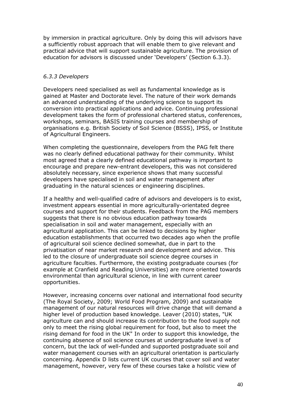by immersion in practical agriculture. Only by doing this will advisors have a sufficiently robust approach that will enable them to give relevant and practical advice that will support sustainable agriculture. The provision of education for advisors is discussed under 'Developers' (Section 6.3.3).

## *6.3.3 Developers*

Developers need specialised as well as fundamental knowledge as is gained at Master and Doctorate level. The nature of their work demands an advanced understanding of the underlying science to support its conversion into practical applications and advice. Continuing professional development takes the form of professional chartered status, conferences, workshops, seminars, BASIS training courses and membership of organisations e.g. British Society of Soil Science (BSSS), IPSS, or Institute of Agricultural Engineers.

When completing the questionnaire, developers from the PAG felt there was no clearly defined educational pathway for their community. Whilst most agreed that a clearly defined educational pathway is important to encourage and prepare new-entrant developers, this was not considered absolutely necessary, since experience shows that many successful developers have specialised in soil and water management after graduating in the natural sciences or engineering disciplines.

If a healthy and well-qualified cadre of advisors and developers is to exist, investment appears essential in more agriculturally-orientated degree courses and support for their students. Feedback from the PAG members suggests that there is no obvious education pathway towards specialisation in soil and water management, especially with an agricultural application. This can be linked to decisions by higher education establishments that occurred two decades ago when the profile of agricultural soil science declined somewhat, due in part to the privatisation of near market research and development and advice. This led to the closure of undergraduate soil science degree courses in agriculture faculties. Furthermore, the existing postgraduate courses (for example at Cranfield and Reading Universities) are more oriented towards environmental than agricultural science, in line with current career opportunities.

However, increasing concerns over national and international food security (The Royal Society, 2009; World Food Program, 2009) and sustainable management of our natural resources will drive change that will demand a higher level of production based knowledge. Leaver (2010) states, "UK agriculture can and should increase its contribution to the food supply not only to meet the rising global requirement for food, but also to meet the rising demand for food in the UK" In order to support this knowledge, the continuing absence of soil science courses at undergraduate level is of concern, but the lack of well-funded and supported postgraduate soil and water management courses with an agricultural orientation is particularly concerning. Appendix D lists current UK courses that cover soil and water management, however, very few of these courses take a holistic view of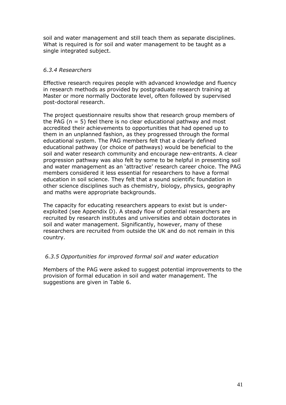soil and water management and still teach them as separate disciplines. What is required is for soil and water management to be taught as a single integrated subject.

# *6.3.4 Researchers*

Effective research requires people with advanced knowledge and fluency in research methods as provided by postgraduate research training at Master or more normally Doctorate level, often followed by supervised post-doctoral research.

The project questionnaire results show that research group members of the PAG ( $n = 5$ ) feel there is no clear educational pathway and most accredited their achievements to opportunities that had opened up to them in an unplanned fashion, as they progressed through the formal educational system. The PAG members felt that a clearly defined educational pathway (or choice of pathways) would be beneficial to the soil and water research community and encourage new-entrants. A clear progression pathway was also felt by some to be helpful in presenting soil and water management as an 'attractive' research career choice. The PAG members considered it less essential for researchers to have a formal education in soil science. They felt that a sound scientific foundation in other science disciplines such as chemistry, biology, physics, geography and maths were appropriate backgrounds.

The capacity for educating researchers appears to exist but is underexploited (see Appendix D). A steady flow of potential researchers are recruited by research institutes and universities and obtain doctorates in soil and water management. Significantly, however, many of these researchers are recruited from outside the UK and do not remain in this country.

# *6.3.5 Opportunities for improved formal soil and water education*

Members of the PAG were asked to suggest potential improvements to the provision of formal education in soil and water management. The suggestions are given in Table 6.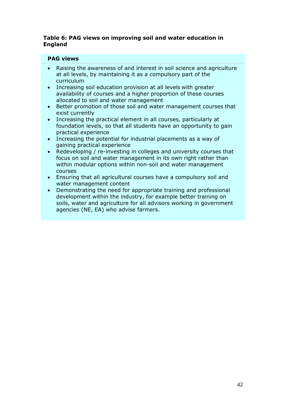## **Table 6: PAG views on improving soil and water education in England**

# **PAG views**

- Raising the awareness of and interest in soil science and agriculture at all levels, by maintaining it as a compulsory part of the curriculum
- Increasing soil education provision at all levels with greater availability of courses and a higher proportion of these courses allocated to soil and water management
- Better promotion of those soil and water management courses that exist currently
- Increasing the practical element in all courses, particularly at foundation levels, so that all students have an opportunity to gain practical experience
- Increasing the potential for industrial placements as a way of gaining practical experience
- Redeveloping / re-investing in colleges and university courses that focus on soil and water management in its own right rather than within modular options within non-soil and water management courses
- Ensuring that all agricultural courses have a compulsory soil and water management content
- Demonstrating the need for appropriate training and professional development within the industry, for example better training on soils, water and agriculture for all advisors working in government agencies (NE, EA) who advise farmers.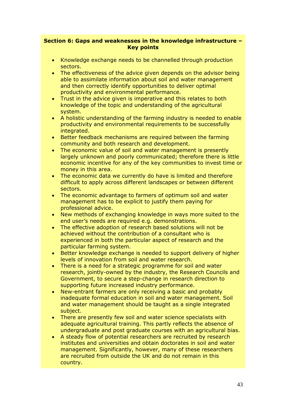### **Section 6: Gaps and weaknesses in the knowledge infrastructure – Key points**

- Knowledge exchange needs to be channelled through production sectors.
- The effectiveness of the advice given depends on the advisor being able to assimilate information about soil and water management and then correctly identify opportunities to deliver optimal productivity and environmental performance.
- Trust in the advice given is imperative and this relates to both knowledge of the topic and understanding of the agricultural system.
- A holistic understanding of the farming industry is needed to enable productivity and environmental requirements to be successfully integrated.
- Better feedback mechanisms are required between the farming community and both research and development.
- The economic value of soil and water management is presently largely unknown and poorly communicated; therefore there is little economic incentive for any of the key communities to invest time or money in this area.
- The economic data we currently do have is limited and therefore difficult to apply across different landscapes or between different sectors.
- The economic advantage to farmers of optimum soil and water management has to be explicit to justify them paying for professional advice.
- New methods of exchanging knowledge in ways more suited to the end user's needs are required e.g. demonstrations.
- The effective adoption of research based solutions will not be achieved without the contribution of a consultant who is experienced in both the particular aspect of research and the particular farming system.
- Better knowledge exchange is needed to support delivery of higher levels of innovation from soil and water research.
- There is a need for a strategic programme for soil and water research, jointly-owned by the industry, the Research Councils and Government, to secure a step-change in research direction to supporting future increased industry performance.
- New-entrant farmers are only receiving a basic and probably inadequate formal education in soil and water management. Soil and water management should be taught as a single integrated subject.
- There are presently few soil and water science specialists with adequate agricultural training. This partly reflects the absence of undergraduate and post graduate courses with an agricultural bias.
- A steady flow of potential researchers are recruited by research institutes and universities and obtain doctorates in soil and water management. Significantly, however, many of these researchers are recruited from outside the UK and do not remain in this country.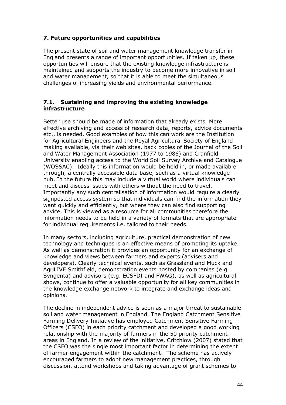# **7. Future opportunities and capabilities**

The present state of soil and water management knowledge transfer in England presents a range of important opportunities. If taken up, these opportunities will ensure that the existing knowledge infrastructure is maintained and supports the industry to become more innovative in soil and water management, so that it is able to meet the simultaneous challenges of increasing yields and environmental performance.

# **7.1. Sustaining and improving the existing knowledge infrastructure**

Better use should be made of information that already exists. More effective archiving and access of research data, reports, advice documents etc., is needed. Good examples of how this can work are the Institution for Agricultural Engineers and the Royal Agricultural Society of England making available, via their web sites, back copies of the Journal of the Soil and Water Management Association (1977 to 1986) and Cranfield University enabling access to the World Soil Survey Archive and Catalogue (WOSSAC). Ideally this information would be held in, or made available through, a centrally accessible data base, such as a virtual knowledge hub. In the future this may include a virtual world where individuals can meet and discuss issues with others without the need to travel. Importantly any such centralisation of information would require a clearly signposted access system so that individuals can find the information they want quickly and efficiently, but where they can also find supporting advice. This is viewed as a resource for all communities therefore the information needs to be held in a variety of formats that are appropriate for individual requirements i.e. tailored to their needs.

In many sectors, including agriculture, practical demonstration of new technology and techniques is an effective means of promoting its uptake. As well as demonstration it provides an opportunity for an exchange of knowledge and views between farmers and experts (advisers and developers). Clearly technical events, such as Grassland and Muck and AgriLIVE Smithfield, demonstration events hosted by companies (e.g. Syngenta) and advisors (e.g. ECSFDI and FWAG), as well as agricultural shows, continue to offer a valuable opportunity for all key communities in the knowledge exchange network to integrate and exchange ideas and opinions.

The decline in independent advice is seen as a major threat to sustainable soil and water management in England. The England Catchment Sensitive Farming Delivery Initiative has employed Catchment Sensitive Farming Officers (CSFO) in each priority catchment and developed a good working relationship with the majority of farmers in the 50 priority catchment areas in England. In a review of the initiative, Critchlow (2007) stated that the CSFO was the single most important factor in determining the extent of farmer engagement within the catchment. The scheme has actively encouraged farmers to adopt new management practices, through discussion, attend workshops and taking advantage of grant schemes to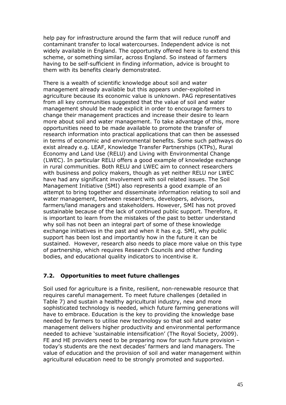help pay for infrastructure around the farm that will reduce runoff and contaminant transfer to local watercourses. Independent advice is not widely available in England. The opportunity offered here is to extend this scheme, or something similar, across England. So instead of farmers having to be self-sufficient in finding information, advice is brought to them with its benefits clearly demonstrated.

There is a wealth of scientific knowledge about soil and water management already available but this appears under-exploited in agriculture because its economic value is unknown. PAG representatives from all key communities suggested that the value of soil and water management should be made explicit in order to encourage farmers to change their management practices and increase their desire to learn more about soil and water management. To take advantage of this, more opportunities need to be made available to promote the transfer of research information into practical applications that can then be assessed in terms of economic and environmental benefits. Some such pathways do exist already e.g. LEAF, Knowledge Transfer Partnerships (KTPs), Rural Economy and Land Use (RELU) and Living with Environmental Change (LWEC). In particular RELU offers a good example of knowledge exchange in rural communities. Both RELU and LWEC aim to connect researchers with business and policy makers, though as yet neither RELU nor LWEC have had any significant involvement with soil related issues. The Soil Management Initiative (SMI) also represents a good example of an attempt to bring together and disseminate information relating to soil and water management, between researchers, developers, advisors, farmers/land managers and stakeholders. However, SMI has not proved sustainable because of the lack of continued public support. Therefore, it is important to learn from the mistakes of the past to better understand why soil has not been an integral part of some of these knowledge exchange initiatives in the past and when it has e.g. SMI, why public support has been lost and importantly how in the future it can be sustained. However, research also needs to place more value on this type of partnership, which requires Research Councils and other funding bodies, and educational quality indicators to incentivise it.

# **7.2. Opportunities to meet future challenges**

Soil used for agriculture is a finite, resilient, non-renewable resource that requires careful management. To meet future challenges (detailed in Table 7) and sustain a healthy agricultural industry, new and more sophisticated technology is needed, which future farming generations will have to embrace. Education is the key to providing the knowledge base needed by farmers to utilise new technology so that soil and water management delivers higher productivity and environmental performance needed to achieve 'sustainable intensification' (The Royal Society, 2009). FE and HE providers need to be preparing now for such future provision – today's students are the next decades' farmers and land managers. The value of education and the provision of soil and water management within agricultural education need to be strongly promoted and supported.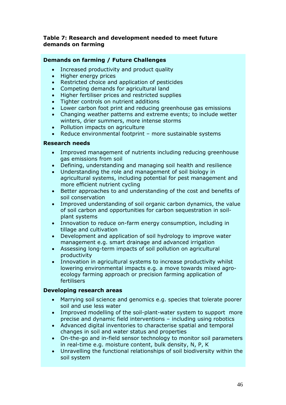### **Table 7: Research and development needed to meet future demands on farming**

# **Demands on farming / Future Challenges**

- Increased productivity and product quality
- Higher energy prices
- Restricted choice and application of pesticides
- Competing demands for agricultural land
- Higher fertiliser prices and restricted supplies
- Tighter controls on nutrient additions
- Lower carbon foot print and reducing greenhouse gas emissions
- Changing weather patterns and extreme events; to include wetter winters, drier summers, more intense storms
- Pollution impacts on agriculture
- Reduce environmental footprint more sustainable systems

# **Research needs**

- Improved management of nutrients including reducing greenhouse gas emissions from soil
- Defining, understanding and managing soil health and resilience
- Understanding the role and management of soil biology in agricultural systems, including potential for pest management and more efficient nutrient cycling
- Better approaches to and understanding of the cost and benefits of soil conservation
- Improved understanding of soil organic carbon dynamics, the value of soil carbon and opportunities for carbon sequestration in soilplant systems
- Innovation to reduce on-farm energy consumption, including in tillage and cultivation
- Development and application of soil hydrology to improve water management e.g. smart drainage and advanced irrigation
- Assessing long-term impacts of soil pollution on agricultural productivity
- Innovation in agricultural systems to increase productivity whilst lowering environmental impacts e.g. a move towards mixed agroecology farming approach or precision farming application of fertilisers

# **Developing research areas**

- Marrying soil science and genomics e.g. species that tolerate poorer soil and use less water
- Improved modelling of the soil-plant-water system to support more precise and dynamic field interventions – including using robotics
- Advanced digital inventories to characterise spatial and temporal changes in soil and water status and properties
- On-the-go and in-field sensor technology to monitor soil parameters in real-time e.g. moisture content, bulk density, N, P, K
- Unravelling the functional relationships of soil biodiversity within the soil system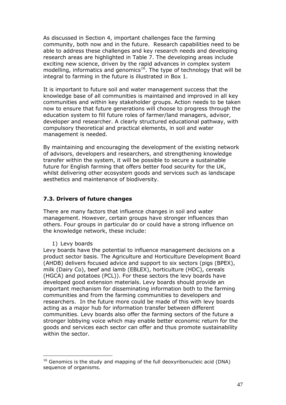As discussed in Section 4, important challenges face the farming community, both now and in the future. Research capabilities need to be able to address these challenges and key research needs and developing research areas are highlighted in Table 7. The developing areas include exciting new science, driven by the rapid advances in complex system modelling, informatics and genomics<sup>[16](#page-55-0)</sup>. The type of technology that will be integral to farming in the future is illustrated in Box 1.

It is important to future soil and water management success that the knowledge base of all communities is maintained and improved in all key communities and within key stakeholder groups. Action needs to be taken now to ensure that future generations will choose to progress through the education system to fill future roles of farmer/land managers, advisor, developer and researcher. A clearly structured educational pathway, with compulsory theoretical and practical elements, in soil and water management is needed.

By maintaining and encouraging the development of the existing network of advisors, developers and researchers, and strengthening knowledge transfer within the system, it will be possible to secure a sustainable future for English farming that offers better food security for the UK, whilst delivering other ecosystem goods and services such as landscape aesthetics and maintenance of biodiversity.

### **7.3. Drivers of future changes**

There are many factors that influence changes in soil and water management. However, certain groups have stronger influences than others. Four groups in particular do or could have a strong influence on the knowledge network, these include:

#### 1) Levy boards

Levy boards have the potential to influence management decisions on a product sector basis. The Agriculture and Horticulture Development Board (AHDB) delivers focused advice and support to six sectors (pigs (BPEX), milk (Dairy Co), beef and lamb (EBLEX), horticulture (HDC), cereals (HGCA) and potatoes (PCL)). For these sectors the levy boards have developed good extension materials. Levy boards should provide an important mechanism for disseminating information both to the farming communities and from the farming communities to developers and researchers. In the future more could be made of this with levy boards acting as a major hub for information transfer between different communities. Levy boards also offer the farming sectors of the future a stronger lobbying voice which may enable better economic return for the goods and services each sector can offer and thus promote sustainability within the sector.

<span id="page-55-0"></span> $16$  Genomics is the study and mapping of the full deoxyribonucleic acid (DNA) sequence of organisms.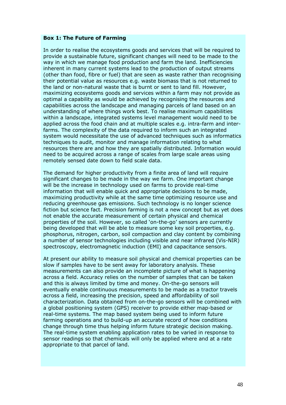#### **Box 1: The Future of Farming**

In order to realise the ecosystems goods and services that will be required to provide a sustainable future, significant changes will need to be made to the way in which we manage food production and farm the land. Inefficiencies inherent in many current systems lead to the production of output streams (other than food, fibre or fuel) that are seen as waste rather than recognising their potential value as resources e.g. waste biomass that is not returned to the land or non-natural waste that is burnt or sent to land fill. However, maximizing ecosystems goods and services within a farm may not provide as optimal a capability as would be achieved by recognising the resources and capabilities across the landscape and managing parcels of land based on an understanding of where things work best. To realise maximum capabilities within a landscape, integrated systems level management would need to be applied across the food chain and at multiple scales e.g. intra-farm and interfarms. The complexity of the data required to inform such an integrated system would necessitate the use of advanced techniques such as informatics techniques to audit, monitor and manage information relating to what resources there are and how they are spatially distributed. Information would need to be acquired across a range of scales from large scale areas using remotely sensed date down to field scale data.

The demand for higher productivity from a finite area of land will require significant changes to be made in the way we farm. One important change will be the increase in technology used on farms to provide real-time information that will enable quick and appropriate decisions to be made, maximizing productivity while at the same time optimizing resource use and reducing greenhouse gas emissions. Such technology is no longer science fiction but science fact. Precision farming is not a new concept but as yet does not enable the accurate measurement of certain physical and chemical properties of the soil. However, so called 'on-the-go' sensors are currently being developed that will be able to measure some key soil properties, e.g. phosphorus, nitrogen, carbon, soil compaction and clay content by combining a number of sensor technologies including visible and near infrared (Vis-NIR) spectroscopy, electromagnetic induction (EMI) and capacitance sensors.

At present our ability to measure soil physical and chemical properties can be slow if samples have to be sent away for laboratory analysis. These measurements can also provide an incomplete picture of what is happening across a field. Accuracy relies on the number of samples that can be taken and this is always limited by time and money. On-the-go sensors will eventually enable continuous measurements to be made as a tractor travels across a field, increasing the precision, speed and affordability of soil characterization. Data obtained from on-the-go sensors will be combined with a global positioning system (GPS) receiver to provide either map-based or real-time systems. The map based system being used to inform future farming operations and to build-up an accurate record of how conditions change through time thus helping inform future strategic decision making. The real-time system enabling application rates to be varied in response to sensor readings so that chemicals will only be applied where and at a rate appropriate to that parcel of land.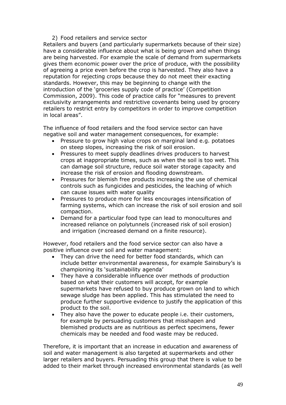### 2) Food retailers and service sector

Retailers and buyers (and particularly supermarkets because of their size) have a considerable influence about what is being grown and when things are being harvested. For example the scale of demand from supermarkets gives them economic power over the price of produce, with the possibility of agreeing a price even before the crop is harvested. They also have a reputation for rejecting crops because they do not meet their exacting standards. However, this may be beginning to change with the introduction of the 'groceries supply code of practice' (Competition Commission, 2009). This code of practice calls for "measures to prevent exclusivity arrangements and restrictive covenants being used by grocery retailers to restrict entry by competitors in order to improve competition in local areas".

The influence of food retailers and the food service sector can have negative soil and water management consequences, for example:

- Pressure to grow high value crops on marginal land e.g. potatoes on steep slopes, increasing the risk of soil erosion.
- Pressures to meet supply deadlines drives producers to harvest crops at inappropriate times, such as when the soil is too wet. This can damage soil structure, reduce soil water storage capacity and increase the risk of erosion and flooding downstream.
- Pressures for blemish free products increasing the use of chemical controls such as fungicides and pesticides, the leaching of which can cause issues with water quality
- Pressures to produce more for less encourages intensification of farming systems, which can increase the risk of soil erosion and soil compaction.
- Demand for a particular food type can lead to monocultures and increased reliance on polytunnels (increased risk of soil erosion) and irrigation (increased demand on a finite resource).

However, food retailers and the food service sector can also have a positive influence over soil and water management:

- They can drive the need for better food standards, which can include better environmental awareness, for example Sainsbury's is championing its 'sustainability agenda'
- They have a considerable influence over methods of production based on what their customers will accept, for example supermarkets have refused to buy produce grown on land to which sewage sludge has been applied. This has stimulated the need to produce further supportive evidence to justify the application of this product to the soil.
- They also have the power to educate people i.e. their customers, for example by persuading customers that misshapen and blemished products are as nutritious as perfect specimens, fewer chemicals may be needed and food waste may be reduced.

Therefore, it is important that an increase in education and awareness of soil and water management is also targeted at supermarkets and other larger retailers and buyers. Persuading this group that there is value to be added to their market through increased environmental standards (as well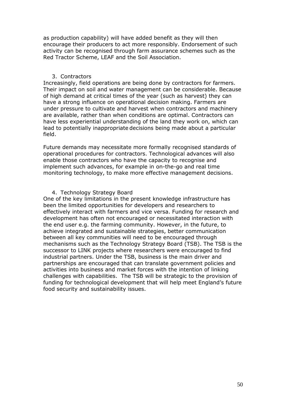as production capability) will have added benefit as they will then encourage their producers to act more responsibly. Endorsement of such activity can be recognised through farm assurance schemes such as the Red Tractor Scheme, LEAF and the Soil Association.

#### 3. Contractors

Increasingly, field operations are being done by contractors for farmers. Their impact on soil and water management can be considerable. Because of high demand at critical times of the year (such as harvest) they can have a strong influence on operational decision making. Farmers are under pressure to cultivate and harvest when contractors and machinery are available, rather than when conditions are optimal. Contractors can have less experiential understanding of the land they work on, which can lead to potentially inappropriate decisions being made about a particular field.

Future demands may necessitate more formally recognised standards of operational procedures for contractors. Technological advances will also enable those contractors who have the capacity to recognise and implement such advances, for example in on-the-go and real time monitoring technology, to make more effective management decisions.

#### 4. Technology Strategy Board

One of the key limitations in the present knowledge infrastructure has been the limited opportunities for developers and researchers to effectively interact with farmers and vice versa. Funding for research and development has often not encouraged or necessitated interaction with the end user e.g. the farming community. However, in the future, to achieve integrated and sustainable strategies, better communication between all key communities will need to be encouraged through mechanisms such as the Technology Strategy Board (TSB). The TSB is the successor to LINK projects where researchers were encouraged to find industrial partners. Under the TSB, business is the main driver and partnerships are encouraged that can translate government policies and activities into business and market forces with the intention of linking challenges with capabilities. The TSB will be strategic to the provision of funding for technological development that will help meet England's future food security and sustainability issues.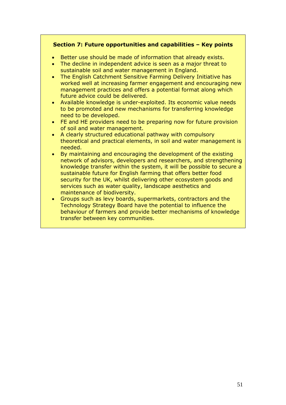# **Section 7: Future opportunities and capabilities – Key points**

- Better use should be made of information that already exists.
- The decline in independent advice is seen as a major threat to sustainable soil and water management in England.
- The English Catchment Sensitive Farming Delivery Initiative has worked well at increasing farmer engagement and encouraging new management practices and offers a potential format along which future advice could be delivered.
- Available knowledge is under-exploited. Its economic value needs to be promoted and new mechanisms for transferring knowledge need to be developed.
- FE and HE providers need to be preparing now for future provision of soil and water management.
- A clearly structured educational pathway with compulsory theoretical and practical elements, in soil and water management is needed.
- By maintaining and encouraging the development of the existing network of advisors, developers and researchers, and strengthening knowledge transfer within the system, it will be possible to secure a sustainable future for English farming that offers better food security for the UK, whilst delivering other ecosystem goods and services such as water quality, landscape aesthetics and maintenance of biodiversity.
- Groups such as levy boards, supermarkets, contractors and the Technology Strategy Board have the potential to influence the behaviour of farmers and provide better mechanisms of knowledge transfer between key communities.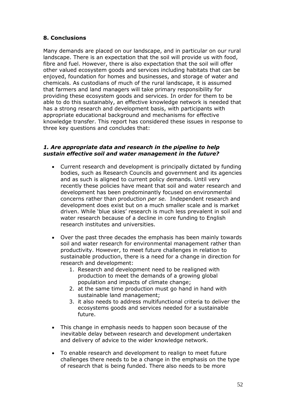# **8. Conclusions**

Many demands are placed on our landscape, and in particular on our rural landscape. There is an expectation that the soil will provide us with food, fibre and fuel. However, there is also expectation that the soil will offer other valued ecosystem goods and services including habitats that can be enjoyed, foundation for homes and businesses, and storage of water and chemicals. As custodians of much of the rural landscape, it is assumed that farmers and land managers will take primary responsibility for providing these ecosystem goods and services. In order for them to be able to do this sustainably, an effective knowledge network is needed that has a strong research and development basis, with participants with appropriate educational background and mechanisms for effective knowledge transfer. This report has considered these issues in response to three key questions and concludes that:

#### *1. Are appropriate data and research in the pipeline to help sustain effective soil and water management in the future?*

- Current research and development is principally dictated by funding bodies, such as Research Councils and government and its agencies and as such is aligned to current policy demands. Until very recently these policies have meant that soil and water research and development has been predominantly focused on environmental concerns rather than production *per se.* Independent research and development does exist but on a much smaller scale and is market driven. While 'blue skies' research is much less prevalent in soil and water research because of a decline in core funding to English research institutes and universities.
- Over the past three decades the emphasis has been mainly towards soil and water research for environmental management rather than productivity. However, to meet future challenges in relation to sustainable production, there is a need for a change in direction for research and development:
	- 1. Research and development need to be realigned with production to meet the demands of a growing global population and impacts of climate change;
	- 2. at the same time production must go hand in hand with sustainable land management;
	- 3. it also needs to address multifunctional criteria to deliver the ecosystems goods and services needed for a sustainable future.
- This change in emphasis needs to happen soon because of the inevitable delay between research and development undertaken and delivery of advice to the wider knowledge network.
- To enable research and development to realign to meet future challenges there needs to be a change in the emphasis on the type of research that is being funded. There also needs to be more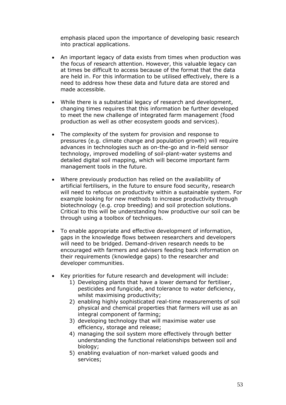emphasis placed upon the importance of developing basic research into practical applications.

- An important legacy of data exists from times when production was the focus of research attention. However, this valuable legacy can at times be difficult to access because of the format that the data are held in. For this information to be utilised effectively, there is a need to address how these data and future data are stored and made accessible.
- While there is a substantial legacy of research and development, changing times requires that this information be further developed to meet the new challenge of integrated farm management (food production as well as other ecosystem goods and services).
- The complexity of the system for provision and response to pressures (e.g. climate change and population growth) will require advances in technologies such as on-the-go and in-field sensor technology, improved modelling of soil-plant-water systems and detailed digital soil mapping, which will become important farm management tools in the future.
- Where previously production has relied on the availability of artificial fertilisers, in the future to ensure food security, research will need to refocus on productivity within a sustainable system. For example looking for new methods to increase productivity through biotechnology (e.g. crop breeding) and soil protection solutions. Critical to this will be understanding how productive our soil can be through using a toolbox of techniques.
- To enable appropriate and effective development of information, gaps in the knowledge flows between researchers and developers will need to be bridged. Demand-driven research needs to be encouraged with farmers and advisers feeding back information on their requirements (knowledge gaps) to the researcher and developer communities.
- Key priorities for future research and development will include:
	- 1) Developing plants that have a lower demand for fertiliser, pesticides and fungicide, and tolerance to water deficiency, whilst maximising productivity;
	- 2) enabling highly sophisticated real-time measurements of soil physical and chemical properties that farmers will use as an integral component of farming;
	- 3) developing technology that will maximise water use efficiency, storage and release;
	- 4) managing the soil system more effectively through better understanding the functional relationships between soil and biology;
	- 5) enabling evaluation of non-market valued goods and services;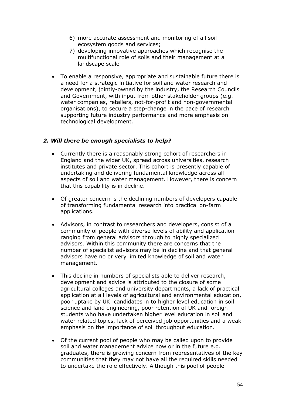- 6) more accurate assessment and monitoring of all soil ecosystem goods and services;
- 7) developing innovative approaches which recognise the multifunctional role of soils and their management at a landscape scale
- To enable a responsive, appropriate and sustainable future there is a need for a strategic initiative for soil and water research and development, jointly-owned by the industry, the Research Councils and Government, with input from other stakeholder groups (e.g. water companies, retailers, not-for-profit and non-governmental organisations), to secure a step-change in the pace of research supporting future industry performance and more emphasis on technological development.

# *2. Will there be enough specialists to help?*

- Currently there is a reasonably strong cohort of researchers in England and the wider UK, spread across universities, research institutes and private sector. This cohort is presently capable of undertaking and delivering fundamental knowledge across all aspects of soil and water management. However, there is concern that this capability is in decline.
- Of greater concern is the declining numbers of developers capable of transforming fundamental research into practical on-farm applications.
- Advisors, in contrast to researchers and developers, consist of a community of people with diverse levels of ability and application ranging from general advisors through to highly specialized advisors. Within this community there are concerns that the number of specialist advisors may be in decline and that general advisors have no or very limited knowledge of soil and water management.
- This decline in numbers of specialists able to deliver research, development and advice is attributed to the closure of some agricultural colleges and university departments, a lack of practical application at all levels of agricultural and environmental education, poor uptake by UK candidates in to higher level education in soil science and land engineering, poor retention of UK and foreign students who have undertaken higher level education in soil and water related topics, lack of perceived job opportunities and a weak emphasis on the importance of soil throughout education.
- Of the current pool of people who may be called upon to provide soil and water management advice now or in the future e.g. graduates, there is growing concern from representatives of the key communities that they may not have all the required skills needed to undertake the role effectively. Although this pool of people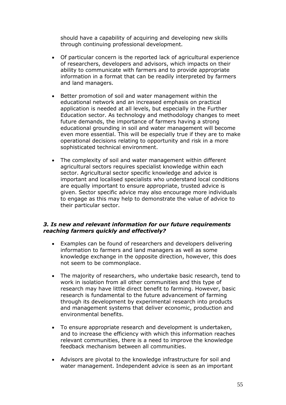should have a capability of acquiring and developing new skills through continuing professional development.

- Of particular concern is the reported lack of agricultural experience of researchers, developers and advisors, which impacts on their ability to communicate with farmers and to provide appropriate information in a format that can be readily interpreted by farmers and land managers.
- Better promotion of soil and water management within the educational network and an increased emphasis on practical application is needed at all levels, but especially in the Further Education sector. As technology and methodology changes to meet future demands, the importance of farmers having a strong educational grounding in soil and water management will become even more essential. This will be especially true if they are to make operational decisions relating to opportunity and risk in a more sophisticated technical environment.
- The complexity of soil and water management within different agricultural sectors requires specialist knowledge within each sector. Agricultural sector specific knowledge and advice is important and localised specialists who understand local conditions are equally important to ensure appropriate, trusted advice is given. Sector specific advice may also encourage more individuals to engage as this may help to demonstrate the value of advice to their particular sector.

### *3. Is new and relevant information for our future requirements reaching farmers quickly and effectively?*

- Examples can be found of researchers and developers delivering information to farmers and land managers as well as some knowledge exchange in the opposite direction, however, this does not seem to be commonplace.
- The majority of researchers, who undertake basic research, tend to work in isolation from all other communities and this type of research may have little direct benefit to farming. However, basic research is fundamental to the future advancement of farming through its development by experimental research into products and management systems that deliver economic, production and environmental benefits.
- To ensure appropriate research and development is undertaken, and to increase the efficiency with which this information reaches relevant communities, there is a need to improve the knowledge feedback mechanism between all communities.
- Advisors are pivotal to the knowledge infrastructure for soil and water management. Independent advice is seen as an important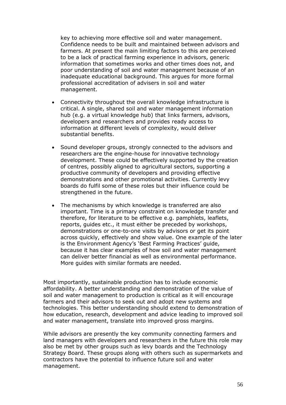key to achieving more effective soil and water management. Confidence needs to be built and maintained between advisors and farmers. At present the main limiting factors to this are perceived to be a lack of practical farming experience in advisors, generic information that sometimes works and other times does not, and poor understanding of soil and water management because of an inadequate educational background. This argues for more formal professional accreditation of advisers in soil and water management.

- Connectivity throughout the overall knowledge infrastructure is critical. A single, shared soil and water management information hub (e.g. a virtual knowledge hub) that links farmers, advisors, developers and researchers and provides ready access to information at different levels of complexity, would deliver substantial benefits.
- Sound developer groups, strongly connected to the advisors and researchers are the engine-house for innovative technology development. These could be effectively supported by the creation of centres, possibly aligned to agricultural sectors, supporting a productive community of developers and providing effective demonstrations and other promotional activities. Currently levy boards do fulfil some of these roles but their influence could be strengthened in the future.
- The mechanisms by which knowledge is transferred are also important. Time is a primary constraint on knowledge transfer and therefore, for literature to be effective e.g. pamphlets, leaflets, reports, guides etc., it must either be preceded by workshops, demonstrations or one-to-one visits by advisors or get its point across quickly, effectively and show value. One example of the later is the Environment Agency's 'Best Farming Practices' guide, because it has clear examples of how soil and water management can deliver better financial as well as environmental performance. More guides with similar formats are needed.

Most importantly, sustainable production has to include economic affordability. A better understanding and demonstration of the value of soil and water management to production is critical as it will encourage farmers and their advisors to seek out and adopt new systems and technologies. This better understanding should extend to demonstration of how education, research, development and advice leading to improved soil and water management, translate into improved gross margins.

While advisors are presently the key community connecting farmers and land managers with developers and researchers in the future this role may also be met by other groups such as levy boards and the Technology Strategy Board. These groups along with others such as supermarkets and contractors have the potential to influence future soil and water management.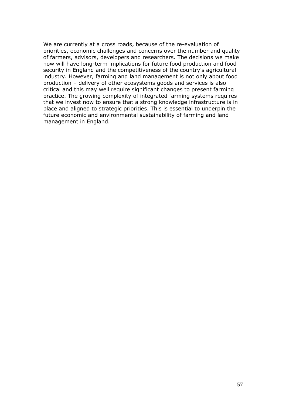We are currently at a cross roads, because of the re-evaluation of priorities, economic challenges and concerns over the number and quality of farmers, advisors, developers and researchers. The decisions we make now will have long-term implications for future food production and food security in England and the competitiveness of the country's agricultural industry. However, farming and land management is not only about food production – delivery of other ecosystems goods and services is also critical and this may well require significant changes to present farming practice. The growing complexity of integrated farming systems requires that we invest now to ensure that a strong knowledge infrastructure is in place and aligned to strategic priorities. This is essential to underpin the future economic and environmental sustainability of farming and land management in England.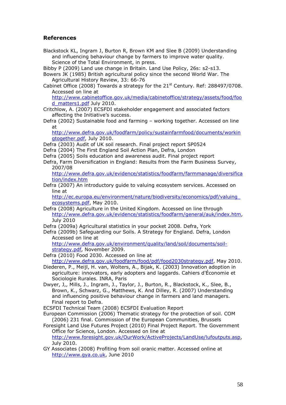# **References**

Blackstock KL, Ingram J, Burton R, Brown KM and Slee B (2009) Understanding and influencing behaviour change by farmers to improve water quality. Science of the Total Environment, in press.

Bibby P (2009) Land use change in Britain. Land Use Policy, 26s: s2-s13.

Bowers JK (1985) British agricultural policy since the second World War. The Agricultural History Review, 33: 66-76

Cabinet Office (2008) Towards a strategy for the  $21<sup>st</sup>$  Century. Ref: 288497/0708. Accessed on line at

[http://www.cabinetoffice.gov.uk/media/cabinetoffice/strategy/assets/food/foo](http://www.cabinetoffice.gov.uk/media/cabinetoffice/strategy/assets/food/food_matters1.pdf) [d\\_matters1.pdf](http://www.cabinetoffice.gov.uk/media/cabinetoffice/strategy/assets/food/food_matters1.pdf) July 2010.

Critchlow, A. (2007) ECSFDI stakeholder engagement and associated factors affecting the Initiative's success.

Defra (2002) Sustainable food and farming – working together. Accessed on line at

[http://www.defra.gov.uk/foodfarm/policy/sustainfarmfood/documents/workin](http://www.defra.gov.uk/foodfarm/policy/sustainfarmfood/documents/workingtogether.pdf) [gtogether.pdf](http://www.defra.gov.uk/foodfarm/policy/sustainfarmfood/documents/workingtogether.pdf), July 2010.

Defra (2003) Audit of UK soil research. Final project report SP0524

Defra (2004) The First England Soil Action Plan, Defra, London

Defra (2005) Soils education and awareness audit. Final project report

Defra, Farm Diversification in England: Results from the Farm Business Survey, 2007/08

[http://www.defra.gov.uk/evidence/statistics/foodfarm/farmmanage/diversifica](http://www.defra.gov.uk/evidence/statistics/foodfarm/farmmanage/diversification/index.htm) [tion/index.htm](http://www.defra.gov.uk/evidence/statistics/foodfarm/farmmanage/diversification/index.htm)

Defra (2007) An introductory guide to valuing ecosystem services. Accessed on line at

[http://ec.europa.eu/environment/nature/biodiversity/economics/pdf/valuing\\_](http://ec.europa.eu/environment/nature/biodiversity/economics/pdf/valuing_ecosystems.pdf) [ecosystems.pdf](http://ec.europa.eu/environment/nature/biodiversity/economics/pdf/valuing_ecosystems.pdf), May 2010.

Defra (2008) Agriculture in the United Kingdom. Accessed on line through <http://www.defra.gov.uk/evidence/statistics/foodfarm/general/auk/index.htm>, July 2010

Defra (2009a) Agricultural statistics in your pocket 2008. Defra, York

Defra (2009b) Safeguarding our Soils. A Strategy for England. Defra, London Accessed on line at

[http://www.defra.gov.uk/environment/quality/land/soil/documents/soil](http://www.defra.gov.uk/environment/quality/land/soil/documents/soil-strategy.pdf)[strategy.pdf,](http://www.defra.gov.uk/environment/quality/land/soil/documents/soil-strategy.pdf) November 2009.

Defra (2010) Food 2030. Accessed on line at [http://www.defra.gov.uk/foodfarm/food/pdf/food2030strategy.pdf,](http://www.defra.gov.uk/foodfarm/food/pdf/food2030strategy.pdf) May 2010.

Diederen, P., Meijl, H. van, Wolters, A., Bijak, K. (2003) Innovation adoption in agriculture: innovators, early adopters and laggards. Cahiers d'Économie et Sociologie Rurales. INRA, Paris

Dwyer, J,, Mills, J., Ingram, J., Taylor, J., Burton, R., Blackstock, K., Slee, B., Brown, K., Schwarz, G., Matthews, K. And Dilley, R. (2007) Understanding and influencing positive behaviour change in farmers and land managers. Final report to Defra.

ECSFDI Technical Team (2008) ECSFDI Evaluation Report

European Commission (2006) Thematic strategy for the protection of soil. COM (2006) 231 final. Commission of the European Communities, Brussels

Foresight Land Use Futures Project (2010) Final Project Report. The Government Office for Science, London. Accessed on line at <http://www.foresight.gov.uk/OurWork/ActiveProjects/LandUse/lufoutputs.asp>, July 2010.

GY Associates (2008) Profiting from soil oranic matter. Accessed online at [http://www.gya.co.uk](http://www.gya.co.uk/), June 2010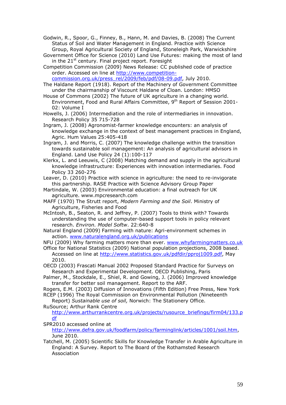Godwin, R., Spoor, G., Finney, B., Hann, M. and Davies, B. (2008) The Current Status of Soil and Water Management in England. Practice with Science Group, Royal Agricultural Society of England, Stoneleigh Park, Warwickshire

Government Office for Science (2010) Land Use Futures: making the most of land in the  $21^{st}$  century. Final project report. Foresight

Competition Commission (2009) News Release: CC published code of practice order. Accessed on line at [http://www.competition](http://www.competition-commission.org.uk/press_rel/2009/feb/pdf/08-09.pdf)[commission.org.uk/press\\_rel/2009/feb/pdf/08-09.pdf,](http://www.competition-commission.org.uk/press_rel/2009/feb/pdf/08-09.pdf) July 2010.

The Haldane Report (1918). Report of the Machinery of Government Committee under the chairmanship of Viscount Haldane of Cloan. London: HMSO

House of Commons (2002) The future of UK agriculture in a changing world. Environment, Food and Rural Affairs Committee, 9<sup>th</sup> Report of Session 2001-02: Volume I

Howells, J. (2006) Intermediation and the role of intermediaries in innovation. Research Policy 35 715-728

Ingram, J. (2008) Agronomist-farmer knowledge encounters: an analysis of knowledge exchange in the context of best management practices in England, Agric. Hum Values 25:405-418

Ingram, J. and Morris, C. (2007) The knowledge challenge within the transition towards sustainable soil management: An analysis of agricultural advisors in England. Land Use Policy 24 (1):100-117

Klerkx, L. and Leeuwis, C (2008) Matching demand and supply in the agricultural knowledge infrastructure: Experiences with innovation intermediaries. Food Policy 33 260-276

Leaver, D. (2010) Practice with science in agriculture: the need to re-invigorate this partnership. RASE Practice with Science Advisory Group Paper

Martindale, W. (2003) Environmental education: a final outreach for UK agriculture. www.mpcresearch.com

MAFF (1970) The Strutt report, *Modern Farming and the Soil*. Ministry of Agriculture, Fisheries and Food

McIntosh, B., Seaton, R. and Jeffrey, P. (2007) Tools to think with? Towards understanding the use of computer-based support tools in policy relevant research. *Environ. Model Softw*. 22:640-8

Natural England (2009) Farming with nature: Agri-environment schemes in action. [www.naturalengland.org.uk/publications](http://www.naturalengland.org.uk/publications)

NFU (2009) Why farming matters more than ever. [www.whyfarmingmatters.co.uk](http://www.whyfarmingmatters.co.uk/)

Office for National Statistics (2009) National population projections, 2008 based. Accessed on line at [http://www.statistics.gov.uk/pdfdir/pproj1009.pdf,](http://www.statistics.gov.uk/pdfdir/pproj1009.pdf) May 2010.

OECD (2003) Frascati Manual 2002 Proposed Standard Practice for Surveys on Research and Experimental Development. OECD Publishing, Paris

Palmer, M., Stockdale, E., Shiel, R. and Gowing, J. (2006) Improved knowledge transfer for better soil management. Report to the ARF.

Rogers, E.M. (2003) Diffusion of Innovations (Fifth Edition) Free Press, New York RCEP (1996) The Royal Commission on Environmental Pollution (Nineteenth

Report) *Sustainable use of soil,* Norwich: The Stationery Office. RuSource; Arthur Rank Centre

[http://www.arthurrankcentre.org.uk/projects/rusource\\_briefings/firm04/133.p](http://www.arthurrankcentre.org.uk/projects/rusource_briefings/firm04/133.pdf) [df](http://www.arthurrankcentre.org.uk/projects/rusource_briefings/firm04/133.pdf)

SPR2010 accessed online at

[http://www.defra.gov.uk/foodfarm/policy/farminglink/articles/1001/soil.htm,](http://www.defra.gov.uk/foodfarm/policy/farminglink/articles/1001/soil.htm) June 2010.

Tatchell, M. (2005) Scientific Skills for Knowledge Transfer in Arable Agriculture in England: A Survey. Report to The Board of the Rothamsted Research Association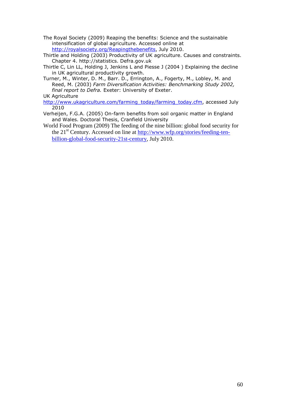- The Royal Society (2009) Reaping the benefits: Science and the sustainable intensification of global agriculture. Accessed online at [http://royalsociety.org/Reapingthebenefits,](http://royalsociety.org/Reapingthebenefits) July 2010.
- Thirtle and Holding (2003) Productivity of UK agriculture. Causes and constraints. Chapter 4. http://statistics. Defra.gov.uk
- Thirtle C, Lin LL, Holding J, Jenkins L and Piesse J (2004 ) Explaining the decline in UK agricultural productivity growth.
- Turner, M., Winter, D. M., Barr. D., Errington, A., Fogerty, M., Lobley, M. and Reed, M. (2003) *Farm Diversification Activities: Benchmarking Study 2002, final report to Defra.* Exeter: University of Exeter.
- UK Agriculture
- [http://www.ukagriculture.com/farming\\_today/farming\\_today.cfm,](http://www.ukagriculture.com/farming_today/farming_today.cfm) accessed July 2010
- Verheijen, F.G.A. (2005) On-farm benefits from soil organic matter in England and Wales. Doctoral Thesis, Cranfield University
- World Food Program (2009) The feeding of the nine billion: global food security for the 21<sup>st</sup> Century. Accessed on line at [http://www.wfp.org/stories/feeding-ten](http://www.wfp.org/stories/feeding-ten-billion-global-food-security-21st-century)[billion-global-food-security-21st-century](http://www.wfp.org/stories/feeding-ten-billion-global-food-security-21st-century), July 2010.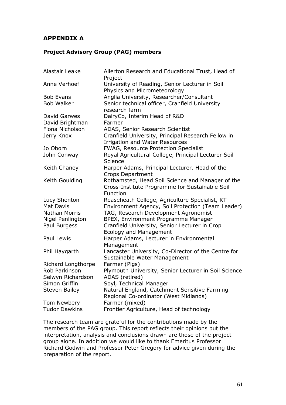# **APPENDIX A**

# **Project Advisory Group (PAG) members**

| Alastair Leake                      | Allerton Research and Educational Trust, Head of<br>Project                                                    |
|-------------------------------------|----------------------------------------------------------------------------------------------------------------|
| Anne Verhoef                        | University of Reading, Senior Lecturer in Soil<br>Physics and Micrometeorology                                 |
| <b>Bob Evans</b>                    | Anglia University, Researcher/Consultant                                                                       |
| <b>Bob Walker</b>                   | Senior technical officer, Cranfield University<br>research farm                                                |
| David Garwes                        | DairyCo, Interim Head of R&D                                                                                   |
| David Brightman                     | Farmer                                                                                                         |
| Fiona Nicholson                     | ADAS, Senior Research Scientist                                                                                |
| Jerry Knox                          | Cranfield University, Principal Research Fellow in<br><b>Irrigation and Water Resources</b>                    |
| Jo Oborn                            | FWAG, Resource Protection Specialist                                                                           |
| John Conway                         | Royal Agricultural College, Principal Lecturer Soil<br>Science                                                 |
| Keith Chaney                        | Harper Adams, Principal Lecturer. Head of the<br><b>Crops Department</b>                                       |
| Keith Goulding                      | Rothamsted, Head Soil Science and Manager of the<br>Cross-Institute Programme for Sustainable Soil<br>Function |
| Lucy Shenton                        | Reaseheath College, Agriculture Specialist, KT                                                                 |
| <b>Mat Davis</b>                    | Environment Agency, Soil Protection (Team Leader)                                                              |
| <b>Nathan Morris</b>                | TAG, Research Development Agronomist                                                                           |
| Nigel Penlington                    | BPEX, Environment Programme Manager                                                                            |
| Paul Burgess                        | Cranfield University, Senior Lecturer in Crop<br><b>Ecology and Management</b>                                 |
| Paul Lewis                          | Harper Adams, Lecturer in Environmental<br>Management                                                          |
| Phil Haygarth                       | Lancaster University, Co-Director of the Centre for<br>Sustainable Water Management                            |
| Richard Longthorpe<br>Rob Parkinson | Farmer (Pigs)<br>Plymouth University, Senior Lecturer in Soil Science                                          |
| Selwyn Richardson                   | ADAS (retired)                                                                                                 |
| Simon Griffin                       | Soyl, Technical Manager                                                                                        |
| <b>Steven Bailey</b>                | Natural England, Catchment Sensitive Farming<br>Regional Co-ordinator (West Midlands)                          |
| Tom Newbery                         | Farmer (mixed)                                                                                                 |
| <b>Tudor Dawkins</b>                | Frontier Agriculture, Head of technology                                                                       |

The research team are grateful for the contributions made by the members of the PAG group. This report reflects their opinions but the interpretation, analysis and conclusions drawn are those of the project group alone. In addition we would like to thank Emeritus Professor Richard Godwin and Professor Peter Gregory for advice given during the preparation of the report.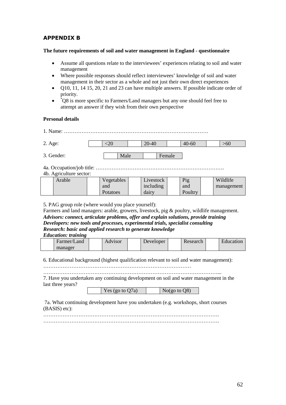# **APPENDIX B**

#### **The future requirements of soil and water management in England - questionnaire**

- Assume all questions relate to the interviewees' experiences relating to soil and water management
- Where possible responses should reflect interviewees' knowledge of soil and water management in their sector as a whole and not just their own direct experiences
- $\bullet$  O10, 11, 14 15, 20, 21 and 23 can have multiple answers. If possible indicate order of priority.
- $\bullet$ \*Q8 is more specific to Farmers/Land managers but any one should feel free to attempt an answer if they wish from their own perspective

#### **Personal details**

1. Name: ……………………………………………………………………….

| 2. Age:    |      | 20-40 |        | $40 - 60$ | >60 |  |
|------------|------|-------|--------|-----------|-----|--|
| 3. Gender: | Male |       | Female |           |     |  |

- 4a. Occupation/job title: ……………………………………………………………….
- 4b. Agriculture sector:

| Arable | Vegetables | Livestock | Pig     | Wildlife   |
|--------|------------|-----------|---------|------------|
|        | and        | including | and     | management |
|        | Potatoes   | dairv     | Poultry |            |

5. PAG group role (where would you place yourself):

Farmers and land managers: arable, growers, livestock, pig & poultry, wildlife management. *Advisors: connect, articulate problems, offer and explain solutions, provide training Developers: new tools and processes, experimental trials, specialist consulting Research: basic and applied research to generate knowledge*

#### *Education: training*

| Land<br>Farmer/ | Advisor | $\overline{\phantom{a}}$<br>Developer | Research | $\blacksquare$<br>Education |
|-----------------|---------|---------------------------------------|----------|-----------------------------|
| manager         |         |                                       |          |                             |

6. Educational background (highest qualification relevant to soil and water management):

…………………………………………………………………………

………………………………………………………………………………………... 7. Have you undertaken any continuing development on soil and water management in the last three years?

| Yes (go to $Q7a$ ) | No(go to $Q8$ ) |  |
|--------------------|-----------------|--|
|                    |                 |  |

7a. What continuing development have you undertaken (e.g. workshops, short courses (BASIS) etc):

 $\mathcal{L}^{(n)}$ ……………………………………………………………………………………….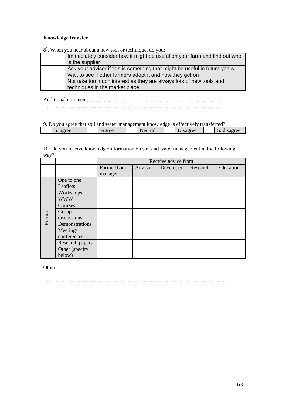#### **Knowledge transfer**

**8 \* .** When you hear about a new tool or technique, do you:

| Immediately consider how it might be useful on your farm and find out who  |
|----------------------------------------------------------------------------|
| is the supplier                                                            |
| Ask your advisor if this is something that might be useful in future years |
| Wait to see if other farmers adopt it and how they get on                  |
| Not take too much interest as they are always lots of new tools and        |
| techniques in the market place                                             |

Additional comment: ……….……………………………………………..…………. ………………………………………………………………………………………...

9. Do you agree that soil and water management knowledge is effectively transferred?

| .          |      |         |         |                 |  |  |  |
|------------|------|---------|---------|-----------------|--|--|--|
| agree<br>້ | gree | Neutral | hsagree | disagree<br>IJ. |  |  |  |
|            |      |         |         |                 |  |  |  |

10. Do you receive knowledge/information on soil and water management in the following way?

|        |                 | Receive advice from |         |           |          |           |  |
|--------|-----------------|---------------------|---------|-----------|----------|-----------|--|
|        |                 | Farmer/Land         | Advisor | Developer | Research | Education |  |
|        |                 | manager             |         |           |          |           |  |
|        | One to one      |                     |         |           |          |           |  |
|        | Leaflets        |                     |         |           |          |           |  |
|        | Workshops       |                     |         |           |          |           |  |
|        | <b>WWW</b>      |                     |         |           |          |           |  |
|        | Courses         |                     |         |           |          |           |  |
|        | Group           |                     |         |           |          |           |  |
| Format | discussions     |                     |         |           |          |           |  |
|        | Demonstrations  |                     |         |           |          |           |  |
|        | Meeting/        |                     |         |           |          |           |  |
|        | conferences     |                     |         |           |          |           |  |
|        | Research papers |                     |         |           |          |           |  |
|        | Other (specify  |                     |         |           |          |           |  |
|        | below)          |                     |         |           |          |           |  |

Other: …………………………………………………………………………………...

…………………………………………………………………………………………..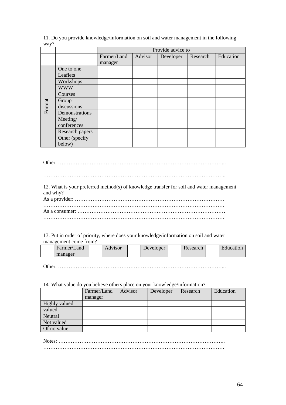11. Do you provide knowledge/information on soil and water management in the following way?

|        |                 | Provide advice to |         |           |          |           |  |  |  |  |  |
|--------|-----------------|-------------------|---------|-----------|----------|-----------|--|--|--|--|--|
|        |                 | Farmer/Land       | Advisor | Developer | Research | Education |  |  |  |  |  |
|        |                 | manager           |         |           |          |           |  |  |  |  |  |
|        | One to one      |                   |         |           |          |           |  |  |  |  |  |
|        | Leaflets        |                   |         |           |          |           |  |  |  |  |  |
|        | Workshops       |                   |         |           |          |           |  |  |  |  |  |
|        | <b>WWW</b>      |                   |         |           |          |           |  |  |  |  |  |
|        | Courses         |                   |         |           |          |           |  |  |  |  |  |
|        | Group           |                   |         |           |          |           |  |  |  |  |  |
| Format | discussions     |                   |         |           |          |           |  |  |  |  |  |
|        | Demonstrations  |                   |         |           |          |           |  |  |  |  |  |
|        | Meeting/        |                   |         |           |          |           |  |  |  |  |  |
|        | conferences     |                   |         |           |          |           |  |  |  |  |  |
|        | Research papers |                   |         |           |          |           |  |  |  |  |  |
|        | Other (specify  |                   |         |           |          |           |  |  |  |  |  |
|        | below)          |                   |         |           |          |           |  |  |  |  |  |

Other: …………………………………………………………………………………...

…………………………………………………………………………………………..

| 12. What is your preferred method(s) of knowledge transfer for soil and water management |
|------------------------------------------------------------------------------------------|
| and why?                                                                                 |
|                                                                                          |

| 13. Put in order of priority, where does your knowledge/information on soil and water |  |
|---------------------------------------------------------------------------------------|--|
| management come from?                                                                 |  |

| Farmer/Land | Advisor | Developer | Research | ducation_ |
|-------------|---------|-----------|----------|-----------|
| manager     |         |           |          |           |

Other: …………………………………………………………………………………...

### 14. What value do you believe others place on your knowledge/information?

|               | Farmer/Land | Advisor | Developer | Research | Education |
|---------------|-------------|---------|-----------|----------|-----------|
|               | manager     |         |           |          |           |
| Highly valued |             |         |           |          |           |
| valued        |             |         |           |          |           |
| Neutral       |             |         |           |          |           |
| Not valued    |             |         |           |          |           |
| Of no value   |             |         |           |          |           |

Notes: ………………………………………………………………………………….. ………………………………………………………………………………………….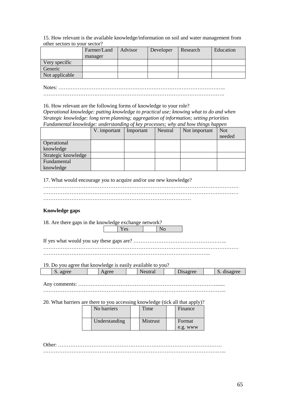15. How relevant is the available knowledge/information on soil and water management from other sectors to your sector?

|                | Farmer/Land | Advisor | Developer | Research | Education |
|----------------|-------------|---------|-----------|----------|-----------|
|                | manager     |         |           |          |           |
| Very specific  |             |         |           |          |           |
| Generic        |             |         |           |          |           |
| Not applicable |             |         |           |          |           |

Notes: …………………………………………………………………………………..

………………………………………………………………………………………….

16. How relevant are the following forms of knowledge to your role?

*Operational knowledge: putting knowledge to practical use; knowing what to do and when Strategic knowledge: long term planning; aggregation of information; setting priorities Fundamental knowledge: understanding of key processes; why and how things happen*

|                     | V. important | Important | Neutral | Not important | <b>Not</b> |
|---------------------|--------------|-----------|---------|---------------|------------|
|                     |              |           |         |               | needed     |
| <b>Operational</b>  |              |           |         |               |            |
| knowledge           |              |           |         |               |            |
| Strategic knowledge |              |           |         |               |            |
| Fundamental         |              |           |         |               |            |
| knowledge           |              |           |         |               |            |

17. What would encourage you to acquire and/or use new knowledge?

# **Knowledge gaps**

| 18. Are there gaps in the knowledge exchange network?                         |  |               |  |                 |  |                    |  |             |  |  |  |  |
|-------------------------------------------------------------------------------|--|---------------|--|-----------------|--|--------------------|--|-------------|--|--|--|--|
|                                                                               |  | Yes           |  | N <sub>o</sub>  |  |                    |  |             |  |  |  |  |
|                                                                               |  |               |  |                 |  |                    |  |             |  |  |  |  |
| 19. Do you agree that knowledge is easily available to you?                   |  |               |  |                 |  |                    |  |             |  |  |  |  |
| S. agree                                                                      |  | Agree         |  | Neutral         |  | Disagree           |  | S. disagree |  |  |  |  |
| 20. What barriers are there to you accessing knowledge (tick all that apply)? |  |               |  |                 |  |                    |  |             |  |  |  |  |
|                                                                               |  | No barriers   |  | Time            |  | Finance            |  |             |  |  |  |  |
|                                                                               |  | Understanding |  | <b>Mistrust</b> |  | Format<br>e.g. www |  |             |  |  |  |  |
|                                                                               |  |               |  |                 |  |                    |  |             |  |  |  |  |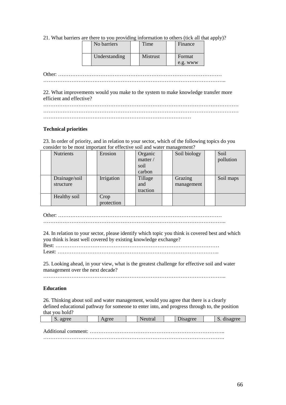21. What barriers are there to you providing information to others (tick all that apply)?

| No barriers   | Time     | Finance  |
|---------------|----------|----------|
| Understanding | Mistrust | Format   |
|               |          | e.g. www |

Other: ………………………………………………………………………………… …………………………………………………………………………………………..

22. What improvements would you make to the system to make knowledge transfer more efficient and effective?

………………………………………………………………………………………………… ………………………………………………………………………………………………… …………………………………………………………………………

#### **Technical priorities**

23. In order of priority, and in relation to your sector, which of the following topics do you consider to be most important for effective soil and water management?

| <b>Nutrients</b> | Erosion    | Organic  | Soil biology | Soil      |
|------------------|------------|----------|--------------|-----------|
|                  |            | matter / |              | pollution |
|                  |            | soil     |              |           |
|                  |            | carbon   |              |           |
| Drainage/soil    | Irrigation | Tillage  | Grazing      | Soil maps |
| structure        |            | and      | management   |           |
|                  |            | traction |              |           |
| Healthy soil     | Crop       |          |              |           |
|                  | protection |          |              |           |

Other: ………………………………………………………………………………… …………………………………………………………………………………………..

24. In relation to your sector, please identify which topic you think is covered best and which you think is least well covered by existing knowledge exchange? Best: …………………………………………………………………………………

Least: ………………………………………………………………………………..

25. Looking ahead, in your view, what is the greatest challenge for effective soil and water management over the next decade?

…………………………………………………………………………………………..

#### **Education**

26. Thinking about soil and water management, would you agree that there is a clearly defined educational pathway for someone to enter into, and progress through to, the position that you hold?

| . agree             | A oree |  | 1sagree |  |  |  |  |  |  |  |  |
|---------------------|--------|--|---------|--|--|--|--|--|--|--|--|
|                     |        |  |         |  |  |  |  |  |  |  |  |
| Additional comment: |        |  |         |  |  |  |  |  |  |  |  |
|                     |        |  |         |  |  |  |  |  |  |  |  |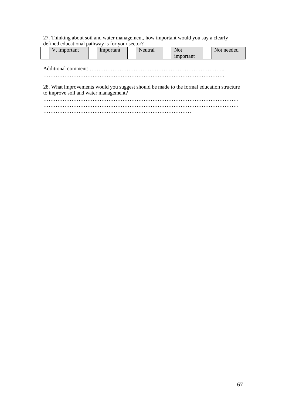# 27. Thinking about soil and water management, how important would you say a clearly defined educational pathway is for your sector?

| <b>TT</b><br>. important<br>v | lmportant | Neutral | Not                | Not needed |
|-------------------------------|-----------|---------|--------------------|------------|
|                               |           |         | <i>s</i> important |            |

#### Additional comment: …………………………………………………………………..

………………………………………………………………………………………….

28. What improvements would you suggest should be made to the formal education structure to improve soil and water management?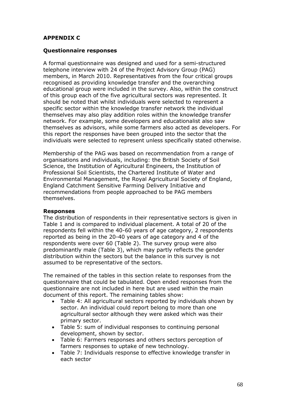# **APPENDIX C**

# **Questionnaire responses**

A formal questionnaire was designed and used for a semi-structured telephone interview with 24 of the Project Advisory Group (PAG) members, in March 2010. Representatives from the four critical groups recognised as providing knowledge transfer and the overarching educational group were included in the survey. Also, within the construct of this group each of the five agricultural sectors was represented. It should be noted that whilst individuals were selected to represent a specific sector within the knowledge transfer network the individual themselves may also play addition roles within the knowledge transfer network. For example, some developers and educationalist also saw themselves as advisors, while some farmers also acted as developers. For this report the responses have been grouped into the sector that the individuals were selected to represent unless specifically stated otherwise.

Membership of the PAG was based on recommendation from a range of organisations and individuals, including: the British Society of Soil Science, the Institution of Agricultural Engineers, the Institution of Professional Soil Scientists, the Chartered Institute of Water and Environmental Management, the Royal Agricultural Society of England, England Catchment Sensitive Farming Delivery Initiative and recommendations from people approached to be PAG members themselves.

## **Responses**

The distribution of respondents in their representative sectors is given in Table 1 and is compared to individual placement. A total of 20 of the respondents fell within the 40-60 years of age category, 2 respondents reported as being in the 20-40 years of age category and 4 of the respondents were over 60 (Table 2). The survey group were also predominantly male (Table 3), which may partly reflects the gender distribution within the sectors but the balance in this survey is not assumed to be representative of the sectors.

The remained of the tables in this section relate to responses from the questionnaire that could be tabulated. Open ended responses from the questionnaire are not included in here but are used within the main document of this report. The remaining tables show:

- Table 4: All agricultural sectors reported by individuals shown by sector. An individual could report belong to more than one agricultural sector although they were asked which was their primary sector.
- Table 5: sum of individual responses to continuing personal development, shown by sector.
- Table 6: Farmers responses and others sectors perception of farmers responses to uptake of new technology.
- Table 7: Individuals response to effective knowledge transfer in each sector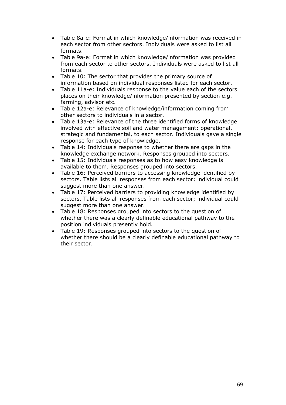- Table 8a-e: Format in which knowledge/information was received in each sector from other sectors. Individuals were asked to list all formats.
- Table 9a-e: Format in which knowledge/information was provided from each sector to other sectors. Individuals were asked to list all formats.
- Table 10: The sector that provides the primary source of information based on individual responses listed for each sector.
- Table 11a-e: Individuals response to the value each of the sectors places on their knowledge/information presented by section e.g. farming, advisor etc.
- Table 12a-e: Relevance of knowledge/information coming from other sectors to individuals in a sector.
- Table 13a-e: Relevance of the three identified forms of knowledge involved with effective soil and water management: operational, strategic and fundamental, to each sector. Individuals gave a single response for each type of knowledge.
- Table 14: Individuals response to whether there are gaps in the knowledge exchange network. Responses grouped into sectors.
- Table 15: Individuals responses as to how easy knowledge is available to them. Responses grouped into sectors.
- Table 16: Perceived barriers to accessing knowledge identified by sectors. Table lists all responses from each sector; individual could suggest more than one answer.
- Table 17: Perceived barriers to providing knowledge identified by sectors. Table lists all responses from each sector; individual could suggest more than one answer.
- Table 18: Responses grouped into sectors to the question of whether there was a clearly definable educational pathway to the position individuals presently hold.
- Table 19: Responses grouped into sectors to the question of whether there should be a clearly definable educational pathway to their sector.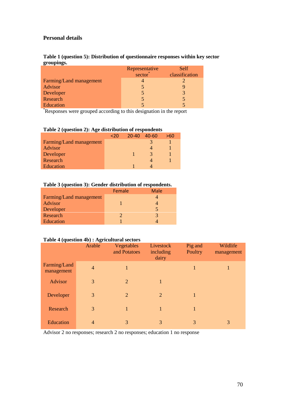## **Personal details**

| Table 1 (question 5): Distribution of questionnaire responses within key sector |  |
|---------------------------------------------------------------------------------|--|
| groupings.                                                                      |  |

|                         | Representative      | <b>Self</b>    |
|-------------------------|---------------------|----------------|
|                         | sector <sup>*</sup> | classification |
| Farming/Land management |                     |                |
| Advisor                 | 5                   |                |
| Developer               |                     | 3              |
| Research                |                     | 5              |
| Education               |                     |                |

\*Responses were grouped according to this designation in the report

|  |  | Table 2 (question 2): Age distribution of respondents |  |  |
|--|--|-------------------------------------------------------|--|--|
|--|--|-------------------------------------------------------|--|--|

|                         | $<$ 20 | $20 - 40$ | - 40-60 | >60 |
|-------------------------|--------|-----------|---------|-----|
| Farming/Land management |        |           |         |     |
| Advisor                 |        |           |         |     |
| Developer               |        |           | 3       |     |
| Research                |        |           |         |     |
| Education               |        |           |         |     |

# **Table 3 (question 3): Gender distribution of respondents.**

|                         | Female | <b>Male</b> |
|-------------------------|--------|-------------|
| Farming/Land management |        |             |
| Advisor                 |        |             |
| Developer               |        | 5           |
| Research                |        | 3           |
| Education               |        |             |

## **Table 4 (question 4b) : Agricultural sectors**

|                            | Arable         | Vegetables<br>and Potatoes | Livestock<br>including<br>dairy | Pig and<br>Poultry | Wildlife<br>management |
|----------------------------|----------------|----------------------------|---------------------------------|--------------------|------------------------|
| Farming/Land<br>management | $\overline{4}$ | 1                          |                                 | 1                  |                        |
| Advisor                    | 3              | $\overline{2}$             | 1                               |                    |                        |
| Developer                  | 3              | $\overline{2}$             | $\overline{2}$                  |                    |                        |
| Research                   | 3              | 1                          | 1                               |                    |                        |
| Education                  | $\overline{4}$ | $\mathcal{R}$              | 3                               | 3                  | 3                      |

Advisor 2 no responses; research 2 no responses; education 1 no response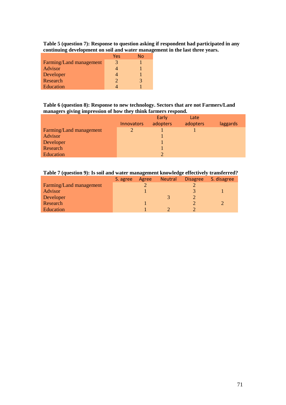**Table 5 (question 7): Response to question asking if respondent had participated in any continuing development on soil and water management in the last three years.**

|                         | Yes           | No |
|-------------------------|---------------|----|
| Farming/Land management | 3             |    |
| Advisor                 |               |    |
| Developer               |               |    |
| Research                | $\mathcal{D}$ | 3  |
| Education               |               |    |

**Table 6 (question 8): Response to new technology. Sectors that are not Farmers/Land managers giving impression of how they think farmers respond.**

|                         |                   | Early    | Late     |          |
|-------------------------|-------------------|----------|----------|----------|
|                         | <b>Innovators</b> | adopters | adopters | laggards |
| Farming/Land management | $\mathcal{D}$     |          |          |          |
| Advisor                 |                   |          |          |          |
| Developer               |                   |          |          |          |
| Research                |                   |          |          |          |
| Education               |                   | ↑        |          |          |

### **Table 7 (question 9): Is soil and water management knowledge effectively transferred?**

|                         | S. agree | Agree | <b>Neutral</b> | <b>Disagree</b> | S. disagree |
|-------------------------|----------|-------|----------------|-----------------|-------------|
| Farming/Land management |          |       |                |                 |             |
| Advisor                 |          |       |                |                 |             |
| Developer               |          |       |                |                 |             |
| Research                |          |       |                |                 |             |
| Education               |          |       |                |                 |             |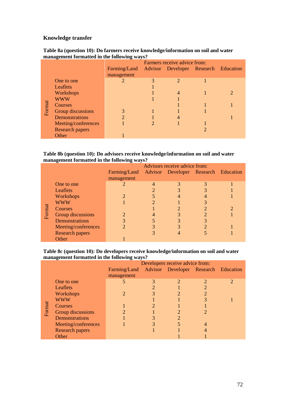## **Knowledge transfer**

|        | --                     | $\frac{1}{2}$                                     |                              |                       |  |   |  |  |
|--------|------------------------|---------------------------------------------------|------------------------------|-----------------------|--|---|--|--|
|        |                        |                                                   | Farmers receive advice from: |                       |  |   |  |  |
|        |                        | Farming/Land Advisor Developer Research Education |                              |                       |  |   |  |  |
|        |                        | management                                        |                              |                       |  |   |  |  |
|        | One to one             |                                                   |                              | $\mathcal{D}_{\cdot}$ |  |   |  |  |
|        | Leaflets               |                                                   |                              |                       |  |   |  |  |
|        | Workshops              |                                                   |                              | 4                     |  | 2 |  |  |
|        | <b>WWW</b>             |                                                   |                              |                       |  |   |  |  |
| Format | Courses                |                                                   |                              |                       |  |   |  |  |
|        | Group discussions      |                                                   |                              |                       |  |   |  |  |
|        | Demonstrations         | $\overline{2}$                                    |                              | 4                     |  |   |  |  |
|        | Meeting/conferences    |                                                   |                              |                       |  |   |  |  |
|        | <b>Research papers</b> |                                                   |                              |                       |  |   |  |  |
|        | Other                  |                                                   |                              |                       |  |   |  |  |

#### **Table 8a (question 10): Do farmers receive knowledge/information on soil and water management formatted in the following ways?**

#### **Table 8b (question 10): Do advisors receive knowledge/information on soil and water management formatted in the following ways?**

|        |                        |                                                   | Advisors receive advice from: |  |
|--------|------------------------|---------------------------------------------------|-------------------------------|--|
|        |                        | Farming/Land Advisor Developer Research Education |                               |  |
|        |                        | management                                        |                               |  |
|        | One to one             |                                                   |                               |  |
|        | Leaflets               |                                                   |                               |  |
|        | Workshops              | $\mathcal{D}$                                     |                               |  |
|        | <b>WWW</b>             |                                                   |                               |  |
|        | Courses                |                                                   |                               |  |
| Format | Group discussions      |                                                   |                               |  |
|        | Demonstrations         | 3                                                 |                               |  |
|        | Meeting/conferences    |                                                   |                               |  |
|        | <b>Research papers</b> |                                                   |                               |  |
|        | Other                  |                                                   |                               |  |

#### **Table 8c (question 10): Do developers receive knowledge/information on soil and water management formatted in the following ways?**

|        |                        | Developers receive advice from: |  |                                      |                |                       |
|--------|------------------------|---------------------------------|--|--------------------------------------|----------------|-----------------------|
|        |                        | Farming/Land                    |  | Advisor Developer Research Education |                |                       |
|        |                        | management                      |  |                                      |                |                       |
|        | One to one             |                                 |  | $\mathcal{D}_{\cdot}$                |                | $\mathcal{D}_{\cdot}$ |
|        | Leaflets               |                                 |  |                                      | $\mathfrak{D}$ |                       |
|        | Workshops              | 2                               |  |                                      |                |                       |
|        | <b>WWW</b>             |                                 |  |                                      | 3              |                       |
|        | Courses                |                                 |  |                                      |                |                       |
| Format | Group discussions      |                                 |  |                                      |                |                       |
|        | <b>Demonstrations</b>  |                                 |  | 2                                    |                |                       |
|        | Meeting/conferences    |                                 |  |                                      | 4              |                       |
|        | <b>Research papers</b> |                                 |  |                                      |                |                       |
|        | Other                  |                                 |  |                                      |                |                       |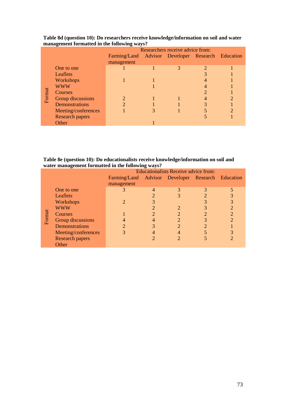|        | 。                      | Researchers receive advice from:                  |  |   |                |  |
|--------|------------------------|---------------------------------------------------|--|---|----------------|--|
|        |                        | Farming/Land Advisor Developer Research Education |  |   |                |  |
|        |                        | management                                        |  |   |                |  |
|        | One to one             |                                                   |  | 3 | $\overline{2}$ |  |
|        | Leaflets               |                                                   |  |   |                |  |
|        | Workshops              |                                                   |  |   |                |  |
|        | <b>WWW</b>             |                                                   |  |   |                |  |
|        | Courses                |                                                   |  |   |                |  |
| Format | Group discussions      |                                                   |  |   |                |  |
|        | Demonstrations         | $\mathcal{D}$                                     |  |   |                |  |
|        | Meeting/conferences    |                                                   |  |   |                |  |
|        | <b>Research papers</b> |                                                   |  |   |                |  |
|        | Other                  |                                                   |  |   |                |  |

#### **Table 8d (question 10): Do researchers receive knowledge/information on soil and water management formatted in the following ways?**

**Table 8e (question 10): Do educationalists receive knowledge/information on soil and water management formatted in the following ways?**

|        |                        |                                                   | <b>Educationalists Receive advice from:</b> |                |   |   |
|--------|------------------------|---------------------------------------------------|---------------------------------------------|----------------|---|---|
|        |                        | Farming/Land Advisor Developer Research Education |                                             |                |   |   |
|        |                        | management                                        |                                             |                |   |   |
|        | One to one             |                                                   |                                             | 3              | 3 | 5 |
|        | Leaflets               |                                                   |                                             | 3              |   |   |
|        | Workshops              | 2                                                 |                                             |                |   | 3 |
|        | <b>WWW</b>             |                                                   |                                             |                |   |   |
|        | Courses                |                                                   |                                             | $\overline{2}$ |   | 2 |
| Format | Group discussions      |                                                   |                                             | $\overline{2}$ |   | າ |
|        | <b>Demonstrations</b>  |                                                   |                                             | ာ              |   |   |
|        | Meeting/conferences    |                                                   |                                             |                |   | 3 |
|        | <b>Research papers</b> |                                                   |                                             |                |   |   |
|        | Other                  |                                                   |                                             |                |   |   |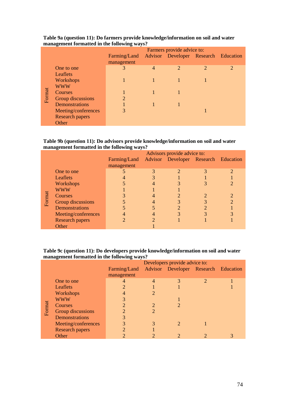|        | o                      | $\overline{\phantom{a}}$<br>Farmers provide advice to: |                |                                      |                |                |  |
|--------|------------------------|--------------------------------------------------------|----------------|--------------------------------------|----------------|----------------|--|
|        |                        | Farming/Land                                           |                | Advisor Developer Research Education |                |                |  |
|        |                        | management                                             |                |                                      |                |                |  |
|        | One to one             | 3                                                      | $\overline{4}$ | $\overline{2}$                       | $\overline{2}$ | $\overline{2}$ |  |
|        | Leaflets               |                                                        |                |                                      |                |                |  |
|        | Workshops              |                                                        |                |                                      |                |                |  |
|        | <b>WWW</b>             |                                                        |                |                                      |                |                |  |
|        | Courses                |                                                        |                |                                      |                |                |  |
| Format | Group discussions      | $\overline{2}$                                         |                |                                      |                |                |  |
|        | <b>Demonstrations</b>  |                                                        |                |                                      |                |                |  |
|        | Meeting/conferences    | 3                                                      |                |                                      |                |                |  |
|        | <b>Research papers</b> |                                                        |                |                                      |                |                |  |
|        | Other                  |                                                        |                |                                      |                |                |  |

### **Table 9a (question 11): Do farmers provide knowledge/information on soil and water management formatted in the following ways?**

#### **Table 9b (question 11): Do advisors provide knowledge/information on soil and water management formatted in the following ways?**

|        |                        | Advisors provide advice to: |  |                                      |  |  |
|--------|------------------------|-----------------------------|--|--------------------------------------|--|--|
|        |                        | Farming/Land                |  | Advisor Developer Research Education |  |  |
|        |                        | management                  |  |                                      |  |  |
|        | One to one             |                             |  | $\overline{2}$                       |  |  |
|        | Leaflets               |                             |  |                                      |  |  |
|        | Workshops              |                             |  |                                      |  |  |
|        | <b>WWW</b>             |                             |  |                                      |  |  |
| Format | Courses                |                             |  |                                      |  |  |
|        | Group discussions      |                             |  |                                      |  |  |
|        | <b>Demonstrations</b>  |                             |  | $\mathcal{D}$                        |  |  |
|        | Meeting/conferences    |                             |  |                                      |  |  |
|        | <b>Research papers</b> |                             |  |                                      |  |  |
|        | Other                  |                             |  |                                      |  |  |

### **Table 9c (question 11): Do developers provide knowledge/information on soil and water management formatted in the following ways?**

|        |                        | Developers provide advice to:                     |                |                       |                |  |  |
|--------|------------------------|---------------------------------------------------|----------------|-----------------------|----------------|--|--|
|        |                        | Farming/Land Advisor Developer Research Education |                |                       |                |  |  |
|        |                        | management                                        |                |                       |                |  |  |
|        | One to one             |                                                   | $\overline{4}$ | 3                     | $\overline{2}$ |  |  |
|        | Leaflets               | $\overline{2}$                                    |                |                       |                |  |  |
|        | Workshops              |                                                   |                |                       |                |  |  |
|        | <b>WWW</b>             | 3                                                 |                |                       |                |  |  |
|        | Courses                | $\overline{2}$                                    |                | 2                     |                |  |  |
| Format | Group discussions      | 2                                                 |                |                       |                |  |  |
|        | Demonstrations         | 3                                                 |                |                       |                |  |  |
|        | Meeting/conferences    | 3                                                 |                | $\mathcal{D}_{\cdot}$ |                |  |  |
|        | <b>Research papers</b> | $\mathfrak{D}$                                    |                |                       |                |  |  |
|        | Other                  | 2                                                 |                |                       |                |  |  |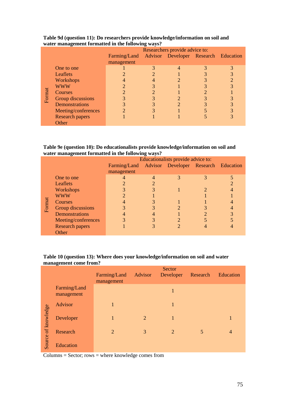|        | - - -                  | $\frac{1}{2}$<br>Researchers provide advice to:   |  |               |  |  |
|--------|------------------------|---------------------------------------------------|--|---------------|--|--|
|        |                        | Farming/Land Advisor Developer Research Education |  |               |  |  |
|        |                        | management                                        |  |               |  |  |
|        | One to one             |                                                   |  | 4             |  |  |
|        | Leaflets               |                                                   |  |               |  |  |
|        | Workshops              |                                                   |  |               |  |  |
|        | <b>WWW</b>             | 2                                                 |  |               |  |  |
|        | Courses                |                                                   |  |               |  |  |
| Format | Group discussions      |                                                   |  |               |  |  |
|        | Demonstrations         |                                                   |  | $\mathcal{P}$ |  |  |
|        | Meeting/conferences    |                                                   |  |               |  |  |
|        | <b>Research papers</b> |                                                   |  |               |  |  |
|        | Other                  |                                                   |  |               |  |  |

#### **Table 9d (question 11): Do researchers provide knowledge/information on soil and water management formatted in the following ways?**

### **Table 9e (question 10): Do educationalists provide knowledge/information on soil and water management formatted in the following ways?**

|        |                        |              | Educationalists provide advice to: |                                      |  |  |  |  |
|--------|------------------------|--------------|------------------------------------|--------------------------------------|--|--|--|--|
|        |                        | Farming/Land |                                    | Advisor Developer Research Education |  |  |  |  |
|        |                        | management   |                                    |                                      |  |  |  |  |
|        | One to one             |              |                                    | 3                                    |  |  |  |  |
|        | <b>Leaflets</b>        |              |                                    |                                      |  |  |  |  |
|        | Workshops              | 3            |                                    |                                      |  |  |  |  |
|        | <b>WWW</b>             |              |                                    |                                      |  |  |  |  |
| Format | <b>Courses</b>         |              |                                    |                                      |  |  |  |  |
|        | Group discussions      |              |                                    |                                      |  |  |  |  |
|        | <b>Demonstrations</b>  |              |                                    |                                      |  |  |  |  |
|        | Meeting/conferences    |              |                                    |                                      |  |  |  |  |
|        | <b>Research papers</b> |              |                                    |                                      |  |  |  |  |
|        | Other                  |              |                                    |                                      |  |  |  |  |

### **Table 10 (question 13): Where does your knowledge/information on soil and water management come from?**

|                     |                            | Farming/Land<br>management | Advisor | Sector<br>Developer | Research | Education      |
|---------------------|----------------------------|----------------------------|---------|---------------------|----------|----------------|
|                     | Farming/Land<br>management |                            |         | 1                   |          |                |
| Source of knowledge | Advisor                    | 1                          |         | 1                   |          |                |
|                     | Developer                  | $\mathbf{1}$               | 2       | 1                   |          | 1              |
|                     | Research                   | $\overline{2}$             | 3       | 2                   | 5        | $\overline{4}$ |
|                     | Education                  |                            |         |                     |          |                |

 $Columns = Sector; rows = where knowledge comes from$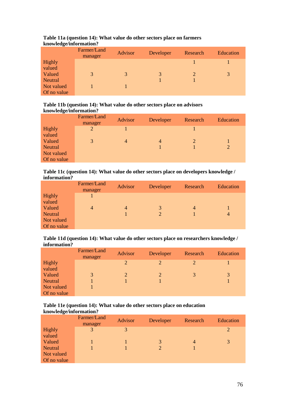|             | Farmer/Land<br>manager | Advisor | Developer | Research | Education |
|-------------|------------------------|---------|-----------|----------|-----------|
| Highly      |                        |         |           |          |           |
| valued      |                        |         |           |          |           |
| Valued      | 3                      | 3       | 3         |          | 3         |
| Neutral     |                        |         |           |          |           |
| Not valued  |                        |         |           |          |           |
| Of no value |                        |         |           |          |           |

#### **Table 11a (question 14): What value do other sectors place on farmers knowledge/information?**

#### **Table 11b (question 14): What value do other sectors place on advisors knowledge/information?**

| ີ           | Farmer/Land<br>manager | <b>Advisor</b> | Developer      | Research | Education |
|-------------|------------------------|----------------|----------------|----------|-----------|
| Highly      | 2                      |                |                |          |           |
| valued      |                        |                |                |          |           |
| Valued      | 3                      | $\overline{4}$ | $\overline{4}$ | 2        |           |
| Neutral     |                        |                |                |          |           |
| Not valued  |                        |                |                |          |           |
| Of no value |                        |                |                |          |           |

**Table 11c (question 14): What value do other sectors place on developers knowledge / information?**

|             | Farmer/Land<br>manager | <b>Advisor</b> | Developer | Research | Education      |
|-------------|------------------------|----------------|-----------|----------|----------------|
| Highly      |                        |                |           |          |                |
| valued      |                        |                |           |          |                |
| Valued      | $\overline{4}$         | 4              | 3         | 4        |                |
| Neutral     |                        |                | 2         |          | $\overline{4}$ |
| Not valued  |                        |                |           |          |                |
| Of no value |                        |                |           |          |                |

**Table 11d (question 14): What value do other sectors place on researchers knowledge / information?**

|             | Farmer/Land<br>manager | Advisor | Developer      | Research              | Education |
|-------------|------------------------|---------|----------------|-----------------------|-----------|
| Highly      |                        | 2       | $\overline{2}$ | $\mathcal{D}_{\cdot}$ |           |
| valued      |                        |         |                |                       |           |
| Valued      | 3                      |         | $\overline{2}$ | 3                     | 3         |
| Neutral     |                        |         |                |                       |           |
| Not valued  |                        |         |                |                       |           |
| Of no value |                        |         |                |                       |           |

### **Table 11e (question 14): What value do other sectors place on education knowledge/information?**

|                | Farmer/Land<br>manager | Advisor | Developer | Research | Education |
|----------------|------------------------|---------|-----------|----------|-----------|
| Highly         | 3                      | 3       |           |          | 2         |
| valued         |                        |         |           |          |           |
| Valued         |                        |         | 3         | 4        | 3         |
| <b>Neutral</b> |                        |         |           |          |           |
| Not valued     |                        |         |           |          |           |
| Of no value    |                        |         |           |          |           |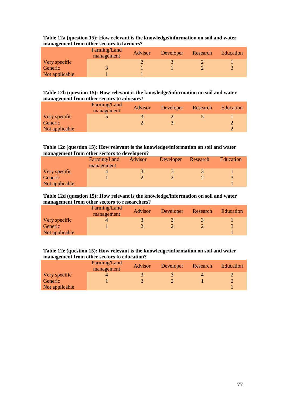|                | Farming/Land<br>management | Advisor | Developer | Research | Education |
|----------------|----------------------------|---------|-----------|----------|-----------|
| Very specific  |                            |         |           |          |           |
| Generic        |                            |         |           |          |           |
| Not applicable |                            |         |           |          |           |

#### **Table 12a (question 15): How relevant is the knowledge/information on soil and water management from other sectors to farmers?**

#### **Table 12b (question 15): How relevant is the knowledge/information on soil and water management from other sectors to advisors?**

|                | Farming/Land<br>management | Advisor | Developer | Research | Education |
|----------------|----------------------------|---------|-----------|----------|-----------|
| Very specific  |                            |         |           |          |           |
| Generic        |                            |         |           |          |           |
| Not applicable |                            |         |           |          |           |

#### **Table 12c (question 15): How relevant is the knowledge/information on soil and water management from other sectors to developers?**

| . .            |              |         |           |          |           |
|----------------|--------------|---------|-----------|----------|-----------|
|                | Farming/Land | Advisor | Developer | Research | Education |
|                | management   |         |           |          |           |
| Very specific  |              |         |           |          |           |
| Generic        |              |         |           |          |           |
| Not applicable |              |         |           |          |           |

### **Table 12d (question 15): How relevant is the knowledge/information on soil and water management from other sectors to researchers?**

|                | Farming/Land<br>management | <b>Advisor</b> | Developer | Research | Education |
|----------------|----------------------------|----------------|-----------|----------|-----------|
| Very specific  |                            |                |           |          |           |
| Generic        |                            |                |           |          | 3         |
| Not applicable |                            |                |           |          |           |

### **Table 12e (question 15): How relevant is the knowledge/information on soil and water management from other sectors to education?**

|                | Farming/Land<br>management | <b>Advisor</b> | Developer | Research | Education |
|----------------|----------------------------|----------------|-----------|----------|-----------|
| Very specific  |                            |                |           |          |           |
| Generic        |                            |                |           |          |           |
| Not applicable |                            |                |           |          |           |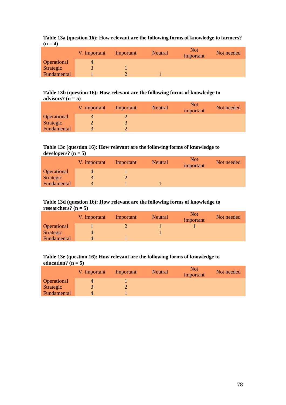|           |  |  |  | Table 13a (question 16): How relevant are the following forms of knowledge to farmers? |
|-----------|--|--|--|----------------------------------------------------------------------------------------|
| $(n = 4)$ |  |  |  |                                                                                        |

|             | V. important | Important | Neutral | <b>Not</b><br>important | Not needed |
|-------------|--------------|-----------|---------|-------------------------|------------|
| Operational |              |           |         |                         |            |
| Strategic   |              |           |         |                         |            |
| Fundamental |              |           |         |                         |            |

#### **Table 13b (question 16): How relevant are the following forms of knowledge to** advisors?  $(n = 5)$

|             | V. important | Important | Neutral | <b>Not</b><br>important | Not needed |
|-------------|--------------|-----------|---------|-------------------------|------------|
| Operational |              |           |         |                         |            |
| Strategic   |              |           |         |                         |            |
| Fundamental |              |           |         |                         |            |

### **Table 13c (question 16): How relevant are the following forms of knowledge to** developers?  $(n = 5)$

|             | V. important | Important | <b>Neutral</b> | <b>Not</b><br>important | Not needed |
|-------------|--------------|-----------|----------------|-------------------------|------------|
| Operational |              |           |                |                         |            |
| Strategic   |              |           |                |                         |            |
| Fundamental |              |           |                |                         |            |

#### **Table 13d (question 16): How relevant are the following forms of knowledge to** researchers?  $(n = 5)$

|             | V. important | Important | Neutral | <b>Not</b><br>important | Not needed |
|-------------|--------------|-----------|---------|-------------------------|------------|
| Operational |              |           |         |                         |            |
| Strategic   | 4            |           |         |                         |            |
| Fundamental | 4            |           |         |                         |            |

## **Table 13e (question 16): How relevant are the following forms of knowledge to** education?  $(n = 5)$

|             | V. important | Important | <b>Neutral</b> | <b>Not</b><br>important | Not needed |
|-------------|--------------|-----------|----------------|-------------------------|------------|
| Operational |              |           |                |                         |            |
| Strategic   |              |           |                |                         |            |
| Fundamental | 4            |           |                |                         |            |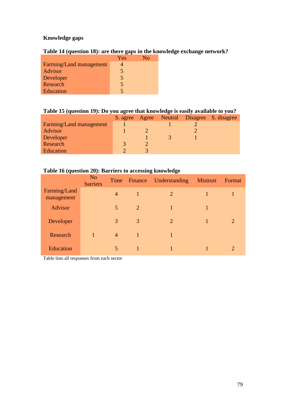# **Knowledge gaps**

# **Table 14 (question 18): are there gaps in the knowledge exchange network?**

|                         | Yes            | Nο |
|-------------------------|----------------|----|
| Farming/Land management |                |    |
| Advisor                 | $\overline{5}$ |    |
| Developer               | $\overline{5}$ |    |
| Research                | $\overline{5}$ |    |
| Education               | 5              |    |

# **Table 15 (question 19): Do you agree that knowledge is easily available to you?**

|                         |  |  | S. agree Agree Neutral Disagree S. disagree |
|-------------------------|--|--|---------------------------------------------|
| Farming/Land management |  |  |                                             |
| Advisor                 |  |  |                                             |
| Developer               |  |  |                                             |
| Research                |  |  |                                             |
| Education               |  |  |                                             |

## **Table 16 (question 20): Barriers to accessing knowledge**

|                            | N <sub>o</sub><br>barriers |                | Time Finance   | Understanding | <b>Mistrust</b> | Format                |
|----------------------------|----------------------------|----------------|----------------|---------------|-----------------|-----------------------|
| Farming/Land<br>management |                            | $\overline{4}$ | 1              | 2             |                 |                       |
| Advisor                    |                            | 5              | $\overline{2}$ | 1             |                 |                       |
| Developer                  |                            | 3              | 3              | 2             |                 | $\mathcal{D}_{\cdot}$ |
| Research                   | 1                          | $\overline{4}$ | 1              |               |                 |                       |
| Education                  |                            | 5              | 1              |               |                 | $\mathcal{D}_{\cdot}$ |

Table lists all responses from each sector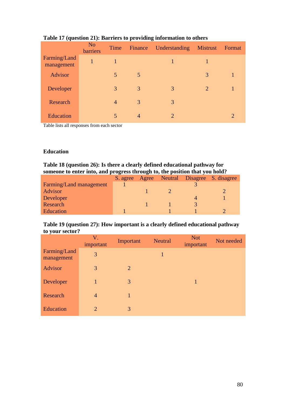| . .                        | N <sub>o</sub><br>barriers | Time           | Finance        | ັ<br>Understanding | <b>Mistrust</b> | Format                      |
|----------------------------|----------------------------|----------------|----------------|--------------------|-----------------|-----------------------------|
| Farming/Land<br>management | 1                          |                |                |                    | 1               |                             |
| Advisor                    |                            | 5              | $\overline{5}$ |                    | 3               | 1                           |
| Developer                  |                            | 3              | 3              | 3                  | 2               |                             |
| Research                   |                            | $\overline{4}$ | 3              | 3                  |                 |                             |
| <b>Education</b>           |                            | 5              | $\overline{4}$ | $\mathcal{D}$      |                 | $\mathcal{D}_{\mathcal{A}}$ |

# **Table 17 (question 21): Barriers to providing information to others**

Table lists all responses from each sector

# **Education**

| Table 18 (question 26): Is there a clearly defined educational pathway for  |  |
|-----------------------------------------------------------------------------|--|
| someone to enter into, and progress through to, the position that you hold? |  |

|                         | S. agree |  |              | Agree Neutral Disagree S. disagree |
|-------------------------|----------|--|--------------|------------------------------------|
| Farming/Land management |          |  |              |                                    |
| Advisor                 |          |  |              |                                    |
| Developer               |          |  |              |                                    |
| Research                |          |  | $\mathbf{R}$ |                                    |
| Education               |          |  |              |                                    |

# **Table 19 (question 27): How important is a clearly defined educational pathway to your sector?**

|                            | V.<br>important | Important | <b>Neutral</b> | <b>Not</b><br>important | Not needed |
|----------------------------|-----------------|-----------|----------------|-------------------------|------------|
| Farming/Land<br>management | 3               |           | 1              |                         |            |
| Advisor                    | 3               | 2         |                |                         |            |
| Developer                  | $\mathbf{1}$    | 3         |                | 1                       |            |
| Research                   | $\overline{4}$  |           |                |                         |            |
| Education                  | 2               | 3         |                |                         |            |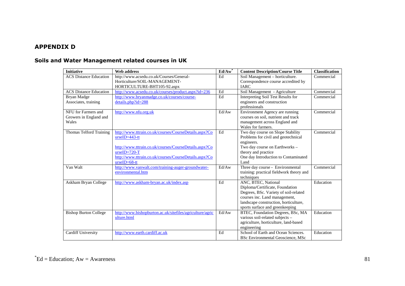# **APPENDIX D**

# **Soils and Water Management related courses in UK**

| <b>Initiative</b>             | <b>Web address</b>                                        | $Ed/Aw^*$ | <b>Content Description/Course Title</b>   | <b>Classification</b> |
|-------------------------------|-----------------------------------------------------------|-----------|-------------------------------------------|-----------------------|
| <b>ACS Distance Education</b> | http://www.acsedu.co.uk/Courses/General-                  | Ed        | Soil Management - horticulture.           | Commercial            |
|                               | Horticulture/SOIL-MANAGEMENT-                             |           | Correspondence course accredited by       |                       |
|                               | HORTICULTURE-BHT105-92.aspx                               |           | <b>IARC</b>                               |                       |
| <b>ACS Distance Education</b> | http://www.acsedu.co.uk/courses/product.aspx?id=236       | Ed        | Soil Management - Agriculture             | Commercial            |
| Bryan Madge                   | http://www.bryanmadge.co.uk/courses/course-               | Ed        | <b>Interpreting Soil Test Results for</b> | Commercial            |
| Associates, training          | details.php?id=288                                        |           | engineers and construction                |                       |
|                               |                                                           |           | professionals                             |                       |
| NFU for Farmers and           | http://www.nfu.org.uk                                     | Ed/Aw     | Environment Agency are running            | Commercial            |
| Growers in England and        |                                                           |           | courses on soil, nutrient and track       |                       |
| Wales                         |                                                           |           | management across England and             |                       |
|                               |                                                           |           | Wales for farmers.                        |                       |
| Thomas Telford Training       | http://www.tttrain.co.uk/courses/CourseDetails.aspx?Co    | Ed        | Two day course on Slope Stability         | Commercial            |
|                               | $urseID = 443-tt$                                         |           | Problems for civil and geotechnical       |                       |
|                               |                                                           |           | engineers.                                |                       |
|                               | http://www.tttrain.co.uk/courses/CourseDetails.aspx?Co    |           | Two day course on Earthworks -            |                       |
|                               | $urseID = 720-T$                                          |           | theory and practice                       |                       |
|                               | http://www.tttrain.co.uk/courses/CourseDetails.aspx?Co    |           | One day Introduction to Contaminated      |                       |
|                               | $urseID = 68 - tt$                                        |           | Land                                      |                       |
| Van Walt                      | http://www.vanwalt.com/training-auger-groundwater-        | Ed/Aw     | Three day course - Environmental          | Commercial            |
|                               | environmental.htm                                         |           | training: practical fieldwork theory and  |                       |
|                               |                                                           |           | techniques                                |                       |
| Askham Bryan College          | http://www.askham-bryan.ac.uk/index.asp                   | Ed        | ANC, BTEC, National                       | Education             |
|                               |                                                           |           | Diploma/Certificate, Foundation           |                       |
|                               |                                                           |           | Degrees, BSc. Variety of soil-related     |                       |
|                               |                                                           |           | courses inc. Land management,             |                       |
|                               |                                                           |           | landscape construction, horticulture,     |                       |
|                               |                                                           |           | sports surface and greenkeeping           |                       |
| <b>Bishop Burton College</b>  | http://www.bishopburton.ac.uk/sitefiles/agriculture/agric | Ed/Aw     | BTEC, Foundation Degrees, BSc, MA         | Education             |
|                               | ulture.html                                               |           | various soil-related subjects -           |                       |
|                               |                                                           |           | agriculture, horticulture, land-based     |                       |
|                               |                                                           |           | engineering                               |                       |
| <b>Cardiff University</b>     | http://www.earth.cardiff.ac.uk                            | Ed        | School of Earth and Ocean Sciences.       | Education             |
|                               |                                                           |           | BSc Environmental Geoscience, MSc         |                       |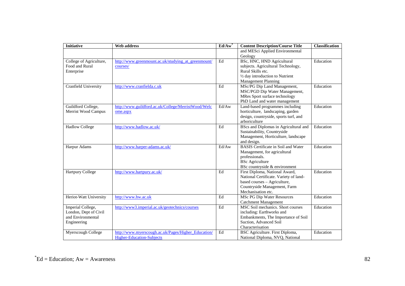| <b>Initiative</b>       | <b>Web address</b>                                  | $Ed/Aw^*$           | <b>Content Description/Course Title</b>    | <b>Classification</b> |
|-------------------------|-----------------------------------------------------|---------------------|--------------------------------------------|-----------------------|
|                         |                                                     |                     | and MESci Applied Environmental            |                       |
|                         |                                                     |                     | Geology                                    |                       |
| College of Agriculture, | http://www.greenmount.ac.uk/studying at greenmount/ | $\operatorname{Ed}$ | BSc, HNC, HND Agricultural                 | Education             |
| Food and Rural          | courses/                                            |                     | subjects. Agricultural Technology,         |                       |
| Enterprise              |                                                     |                     | Rural Skills etc.                          |                       |
|                         |                                                     |                     | 1/2 day introduction to Nutrient           |                       |
|                         |                                                     |                     | <b>Management Planning</b>                 |                       |
| Cranfield University    | http://www.cranfielda.c.uk                          | Ed                  | MSc/PG Dip Land Management,                | Education             |
|                         |                                                     |                     | MSC/PGD Dip Water Management,              |                       |
|                         |                                                     |                     | MRes Sport surface technology              |                       |
|                         |                                                     |                     | PhD Land and water management              |                       |
| Guildford College,      | http://www.guildford.ac.uk/College/MerristWood/Welc | Ed/Aw               | Land-based programmes including            | Education             |
| Merrist Wood Campus     | ome.aspx                                            |                     | horticulture, landscaping, garden          |                       |
|                         |                                                     |                     | design, countryside, sports turf, and      |                       |
|                         |                                                     |                     | arboriculture                              |                       |
| <b>Hadlow College</b>   | http://www.hadlow.ac.uk/                            | Ed                  | BScs and Diplomas in Agricultural and      | Education             |
|                         |                                                     |                     | Sustainability, Countryside                |                       |
|                         |                                                     |                     | Management, Horticulture, landscape        |                       |
|                         |                                                     |                     | and design.                                |                       |
| Harpur Adams            | http://www.harper-adams.ac.uk/                      | Ed/Aw               | <b>BASIS</b> Certificate in Soil and Water | Education             |
|                         |                                                     |                     | Management, for agricultural               |                       |
|                         |                                                     |                     | professionals.                             |                       |
|                         |                                                     |                     | <b>BSc</b> Agriculture                     |                       |
|                         |                                                     |                     | BSc countryside & environment              |                       |
| <b>Hartpury College</b> | http://www.hartpury.ac.uk/                          | Ed                  | First Diploma, National Award,             | Education             |
|                         |                                                     |                     | National Certificate. Variety of land-     |                       |
|                         |                                                     |                     | based courses - Agriculture,               |                       |
|                         |                                                     |                     | Countryside Management, Farm               |                       |
|                         |                                                     |                     | Mechanisation etc.                         |                       |
| Heriot-Watt University  | http://www.hw.ac.uk                                 | Ed                  | <b>MSc PG Dip Water Resources</b>          | Education             |
|                         |                                                     |                     | <b>Catchment Management</b>                |                       |
| Imperial College,       | http://www3.imperial.ac.uk/geotechnics/courses      | Ed                  | MSC Soil mechanics. Short courses          | Education             |
| London, Dept of Civil   |                                                     |                     | including: Earthworks and                  |                       |
| and Environmental       |                                                     |                     | Embankments, The Importance of Soil        |                       |
| Engineering             |                                                     |                     | Suction, Advanced Soil                     |                       |
|                         |                                                     |                     | Characterisation                           |                       |
| Myerscough College      | http://www.myerscough.ac.uk/Pages/Higher_Education/ | $\operatorname{Ed}$ | BSC Agriculture. First Diploma,            | Education             |
|                         | <b>Higher-Education-Subjects</b>                    |                     | National Diploma, NVQ, National            |                       |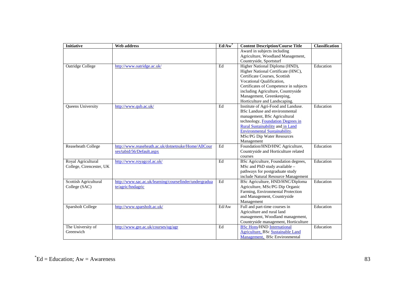| <b>Initiative</b>        | Web address                                            | $Ed/Aw^*$ | <b>Content Description/Course Title</b>  | <b>Classification</b> |
|--------------------------|--------------------------------------------------------|-----------|------------------------------------------|-----------------------|
|                          |                                                        |           | Award in subjects including              |                       |
|                          |                                                        |           | Agriculture, Woodland Management,        |                       |
|                          |                                                        |           | Countryside, Sportsturf                  |                       |
| Oatridge College         | http://www.oatridge.ac.uk/                             | Ed        | Higher National Diploma (HND),           | Education             |
|                          |                                                        |           | Higher National Certificate (HNC),       |                       |
|                          |                                                        |           | Certificate Courses, Scottish            |                       |
|                          |                                                        |           | Vocational Qualification,                |                       |
|                          |                                                        |           | Certificates of Competence in subjects   |                       |
|                          |                                                        |           | including Agriculture, Countryside       |                       |
|                          |                                                        |           | Management, Greenkeeping,                |                       |
|                          |                                                        |           | Horticulture and Landscaping.            |                       |
| Queens University        | http://www.qub.ac.uk/                                  | Ed        | Institute of Agri-Food and Landuse.      | Education             |
|                          |                                                        |           | BSc Landuse and environmental            |                       |
|                          |                                                        |           | management, BSc Agricultural             |                       |
|                          |                                                        |           | technology, Foundation Degrees in        |                       |
|                          |                                                        |           | <b>Rural Sustainability and in Land</b>  |                       |
|                          |                                                        |           | <b>Environmental Sustainability.</b>     |                       |
|                          |                                                        |           | MSc/PG Dip Water Resources               |                       |
|                          |                                                        |           | Management                               |                       |
| Reaseheath College       | http://www.reaseheath.ac.uk/dotnetnuke/Home/AllCour    | Ed        | Foundation/HND/HNC Agriculture,          | Education             |
|                          | ses/tabid/56/Default.aspx                              |           | Countryside and Horticulture related     |                       |
|                          |                                                        |           | courses                                  |                       |
| Royal Agricultural       | http://www.royagcol.ac.uk/                             | Ed        | BSc Agriculture, Foundation degrees,     | Education             |
| College, Cirencester, UK |                                                        |           | MSc and PhD study available -            |                       |
|                          |                                                        |           | pathways for postgraduate study          |                       |
|                          |                                                        |           | include Natural Resource Management      |                       |
| Scottish Agricultural    | http://www.sac.ac.uk/learning/coursefinder/undergradua | Ed        | BSc Agriculture, HND/HNC/Diploma         | Education             |
| College (SAC)            | te/agric/hndagric                                      |           | Agriculture, MSc/PG Dip Organic          |                       |
|                          |                                                        |           | Farming, Environmental Protection        |                       |
|                          |                                                        |           | and Management, Countryside              |                       |
|                          |                                                        |           | Management                               |                       |
| Sparsholt College        | http://www.sparsholt.ac.uk/                            | Ed/Aw     | Full and part-time courses in            | Education             |
|                          |                                                        |           | Agriculture and rural land               |                       |
|                          |                                                        |           | management, Woodland management,         |                       |
|                          |                                                        |           | Countryside management, Horticulture     |                       |
| The University of        | http://www.gre.ac.uk/courses/ug/agr                    | Ed        | <b>BSc Hons/HND International</b>        | Education             |
| Greenwich                |                                                        |           | <b>Agriculture, BSc Sustainable Land</b> |                       |
|                          |                                                        |           | Management, BSc Environmental            |                       |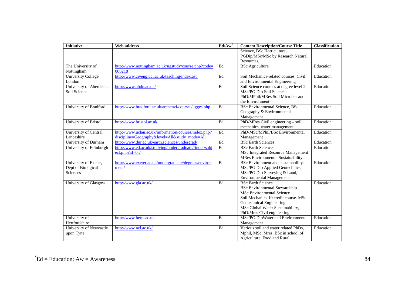| <b>Initiative</b>         | <b>Web address</b>                                     | $Ed/Aw^*$           | <b>Content Description/Course Title</b>  | <b>Classification</b> |
|---------------------------|--------------------------------------------------------|---------------------|------------------------------------------|-----------------------|
|                           |                                                        |                     | Science, BSc Horticulture,               |                       |
|                           |                                                        |                     | PGDip/MSc/MSc by Research Natural        |                       |
|                           |                                                        |                     | Resources,                               |                       |
| The University of         | http://www.nottingham.ac.uk/ugstudy/course.php?code=   | Ed                  | <b>BSc</b> Agriculture                   | Education             |
| Nottingham                | 000218                                                 |                     |                                          |                       |
| <b>University College</b> | http://www.civeng.ucl.ac.uk/teaching/index.asp         | Ed                  | Soil Mechanics-related courses. Civil    | Education             |
| London                    |                                                        |                     | and Environmental Engineering            |                       |
| University of Aberdeen,   | http://www.abdn.ac.uk/                                 | Ed                  | Soil Science courses at degree level 2.  | Education             |
| Soil Science              |                                                        |                     | MSc/PG Dip Soil Science.                 |                       |
|                           |                                                        |                     | PhD/MPhil/MRes Soil Microbes and         |                       |
|                           |                                                        |                     | the Environment                          |                       |
| University of Bradford    | http://www.bradford.ac.uk/archenvi/courses/ugges.php   | Ed                  | <b>BSc Environmental Science, BSc</b>    | Education             |
|                           |                                                        |                     | Geography & Environmental                |                       |
|                           |                                                        |                     | Management                               |                       |
| University of Bristol     | http://www.bristol.ac.uk                               | Ed                  | PhD/MRes Civil engineering - soil        | Education             |
|                           |                                                        |                     | mechanics, water management              |                       |
| University of Central     | http://www.uclan.ac.uk/information/courses/index.php?  | $\operatorname{Ed}$ | PhD/MSc/MPhil/BSc Environmental          | Education             |
| Lancashire                | discipline=Geography&level=All&study_mode=All          |                     | Management                               |                       |
| University of Durham      | http://www.dur.ac.uk/earth.sciences/undergrad/         | $\operatorname{Ed}$ | <b>BSc</b> Earth Sciences                | Education             |
| University of Edinburgh   | http://www.ed.ac.uk/studying/undergraduate/finder/subj | Ed                  | <b>BSc Earth Sciences</b>                | Education             |
|                           | $ect.php?id=0,7$                                       |                     | MSc Integrated Resource Management       |                       |
|                           |                                                        |                     | <b>MRes Environmental Sustainability</b> |                       |
| University of Exeter,     | http://www.exeter.ac.uk/undergraduate/degrees/environ  | Ed                  | BSc Environment and sustainability.      | Education             |
| Dept of Biological        | ment/                                                  |                     | MSc/PG Dip Applied Geotechnics,          |                       |
| Sciences                  |                                                        |                     | MSc/PG Dip Surveying & Land,             |                       |
|                           |                                                        |                     | <b>Environmental Management</b>          |                       |
| University of Glasgow     | http://www.gla.ac.uk/                                  | Ed                  | <b>BSc Earth Science</b>                 | Education             |
|                           |                                                        |                     | <b>BSc Environmental Stewardship</b>     |                       |
|                           |                                                        |                     | <b>MSc Environmental Science</b>         |                       |
|                           |                                                        |                     | Soil Mechanics 10 credit course. MSc     |                       |
|                           |                                                        |                     | Geotechnical Engineering.                |                       |
|                           |                                                        |                     | MSc Global Water Sustainability,         |                       |
|                           |                                                        |                     | PhD/Mres Civil engineering               |                       |
| University of             | http://www.herts.ac.uk                                 | Ed                  | MSc/PG DipWater and Environmental        | Education             |
| Hertfordshire             |                                                        |                     | Management                               |                       |
| University of Newcastle   | http://www.ncl.ac.uk/                                  | Ed                  | Various soil and water related PhDs,     | Education             |
| upon Tyne                 |                                                        |                     | Mphil, MSc, Mres, BSc in school of       |                       |
|                           |                                                        |                     | Agriculture, Food and Rural              |                       |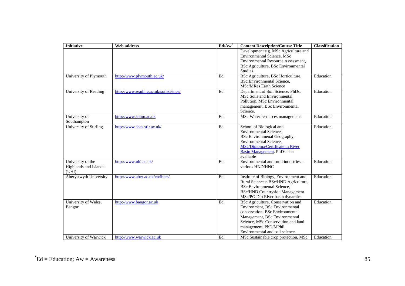| <b>Initiative</b>      | Web address                           | $Ed/Aw^*$ | <b>Content Description/Course Title</b>                                   | <b>Classification</b> |
|------------------------|---------------------------------------|-----------|---------------------------------------------------------------------------|-----------------------|
|                        |                                       |           | Development e.g. MSc Agriculture and<br><b>Environmental Science, MSc</b> |                       |
|                        |                                       |           | Environmental Resource Assessment,                                        |                       |
|                        |                                       |           | BSc Agriculture, BSc Environmental                                        |                       |
|                        |                                       |           | <b>Studies</b>                                                            |                       |
| University of Plymouth | http://www.plymouth.ac.uk/            | Ed        | BSc Agriculture, BSc Horticulture,                                        | Education             |
|                        |                                       |           | <b>BSc</b> Environmental Science,                                         |                       |
|                        |                                       |           | <b>MSc/MRes Earth Science</b>                                             |                       |
| University of Reading  | http://www.reading.ac.uk/soilscience/ | Ed        | Department of Soil Science. PhDs,                                         | Education             |
|                        |                                       |           | MSc Soils and Environmental                                               |                       |
|                        |                                       |           | Pollution, MSc Environmental<br>management, BSc Environmental             |                       |
|                        |                                       |           | Science.                                                                  |                       |
| University of          | http://www.soton.ac.uk                | Ed        | MSc Water resources management                                            | Education             |
| Southampton            |                                       |           |                                                                           |                       |
| University of Stirling | http://www.sbes.stir.ac.uk/           | Ed        | School of Biological and                                                  | Education             |
|                        |                                       |           | <b>Environmental Sciences</b>                                             |                       |
|                        |                                       |           | BSc Environmenal Geography,                                               |                       |
|                        |                                       |           | Environmental Science.                                                    |                       |
|                        |                                       |           | MSc/Diploma/Certificate in River                                          |                       |
|                        |                                       |           | Basin Management. PhDs also<br>available                                  |                       |
| University of the      | http://www.uhi.ac.uk/                 | Ed        | Environmental and rural industries -                                      | Education             |
| Highlands and Islands  |                                       |           | various HND/HNC                                                           |                       |
| (UHI)                  |                                       |           |                                                                           |                       |
| Aberystwyth University | http://www.aber.ac.uk/en/ibers/       | Ed        | Institute of Biology, Environment and                                     | Education             |
|                        |                                       |           | Rural Sciences: BSc/HND Agriculture,                                      |                       |
|                        |                                       |           | <b>BSc</b> Environmental Science,                                         |                       |
|                        |                                       |           | <b>BSc/HND Countryside Management</b>                                     |                       |
|                        |                                       |           | MSc/PG Dip River basin dynamics                                           |                       |
| University of Wales,   | http://www.bangor.ac.uk               | Ed        | BSc Agriculture, Conservation and<br>Environment, BSc Environmental       | Education             |
| <b>Bangor</b>          |                                       |           | conservation, BSc Environmental                                           |                       |
|                        |                                       |           | Management, BSc Environmental                                             |                       |
|                        |                                       |           | Science, MSc Conservation and land                                        |                       |
|                        |                                       |           | management, PhD/MPhil                                                     |                       |
|                        |                                       |           | Environmental and soil science                                            |                       |
| University of Warwick  | http://www.warwick.ac.uk              | Ed        | MSc Sustainable crop protection, MSc                                      | Education             |